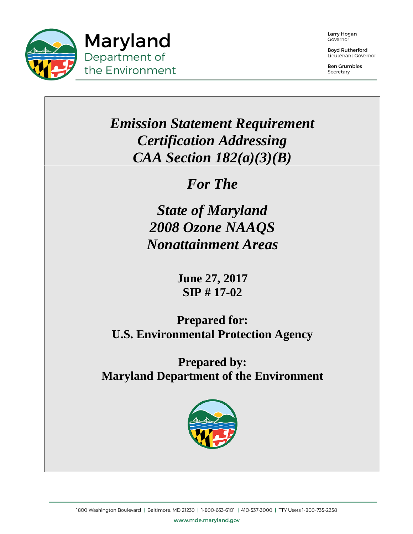

Larry Hogan Governor

**Boyd Rutherford** Lieutenant Governor

**Ben Grumbles** Secretary

# *Emission Statement Requirement Certification Addressing CAA Section 182(a)(3)(B)*

*For The*

*State of Maryland 2008 Ozone NAAQS Nonattainment Areas*

> **June 27, 2017 SIP # 17-02**

**Prepared for: U.S. Environmental Protection Agency**

**Prepared by: Maryland Department of the Environment**

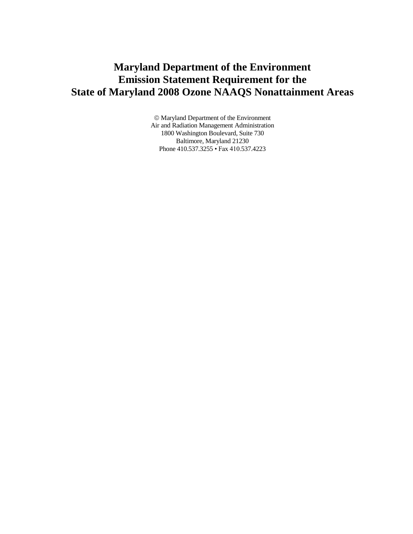## **Maryland Department of the Environment Emission Statement Requirement for the State of Maryland 2008 Ozone NAAQS Nonattainment Areas**

 Maryland Department of the Environment Air and Radiation Management Administration 1800 Washington Boulevard, Suite 730 Baltimore, Maryland 21230 Phone 410.537.3255 • Fax 410.537.4223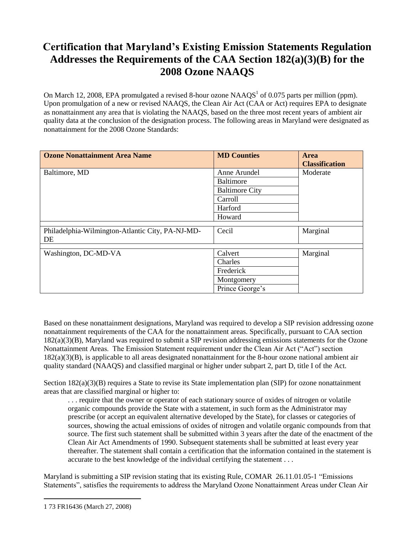## **Certification that Maryland's Existing Emission Statements Regulation Addresses the Requirements of the CAA Section 182(a)(3)(B) for the 2008 Ozone NAAQS**

On March 12, 2008, EPA promulgated a revised 8-hour ozone  $NAAQS<sup>1</sup>$  of 0.075 parts per million (ppm). Upon promulgation of a new or revised NAAQS, the Clean Air Act (CAA or Act) requires EPA to designate as nonattainment any area that is violating the NAAQS, based on the three most recent years of ambient air quality data at the conclusion of the designation process. The following areas in Maryland were designated as nonattainment for the 2008 Ozone Standards:

| <b>Ozone Nonattainment Area Name</b>                   | <b>MD Counties</b>    | <b>Area</b><br><b>Classification</b> |
|--------------------------------------------------------|-----------------------|--------------------------------------|
| Baltimore, MD                                          | Anne Arundel          | Moderate                             |
|                                                        | Baltimore             |                                      |
|                                                        | <b>Baltimore City</b> |                                      |
|                                                        | Carroll               |                                      |
|                                                        | Harford               |                                      |
|                                                        | Howard                |                                      |
| Philadelphia-Wilmington-Atlantic City, PA-NJ-MD-<br>DE | Cecil                 | Marginal                             |
| Washington, DC-MD-VA                                   | Calvert               | Marginal                             |
|                                                        | Charles               |                                      |
|                                                        | Frederick             |                                      |
|                                                        | Montgomery            |                                      |
|                                                        | Prince George's       |                                      |

Based on these nonattainment designations, Maryland was required to develop a SIP revision addressing ozone nonattainment requirements of the CAA for the nonattainment areas. Specifically, pursuant to CAA section 182(a)(3)(B), Maryland was required to submit a SIP revision addressing emissions statements for the Ozone Nonattainment Areas. The Emission Statement requirement under the Clean Air Act ("Act") section 182(a)(3)(B), is applicable to all areas designated nonattainment for the 8-hour ozone national ambient air quality standard (NAAQS) and classified marginal or higher under subpart 2, part D, title I of the Act.

Section 182(a)(3)(B) requires a State to revise its State implementation plan (SIP) for ozone nonattainment areas that are classified marginal or higher to:

. . . require that the owner or operator of each stationary source of oxides of nitrogen or volatile organic compounds provide the State with a statement, in such form as the Administrator may prescribe (or accept an equivalent alternative developed by the State), for classes or categories of sources, showing the actual emissions of oxides of nitrogen and volatile organic compounds from that source. The first such statement shall be submitted within 3 years after the date of the enactment of the Clean Air Act Amendments of 1990. Subsequent statements shall be submitted at least every year thereafter. The statement shall contain a certification that the information contained in the statement is accurate to the best knowledge of the individual certifying the statement . . .

Maryland is submitting a SIP revision stating that its existing Rule, COMAR 26.11.01.05-1 "Emissions Statements", satisfies the requirements to address the Maryland Ozone Nonattainment Areas under Clean Air

 $\overline{a}$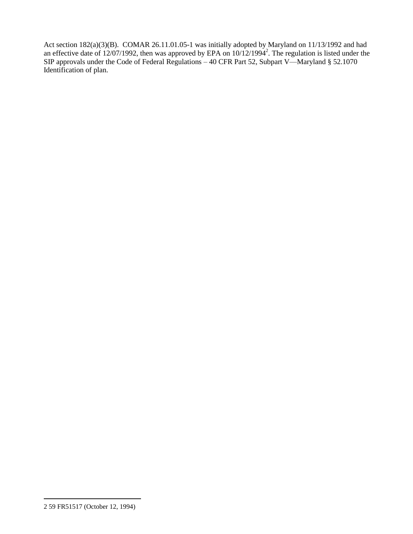Act section 182(a)(3)(B). COMAR 26.11.01.05-1 was initially adopted by Maryland on 11/13/1992 and had an effective date of 12/07/1992, then was approved by EPA on  $10/12/1994^2$ . The regulation is listed under the SIP approvals under the Code of Federal Regulations – 40 CFR Part 52, Subpart V—Maryland § 52.1070 Identification of plan.

 $\overline{a}$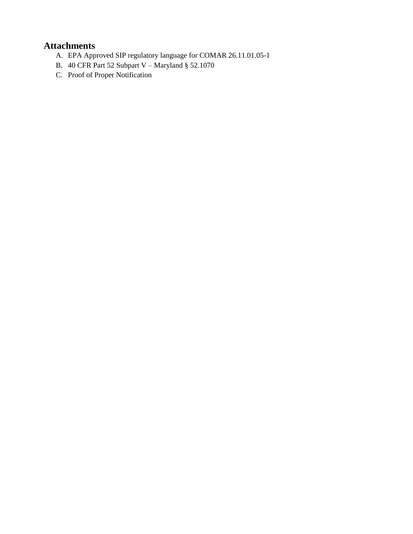## **Attachments**

- A. EPA Approved SIP regulatory language for COMAR 26.11.01.05-1
- B. 40 CFR Part 52 Subpart V Maryland § 52.1070
- C. Proof of Proper Notification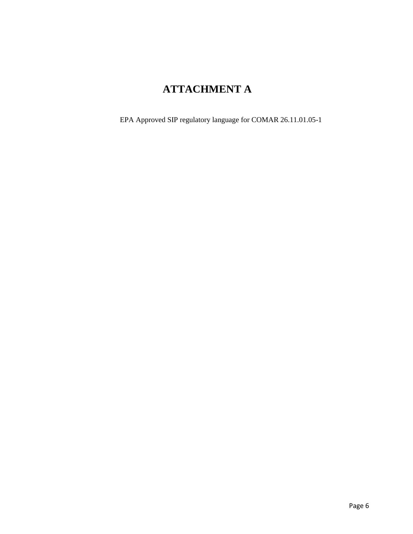## **ATTACHMENT A**

EPA Approved SIP regulatory language for COMAR 26.11.01.05-1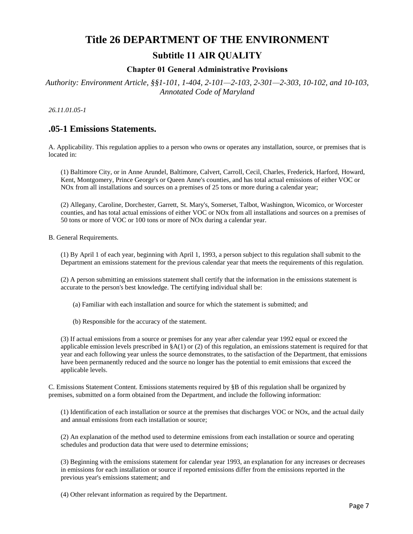# **Title 26 DEPARTMENT OF THE ENVIRONMENT**

### **Subtitle 11 AIR QUALITY**

### **Chapter 01 General Administrative Provisions**

*Authority: Environment Article, §§1-101, 1-404, 2-101—2-103, 2-301—2-303, 10-102, and 10-103, Annotated Code of Maryland*

*26.11.01.05-1*

### **.05-1 Emissions Statements.**

A. Applicability. This regulation applies to a person who owns or operates any installation, source, or premises that is located in:

(1) Baltimore City, or in Anne Arundel, Baltimore, Calvert, Carroll, Cecil, Charles, Frederick, Harford, Howard, Kent, Montgomery, Prince George's or Queen Anne's counties, and has total actual emissions of either VOC or NOx from all installations and sources on a premises of 25 tons or more during a calendar year;

(2) Allegany, Caroline, Dorchester, Garrett, St. Mary's, Somerset, Talbot, Washington, Wicomico, or Worcester counties, and has total actual emissions of either VOC or NOx from all installations and sources on a premises of 50 tons or more of VOC or 100 tons or more of NOx during a calendar year.

B. General Requirements.

(1) By April 1 of each year, beginning with April 1, 1993, a person subject to this regulation shall submit to the Department an emissions statement for the previous calendar year that meets the requirements of this regulation.

(2) A person submitting an emissions statement shall certify that the information in the emissions statement is accurate to the person's best knowledge. The certifying individual shall be:

- (a) Familiar with each installation and source for which the statement is submitted; and
- (b) Responsible for the accuracy of the statement.

(3) If actual emissions from a source or premises for any year after calendar year 1992 equal or exceed the applicable emission levels prescribed in  $\&A(1)$  or (2) of this regulation, an emissions statement is required for that year and each following year unless the source demonstrates, to the satisfaction of the Department, that emissions have been permanently reduced and the source no longer has the potential to emit emissions that exceed the applicable levels.

C. Emissions Statement Content. Emissions statements required by §B of this regulation shall be organized by premises, submitted on a form obtained from the Department, and include the following information:

(1) Identification of each installation or source at the premises that discharges VOC or NOx, and the actual daily and annual emissions from each installation or source;

(2) An explanation of the method used to determine emissions from each installation or source and operating schedules and production data that were used to determine emissions;

(3) Beginning with the emissions statement for calendar year 1993, an explanation for any increases or decreases in emissions for each installation or source if reported emissions differ from the emissions reported in the previous year's emissions statement; and

(4) Other relevant information as required by the Department.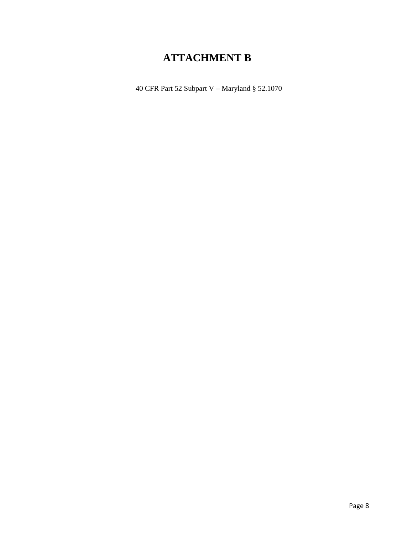## **ATTACHMENT B**

40 CFR Part 52 Subpart V – Maryland § 52.1070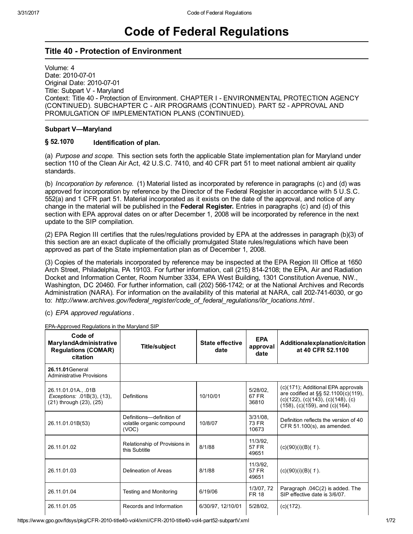# Code of Federal Regulations

### **Title 40 - Protection of Environment**

Volume: 4 Date: 2010-07-01 Original Date: 2010-07-01 Title: Subpart V - Maryland Context: Title 40 Protection of Environment. CHAPTER I ENVIRONMENTAL PROTECTION AGENCY (CONTINUED). SUBCHAPTER C - AIR PROGRAMS (CONTINUED). PART 52 - APPROVAL AND PROMULGATION OF IMPLEMENTATION PLANS (CONTINUED).

### Subpart V—Maryland

#### § 52.1070 Identification of plan.

(a) Purpose and scope. This section sets forth the applicable State implementation plan for Maryland under section 110 of the Clean Air Act, 42 U.S.C. 7410, and 40 CFR part 51 to meet national ambient air quality standards.

(b) Incorporation by reference. (1) Material listed as incorporated by reference in paragraphs (c) and (d) was approved for incorporation by reference by the Director of the Federal Register in accordance with 5 U.S.C. 552(a) and 1 CFR part 51. Material incorporated as it exists on the date of the approval, and notice of any change in the material will be published in the **Federal Register.** Entries in paragraphs (c) and (d) of this section with EPA approval dates on or after December 1, 2008 will be incorporated by reference in the next update to the SIP compilation.

(2) EPA Region III certifies that the rules/regulations provided by EPA at the addresses in paragraph (b)(3) of this section are an exact duplicate of the officially promulgated State rules/regulations which have been approved as part of the State implementation plan as of December 1, 2008.

(3) Copies of the materials incorporated by reference may be inspected at the EPA Region III Office at 1650 Arch Street, Philadelphia, PA 19103. For further information, call (215) 8142108; the EPA, Air and Radiation Docket and Information Center, Room Number 3334, EPA West Building, 1301 Constitution Avenue, NW., Washington, DC 20460. For further information, call (202) 566-1742; or at the National Archives and Records Administration (NARA). For information on the availability of this material at NARA, call 202-741-6030, or go to: http://www.archives.gov/federal\_register/code\_of\_federal\_regulations/ibr\_locations.html .

(c) EPA approved regulations .

EPA-Approved Regulations in the Maryland SIP

| Code of<br><b>MarylandAdministrative</b><br><b>Regulations (COMAR)</b><br>citation | <b>Title/subject</b>                                            | <b>State effective</b><br>date | <b>EPA</b><br>approval<br>date | Additionalexplanation/citation<br>at 40 CFR 52.1100                                                                                                                  |
|------------------------------------------------------------------------------------|-----------------------------------------------------------------|--------------------------------|--------------------------------|----------------------------------------------------------------------------------------------------------------------------------------------------------------------|
| 26.11.01 General<br><b>Administrative Provisions</b>                               |                                                                 |                                |                                |                                                                                                                                                                      |
| 26.11.01.01A., 01B<br>Exceptions: .01B(3), (13),<br>(21) through (23), (25)        | <b>Definitions</b>                                              | 10/10/01                       | 5/28/02,<br>67 FR<br>36810     | (c)(171); Additional EPA approvals<br>are codified at §§ 52.1100(c)(119),<br>$(c)(122)$ , $(c)(143)$ , $(c)(148)$ , $(c)$<br>$(158)$ , $(c)(159)$ , and $(c)(164)$ . |
| 26.11.01.01B(53)                                                                   | Definitions-definition of<br>volatile organic compound<br>(VOC) | 10/8/07                        | $3/31/08$ ,<br>73 FR<br>10673  | Definition reflects the version of 40<br>CFR 51.100(s), as amended.                                                                                                  |
| 26.11.01.02                                                                        | Relationship of Provisions in<br>this Subtitle                  | 8/1/88                         | 11/3/92,<br>57 FR<br>49651     | $(c)(90)(i)(B)(1)$ .                                                                                                                                                 |
| 26.11.01.03                                                                        | Delineation of Areas                                            | 8/1/88                         | 11/3/92,<br>57 FR<br>49651     | $(c)(90)(i)(B)(1)$ .                                                                                                                                                 |
| 26.11.01.04                                                                        | <b>Testing and Monitoring</b>                                   | 6/19/06                        | 1/3/07, 72<br><b>FR 18</b>     | Paragraph .04C(2) is added. The<br>SIP effective date is 3/6/07.                                                                                                     |
| 26.11.01.05                                                                        | Records and Information                                         | 6/30/97, 12/10/01              | $5/28/02$ ,                    | $(c)(172)$ .                                                                                                                                                         |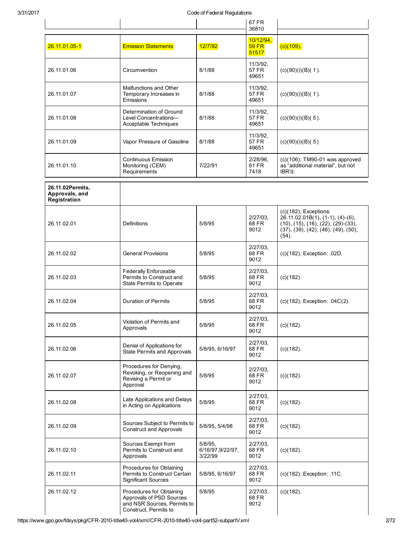|                                                    |                                                                                                              |                                           | 67 FR<br>36810                     |                                                                                                                                                                            |
|----------------------------------------------------|--------------------------------------------------------------------------------------------------------------|-------------------------------------------|------------------------------------|----------------------------------------------------------------------------------------------------------------------------------------------------------------------------|
| 26.11.01.05-1                                      | <b>Emission Statements</b>                                                                                   | 12/7/92                                   | 10/12/94,<br><b>59 FR</b><br>51517 | $(c)(109)$ .                                                                                                                                                               |
| 26.11.01.06                                        | Circumvention                                                                                                | 8/1/88                                    | 11/3/92,<br>57 FR<br>49651         | $(c)(90)(i)(B)(1)$ .                                                                                                                                                       |
| 26.11.01.07                                        | Malfunctions and Other<br>Temporary Increases in<br>Emissions                                                | 8/1/88                                    | 11/3/92,<br>57 FR<br>49651         | $(c)(90)(i)(B)(1)$ .                                                                                                                                                       |
| 26.11.01.08                                        | Determination of Ground<br>Level Concentrations-<br>Acceptable Techniques                                    | 8/1/88                                    | 11/3/92,<br>57 FR<br>49651         | $(c)(90)(i)(B)(5)$ .                                                                                                                                                       |
| 26.11.01.09                                        | Vapor Pressure of Gasoline                                                                                   | 8/1/88                                    | 11/3/92,<br>57 FR<br>49651         | (c)(90)(i)(B)(5)                                                                                                                                                           |
| 26.11.01.10                                        | <b>Continuous Emission</b><br>Monitoring (CEM)<br>Requirements                                               | 7/22/91                                   | 2/28/96.<br>61 FR<br>7418          | $(c)(106)$ ; TM90-01 was approved<br>as "additional material", but not<br>IBR'd.                                                                                           |
| 26.11.02Permits,<br>Approvals, and<br>Registration |                                                                                                              |                                           |                                    |                                                                                                                                                                            |
| 26.11.02.01                                        | Definitions                                                                                                  | 5/8/95                                    | $2/27/03$ ,<br>68 FR<br>9012       | $(c)(182)$ ; Exceptions:<br>$26.11.02.01B(1), (1-1), (4)-(6),$<br>$(10)$ , $(15)$ , $(16)$ , $(22)$ , $(29)$ - $(33)$ ,<br>(37), (39), (42), (46), (49), (50),<br>$(54)$ . |
| 26.11.02.02                                        | <b>General Provisions</b>                                                                                    | 5/8/95                                    | $2/27/03$ ,<br>68 FR<br>9012       | (c)(182); Exception: .02D.                                                                                                                                                 |
| 26.11.02.03                                        | Federally Enforceable<br>Permits to Construct and<br>State Permits to Operate                                | 5/8/95                                    | $2/27/03$ ,<br>68 FR<br>9012       | $(c)(182)$ .                                                                                                                                                               |
| 26.11.02.04                                        | <b>Duration of Permits</b>                                                                                   | 5/8/95                                    | $2/27/03$ ,<br>68 FR<br>9012       | (c)(182); Exception: .04C(2).                                                                                                                                              |
| 26.11.02.05                                        | Violation of Permits and<br>Approvals                                                                        | 5/8/95                                    | 2/27/03,<br>68 FR<br>9012          | $(c)(182)$ .                                                                                                                                                               |
| 26.11.02.06                                        | Denial of Applications for<br>State Permits and Approvals                                                    | 5/8/95, 6/16/97                           | $2/27/03$ ,<br>68 FR<br>9012       | $(c)(182)$ .                                                                                                                                                               |
| 26.11.02.07                                        | Procedures for Denying,<br>Revoking, or Reopening and<br>Revising a Permit or<br>Approval                    | 5/8/95                                    | 2/27/03.<br>68 FR<br>9012          | $(c)(182)$ .                                                                                                                                                               |
| 26.11.02.08                                        | Late Applications and Delays<br>in Acting on Applications                                                    | 5/8/95                                    | $2/27/03$ ,<br>68 FR<br>9012       | $(c)(182)$ .                                                                                                                                                               |
| 26.11.02.09                                        | Sources Subject to Permits to<br><b>Construct and Approvals</b>                                              | 5/8/95, 5/4/98                            | $2/27/03$ ,<br>68 FR<br>9012       | $(c)(182)$ .                                                                                                                                                               |
| 26.11.02.10                                        | Sources Exempt from<br>Permits to Construct and<br>Approvals                                                 | $5/8/95$ ,<br>6/16/97,9/22/97,<br>3/22/99 | $2/27/03$ ,<br>68 FR<br>9012       | $(c)(182)$ .                                                                                                                                                               |
| 26.11.02.11                                        | Procedures for Obtaining<br>Permits to Construct Certain<br><b>Significant Sources</b>                       | 5/8/95, 6/16/97                           | $2/27/03$ ,<br>68 FR<br>9012       | (c)(182); Exception: .11C.                                                                                                                                                 |
| 26.11.02.12                                        | Procedures for Obtaining<br>Approvals of PSD Sources<br>and NSR Sources, Permits to<br>Construct, Permits to | 5/8/95                                    | 2/27/03,<br>68 FR<br>9012          | $(c)(182)$ .                                                                                                                                                               |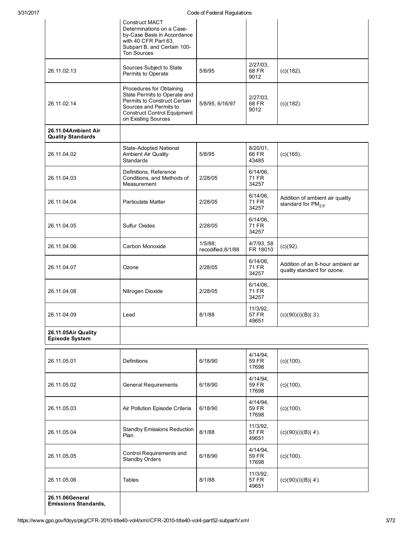|                                                 | Construct MACT<br>Determinations on a Case-<br>by-Case Basis in Accordance<br>with 40 CFR Part 63,<br>Subpart B, and Certain 100-<br>Ton Sources                                | o oac om cach am cogaidirono     |                               |                                                                  |
|-------------------------------------------------|---------------------------------------------------------------------------------------------------------------------------------------------------------------------------------|----------------------------------|-------------------------------|------------------------------------------------------------------|
| 26.11.02.13                                     | Sources Subject to State<br>Permits to Operate                                                                                                                                  | 5/8/95                           | $2/27/03$ ,<br>68 FR<br>9012  | $(c)(182)$ .                                                     |
| 26.11.02.14                                     | Procedures for Obtaining<br>State Permits to Operate and<br>Permits to Construct Certain<br>Sources and Permits to<br><b>Construct Control Equipment</b><br>on Existing Sources | 5/8/95, 6/16/97                  | 2/27/03<br>68 FR<br>9012      | $(c)(182)$ .                                                     |
| 26.11.04Ambient Air<br><b>Quality Standards</b> |                                                                                                                                                                                 |                                  |                               |                                                                  |
| 26.11.04.02                                     | State-Adopted National<br><b>Ambient Air Quality</b><br>Standards                                                                                                               | 5/8/95                           | 8/20/01,<br>66 FR<br>43485    | $(c)(165)$ .                                                     |
| 26.11.04.03                                     | Definitions, Reference<br>Conditions, and Methods of<br>Measurement                                                                                                             | 2/28/05                          | $6/14/06$ ,<br>71 FR<br>34257 |                                                                  |
| 26.11.04.04                                     | <b>Particulate Matter</b>                                                                                                                                                       | 2/28/05                          | $6/14/06$ ,<br>71 FR<br>34257 | Addition of ambient air quality<br>standard for $PM_{2.5}$ .     |
| 26.11.04.05                                     | <b>Sulfur Oxides</b>                                                                                                                                                            | 2/28/05                          | $6/14/06$ ,<br>71 FR<br>34257 |                                                                  |
| 26.11.04.06                                     | Carbon Monoxide                                                                                                                                                                 | $1/5/88$ ;<br>recodified, 8/1/88 | 4/7/93, 58<br>FR 18010        | $(c)(92)$ .                                                      |
| 26.11.04.07                                     | Ozone                                                                                                                                                                           | 2/28/05                          | 6/14/06,<br>71 FR<br>34257    | Addition of an 8-hour ambient air<br>quality standard for ozone. |
| 26.11.04.08                                     | Nitrogen Dioxide                                                                                                                                                                | 2/28/05                          | $6/14/06$ ,<br>71 FR<br>34257 |                                                                  |
| 26.11.04.09                                     | Lead                                                                                                                                                                            | 8/1/88                           | 11/3/92,<br>57 FR<br>49651    | $(c)(90)(i)(B)(3)$ .                                             |
| 26.11.05Air Quality<br><b>Episode System</b>    |                                                                                                                                                                                 |                                  |                               |                                                                  |
| 26.11.05.01                                     | Definitions                                                                                                                                                                     | 6/18/90                          | 4/14/94,<br>59 FR<br>17698    | $(c)(100)$ .                                                     |
| 26.11.05.02                                     | <b>General Requirements</b>                                                                                                                                                     | 6/18/90                          | 4/14/94,<br>59 FR<br>17698    | $(c)(100)$ .                                                     |
| 26.11.05.03                                     | Air Pollution Episode Criteria                                                                                                                                                  | 6/18/90                          | 4/14/94,<br>59 FR<br>17698    | $(c)(100)$ .                                                     |
| 26.11.05.04                                     | <b>Standby Emissions Reduction</b><br>Plan                                                                                                                                      | 8/1/88                           | 11/3/92,<br>57 FR<br>49651    | $(c)(90)(i)(B)(4)$ .                                             |
| 26.11.05.05                                     | Control Requirements and<br>Standby Orders                                                                                                                                      | 6/18/90                          | $4/14/94$ .<br>59 FR<br>17698 | $(c)(100)$ .                                                     |
| 26.11.05.06                                     | <b>Tables</b>                                                                                                                                                                   | 8/1/88                           | 11/3/92,<br>57 FR<br>49651    | $(c)(90)(i)(B)(4)$ .                                             |
| 26.11.06General<br><b>Emissions Standards,</b>  |                                                                                                                                                                                 |                                  |                               |                                                                  |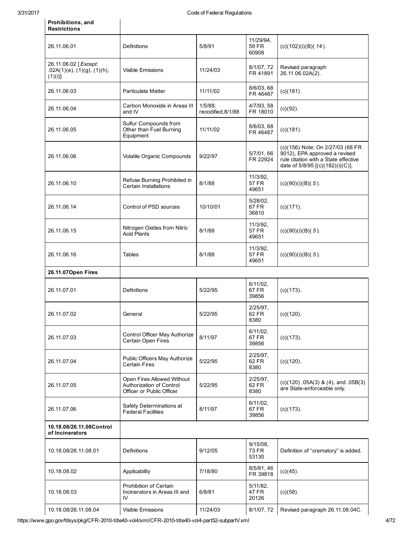Prohibitions, and

 $\overline{\phantom{a}}$ 

| <b>Restrictions</b>                                           |                                                                                     |                               |                                   |                                                                                                                                               |
|---------------------------------------------------------------|-------------------------------------------------------------------------------------|-------------------------------|-----------------------------------|-----------------------------------------------------------------------------------------------------------------------------------------------|
| 26.11.06.01                                                   | Definitions                                                                         | 5/8/91                        | 11/29/94,<br>59 FR<br>60908       | $(c)(102)(i)(B)(14)$ .                                                                                                                        |
| 26.11.06.02 [Except:<br>.02A(1)(e), (1)(g), (1)(h),<br>(1)(i) | <b>Visible Emissions</b>                                                            | 11/24/03                      | 8/1/07, 72<br>FR 41891            | Revised paragraph<br>26.11.06.02A(2).                                                                                                         |
| 26.11.06.03                                                   | <b>Particulate Matter</b>                                                           | 11/11/02                      | 8/6/03, 68<br>FR 46487            | $(c)(181)$ .                                                                                                                                  |
| 26.11.06.04                                                   | Carbon Monoxide in Areas III<br>and IV                                              | 1/5/88;<br>recodified, 8/1/88 | 4/7/93, 58<br>FR 18010            | $(c)(92)$ .                                                                                                                                   |
| 26.11.06.05                                                   | Sulfur Compounds from<br>Other than Fuel Burning<br>Equipment                       | 11/11/02                      | 8/6/03, 68<br>FR 46487            | $(c)(181)$ .                                                                                                                                  |
| 26.11.06.06                                                   | Volatile Organic Compounds                                                          | 9/22/97                       | 5/7/01, 66<br>FR 22924            | (c)(156) Note: On 2/27/03 (68 FR<br>9012), EPA approved a revised<br>rule citation with a State effective<br>date of 5/8/95 [(c)(182)(i)(C)]. |
| 26.11.06.10                                                   | Refuse Burning Prohibited in<br><b>Certain Installations</b>                        | 8/1/88                        | 11/3/92,<br><b>57 FR</b><br>49651 | $(c)(90)(i)(B)(5)$ .                                                                                                                          |
| 26.11.06.14                                                   | Control of PSD sources                                                              | 10/10/01                      | $5/28/02$ ,<br>67 FR<br>36810     | $(c)(171)$ .                                                                                                                                  |
| 26.11.06.15                                                   | Nitrogen Oxides from Nitric<br><b>Acid Plants</b>                                   | 8/1/88                        | 11/3/92,<br>57 FR<br>49651        | $(c)(90)(i)(B)(5)$ .                                                                                                                          |
| 26.11.06.16                                                   | Tables                                                                              | 8/1/88                        | 11/3/92,<br>57 FR<br>49651        | $(c)(90)(i)(B)(5)$ .                                                                                                                          |
| 26.11.07Open Fires                                            |                                                                                     |                               |                                   |                                                                                                                                               |
| 26.11.07.01                                                   | Definitions                                                                         | 5/22/95                       | $6/11/02$ ,<br>67 FR<br>39856     | $(c)(173)$ .                                                                                                                                  |
| 26.11.07.02                                                   | General                                                                             | 5/22/95                       | 2/25/97,<br>62 FR<br>8380         | $(c)(120)$ .                                                                                                                                  |
| 26.11.07.03                                                   | Control Officer May Authorize<br>Certain Open Fires                                 | 8/11/97                       | $6/11/02$ ,<br>67 FR<br>39856     | $(c)(173)$ .                                                                                                                                  |
| 26.11.07.04                                                   | Public Officers May Authorize<br><b>Certain Fires</b>                               | 5/22/95                       | 2/25/97,<br>62 FR<br>8380         | $(c)(120)$ .                                                                                                                                  |
| 26.11.07.05                                                   | Open Fires Allowed Without<br>Authorization of Control<br>Officer or Public Officer | 5/22/95                       | 2/25/97,<br>62 FR<br>8380         | $(c)(120)$ .05A(3) & (4), and .05B(3)<br>are State-enforceable only.                                                                          |
| 26.11.07.06                                                   | Safety Determinations at<br><b>Federal Facilities</b>                               | 8/11/97                       | $6/11/02$ ,<br>67 FR<br>39856     | $(c)(173)$ .                                                                                                                                  |
| 10.18.08/26.11.08Control<br>of Incinerators                   |                                                                                     |                               |                                   |                                                                                                                                               |
| 10.18.08/26.11.08.01                                          | Definitions                                                                         | 9/12/05                       | $9/15/08$ ,<br>73 FR<br>53130     | Definition of "crematory" is added.                                                                                                           |
| 10.18.08.02                                                   | Applicability                                                                       | 7/18/80                       | 8/5/81, 46<br>FR 39818            | $(c)(45)$ .                                                                                                                                   |
| 10.18.08.03                                                   | Prohibition of Certain<br>Incinerators in Areas III and<br>IV                       | 6/8/81                        | $5/11/82$ ,<br>47 FR<br>20126     | $(c)(58)$ .                                                                                                                                   |
| 10.18.08/26.11.08.04                                          | Visible Emissions                                                                   | 11/24/03                      | 8/1/07, 72                        | Revised paragraph 26.11.08.04C.                                                                                                               |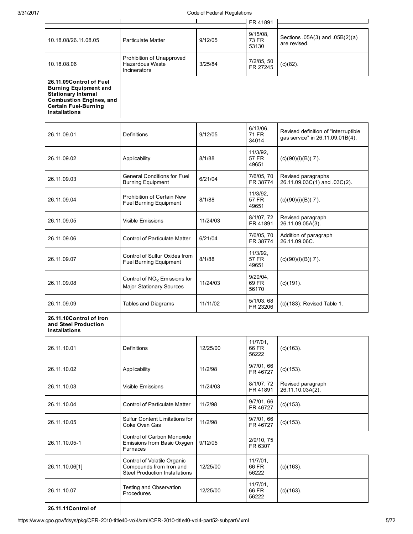|                                                                                                                                                                                |                                                                                                 |          | FR 41891                             |                                                                          |
|--------------------------------------------------------------------------------------------------------------------------------------------------------------------------------|-------------------------------------------------------------------------------------------------|----------|--------------------------------------|--------------------------------------------------------------------------|
| 10.18.08/26.11.08.05                                                                                                                                                           | <b>Particulate Matter</b>                                                                       | 9/12/05  | $9/15/08$ ,<br><b>73 FR</b><br>53130 | Sections .05A(3) and .05B(2)(a)<br>are revised.                          |
| 10.18.08.06                                                                                                                                                                    | Prohibition of Unapproved<br>Hazardous Waste<br>Incinerators                                    | 3/25/84  | 7/2/85, 50<br>FR 27245               | $(c)(82)$ .                                                              |
| 26.11.09Control of Fuel<br><b>Burning Equipment and</b><br><b>Stationary Internal</b><br><b>Combustion Engines, and</b><br><b>Certain Fuel-Burning</b><br><b>Installations</b> |                                                                                                 |          |                                      |                                                                          |
| 26.11.09.01                                                                                                                                                                    | Definitions                                                                                     | 9/12/05  | $6/13/06$ ,<br>71 FR<br>34014        | Revised definition of "interruptible<br>gas service" in 26.11.09.01B(4). |
| 26.11.09.02                                                                                                                                                                    | Applicability                                                                                   | 8/1/88   | 11/3/92,<br>57 FR<br>49651           | $(c)(90)(i)(B)(7)$ .                                                     |
| 26.11.09.03                                                                                                                                                                    | <b>General Conditions for Fuel</b><br><b>Burning Equipment</b>                                  | 6/21/04  | 7/6/05, 70<br>FR 38774               | Revised paragraphs<br>26.11.09.03C(1) and .03C(2).                       |
| 26.11.09.04                                                                                                                                                                    | Prohibition of Certain New<br><b>Fuel Burning Equipment</b>                                     | 8/1/88   | 11/3/92,<br>57 FR<br>49651           | $(c)(90)(i)(B)(7)$ .                                                     |
| 26.11.09.05                                                                                                                                                                    | <b>Visible Emissions</b>                                                                        | 11/24/03 | 8/1/07, 72<br>FR 41891               | Revised paragraph<br>26.11.09.05A(3).                                    |
| 26.11.09.06                                                                                                                                                                    | <b>Control of Particulate Matter</b>                                                            | 6/21/04  | 7/6/05, 70<br>FR 38774               | Addition of paragraph<br>26.11.09.06C.                                   |
| 26.11.09.07                                                                                                                                                                    | Control of Sulfur Oxides from<br>Fuel Burning Equipment                                         | 8/1/88   | 11/3/92,<br>57 FR<br>49651           | $(c)(90)(i)(B)(7)$ .                                                     |
| 26.11.09.08                                                                                                                                                                    | Control of $NOx$ Emissions for<br><b>Major Stationary Sources</b>                               | 11/24/03 | $9/20/04$ ,<br>69 FR<br>56170        | $(c)(191)$ .                                                             |
| 26.11.09.09                                                                                                                                                                    | Tables and Diagrams                                                                             | 11/11/02 | 5/1/03, 68<br>FR 23206               | (c)(183); Revised Table 1.                                               |
| 26.11.10Control of Iron<br>and Steel Production<br><b>Installations</b>                                                                                                        |                                                                                                 |          |                                      |                                                                          |
| 26.11.10.01                                                                                                                                                                    | <b>Definitions</b>                                                                              | 12/25/00 | $11/7/01$ ,<br>66 FR<br>56222        | $(c)(163)$ .                                                             |
| 26.11.10.02                                                                                                                                                                    | Applicability                                                                                   | 11/2/98  | 9/7/01, 66<br>FR 46727               | $(c)(153)$ .                                                             |
| 26.11.10.03                                                                                                                                                                    | <b>Visible Emissions</b>                                                                        | 11/24/03 | 8/1/07, 72<br>FR 41891               | Revised paragraph<br>26.11.10.03A(2).                                    |
| 26.11.10.04                                                                                                                                                                    | <b>Control of Particulate Matter</b>                                                            | 11/2/98  | 9/7/01, 66<br>FR 46727               | $(c)(153)$ .                                                             |
| 26.11.10.05                                                                                                                                                                    | Sulfur Content Limitations for<br>Coke Oven Gas                                                 | 11/2/98  | 9/7/01, 66<br>FR 46727               | $(c)(153)$ .                                                             |
| 26.11.10.05-1                                                                                                                                                                  | Control of Carbon Monoxide<br>Emissions from Basic Oxygen<br>Furnaces                           | 9/12/05  | 2/9/10, 75<br>FR 6307                |                                                                          |
| 26.11.10.06[1]                                                                                                                                                                 | Control of Volatile Organic<br>Compounds from Iron and<br><b>Steel Production Installations</b> | 12/25/00 | $11/7/01$ ,<br>66 FR<br>56222        | $(c)(163)$ .                                                             |
| 26.11.10.07                                                                                                                                                                    | Testing and Observation<br>Procedures                                                           | 12/25/00 | $11/7/01$ ,<br>66 FR<br>56222        | $(c)(163)$ .                                                             |
| 26.11.11Control of                                                                                                                                                             |                                                                                                 |          |                                      |                                                                          |

26.11.11Control of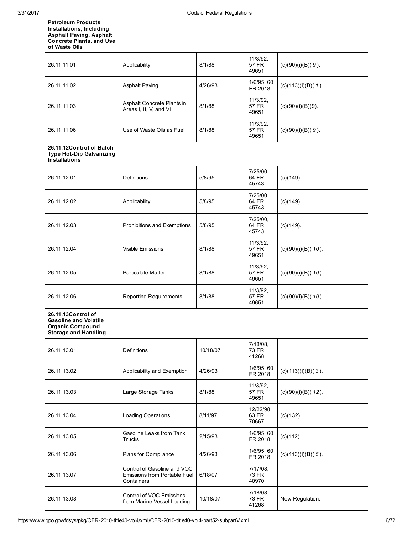| <b>Petroleum Products</b><br>Installations, Including<br><b>Asphalt Paving, Asphalt</b><br><b>Concrete Plants, and Use</b><br>of Waste Oils |                                                                                  |          |                                   |                       |
|---------------------------------------------------------------------------------------------------------------------------------------------|----------------------------------------------------------------------------------|----------|-----------------------------------|-----------------------|
| 26.11.11.01                                                                                                                                 | Applicability                                                                    | 8/1/88   | 11/3/92,<br><b>57 FR</b><br>49651 | $(c)(90)(i)(B)(9)$ .  |
| 26.11.11.02                                                                                                                                 | <b>Asphalt Paving</b>                                                            | 4/26/93  | 1/6/95, 60<br>FR 2018             | $(c)(113)(i)(B)(1)$ . |
| 26.11.11.03                                                                                                                                 | Asphalt Concrete Plants in<br>Areas I, II, V, and VI                             | 8/1/88   | 11/3/92,<br>57 FR<br>49651        | $(c)(90)(i)(B)(9)$ .  |
| 26.11.11.06                                                                                                                                 | Use of Waste Oils as Fuel                                                        | 8/1/88   | 11/3/92,<br>57 FR<br>49651        | $(c)(90)(i)(B)(9)$ .  |
| 26.11.12Control of Batch<br><b>Type Hot-Dip Galvanizing</b><br><b>Installations</b>                                                         |                                                                                  |          |                                   |                       |
| 26.11.12.01                                                                                                                                 | Definitions                                                                      | 5/8/95   | 7/25/00,<br>64 FR<br>45743        | $(c)(149)$ .          |
| 26.11.12.02                                                                                                                                 | Applicability                                                                    | 5/8/95   | 7/25/00,<br>64 FR<br>45743        | $(c)(149)$ .          |
| 26.11.12.03                                                                                                                                 | Prohibitions and Exemptions                                                      | 5/8/95   | 7/25/00,<br>64 FR<br>45743        | $(c)(149)$ .          |
| 26.11.12.04                                                                                                                                 | <b>Visible Emissions</b>                                                         | 8/1/88   | 11/3/92,<br>57 FR<br>49651        | $(c)(90)(i)(B)(10)$ . |
| 26.11.12.05                                                                                                                                 | <b>Particulate Matter</b>                                                        | 8/1/88   | 11/3/92,<br><b>57 FR</b><br>49651 | $(c)(90)(i)(B)(10)$ . |
| 26.11.12.06                                                                                                                                 | <b>Reporting Requirements</b>                                                    | 8/1/88   | 11/3/92,<br>57 FR<br>49651        | $(c)(90)(i)(B)(10)$ . |
| 26.11.13Control of<br><b>Gasoline and Volatile</b><br><b>Organic Compound</b><br><b>Storage and Handling</b>                                |                                                                                  |          |                                   |                       |
| 26.11.13.01                                                                                                                                 | Definitions                                                                      | 10/18/07 | 7/18/08,<br>73 FR<br>41268        |                       |
| 26.11.13.02                                                                                                                                 | Applicability and Exemption                                                      | 4/26/93  | 1/6/95, 60<br>FR 2018             | $(c)(113)(i)(B)(3)$ . |
| 26.11.13.03                                                                                                                                 | Large Storage Tanks                                                              | 8/1/88   | 11/3/92,<br>57 FR<br>49651        | $(c)(90)(i)(B)(12)$ . |
| 26.11.13.04                                                                                                                                 | Loading Operations                                                               | 8/11/97  | 12/22/98,<br>63 FR<br>70667       | $(c)(132)$ .          |
| 26.11.13.05                                                                                                                                 | Gasoline Leaks from Tank<br>Trucks                                               | 2/15/93  | 1/6/95, 60<br>FR 2018             | $(c)(112)$ .          |
| 26.11.13.06                                                                                                                                 | Plans for Compliance                                                             | 4/26/93  | 1/6/95, 60<br>FR 2018             | $(c)(113)(i)(B)(5)$ . |
| 26.11.13.07                                                                                                                                 | Control of Gasoline and VOC<br><b>Emissions from Portable Fuel</b><br>Containers | 6/18/07  | 7/17/08,<br><b>73 FR</b><br>40970 |                       |
| 26.11.13.08                                                                                                                                 | Control of VOC Emissions<br>from Marine Vessel Loading                           | 10/18/07 | 7/18/08,<br>73 FR<br>41268        | New Regulation.       |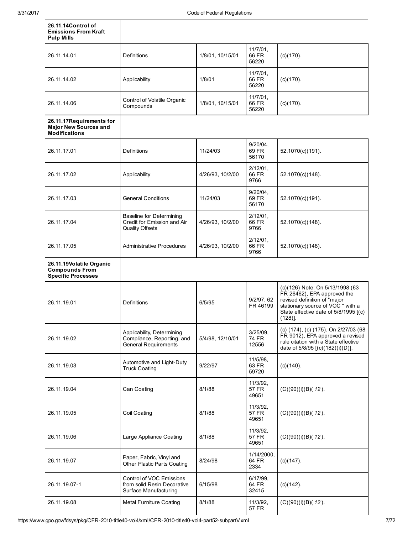| 26.11.14Control of<br><b>Emissions From Kraft</b><br><b>Pulp Mills</b>           |                                                                                          |                  |                               |                                                                                                                                                                                            |
|----------------------------------------------------------------------------------|------------------------------------------------------------------------------------------|------------------|-------------------------------|--------------------------------------------------------------------------------------------------------------------------------------------------------------------------------------------|
| 26.11.14.01                                                                      | <b>Definitions</b>                                                                       | 1/8/01, 10/15/01 | $11/7/01$ ,<br>66 FR<br>56220 | $(c)(170)$ .                                                                                                                                                                               |
| 26.11.14.02                                                                      | Applicability                                                                            | 1/8/01           | 11/7/01,<br>66 FR<br>56220    | $(c)(170)$ .                                                                                                                                                                               |
| 26.11.14.06                                                                      | Control of Volatile Organic<br>Compounds                                                 | 1/8/01, 10/15/01 | 11/7/01,<br>66 FR<br>56220    | $(c)(170)$ .                                                                                                                                                                               |
| 26.11.17Requirements for<br><b>Major New Sources and</b><br><b>Modifications</b> |                                                                                          |                  |                               |                                                                                                                                                                                            |
| 26.11.17.01                                                                      | <b>Definitions</b>                                                                       | 11/24/03         | $9/20/04$ ,<br>69 FR<br>56170 | 52.1070(c)(191).                                                                                                                                                                           |
| 26.11.17.02                                                                      | Applicability                                                                            | 4/26/93, 10/2/00 | $2/12/01$ ,<br>66 FR<br>9766  | 52.1070(c)(148).                                                                                                                                                                           |
| 26.11.17.03                                                                      | <b>General Conditions</b>                                                                | 11/24/03         | $9/20/04$ ,<br>69 FR<br>56170 | 52.1070(c)(191).                                                                                                                                                                           |
| 26.11.17.04                                                                      | <b>Baseline for Determining</b><br>Credit for Emission and Air<br><b>Quality Offsets</b> | 4/26/93, 10/2/00 | $2/12/01$ ,<br>66 FR<br>9766  | 52.1070(c)(148).                                                                                                                                                                           |
| 26.11.17.05                                                                      | Administrative Procedures                                                                | 4/26/93, 10/2/00 | $2/12/01$ ,<br>66 FR<br>9766  | 52.1070(c)(148).                                                                                                                                                                           |
| 26.11.19Volatile Organic<br><b>Compounds From</b><br><b>Specific Processes</b>   |                                                                                          |                  |                               |                                                                                                                                                                                            |
| 26.11.19.01                                                                      | <b>Definitions</b>                                                                       | 6/5/95           | 9/2/97, 62<br>FR 46199        | (c)(126) Note: On 5/13/1998 (63<br>FR 26462), EPA approved the<br>revised definition of "major<br>stationary source of VOC " with a<br>State effective date of 5/8/1995 [(c)<br>$(128)$ ]. |
| 26.11.19.02                                                                      | Applicability, Determining<br>Compliance, Reporting, and<br><b>General Requirements</b>  | 5/4/98, 12/10/01 | $3/25/09$ ,<br>74 FR<br>12556 | (c) (174), (c) (175). On 2/27/03 (68<br>FR 9012), EPA approved a revised<br>rule citation with a State effective<br>date of 5/8/95 [(c)(182)(i)(D)].                                       |
| 26.11.19.03                                                                      | Automotive and Light-Duty<br><b>Truck Coating</b>                                        | 9/22/97          | 11/5/98,<br>63 FR<br>59720    | $(c)(140)$ .                                                                                                                                                                               |
| 26.11.19.04                                                                      | Can Coating                                                                              | 8/1/88           | 11/3/92,<br>57 FR<br>49651    | $(C)(90)(i)(B)(12)$ .                                                                                                                                                                      |
| 26.11.19.05                                                                      | Coil Coating                                                                             | 8/1/88           | 11/3/92,<br>57 FR<br>49651    | $(C)(90)(i)(B)(12)$ .                                                                                                                                                                      |
| 26.11.19.06                                                                      | Large Appliance Coating                                                                  | 8/1/88           | 11/3/92,<br>57 FR<br>49651    | $(C)(90)(i)(B)(12)$ .                                                                                                                                                                      |
| 26.11.19.07                                                                      | Paper, Fabric, Vinyl and<br>Other Plastic Parts Coating                                  | 8/24/98          | 1/14/2000,<br>64 FR<br>2334   | $(c)(147)$ .                                                                                                                                                                               |
| 26.11.19.07-1                                                                    | <b>Control of VOC Emissions</b><br>from solid Resin Decorative<br>Surface Manufacturing  | 6/15/98          | 6/17/99,<br>64 FR<br>32415    | $(c)(142)$ .                                                                                                                                                                               |
| 26.11.19.08                                                                      | <b>Metal Furniture Coating</b>                                                           | 8/1/88           | 11/3/92,<br>57 FR             | $(C)(90)(i)(B)(12)$ .                                                                                                                                                                      |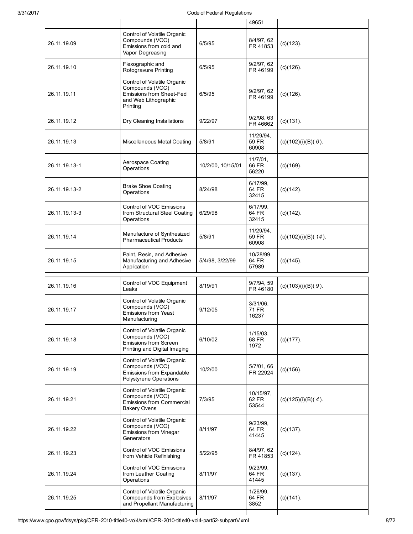|               |                                                                                                                |                   | 49651                         |                       |
|---------------|----------------------------------------------------------------------------------------------------------------|-------------------|-------------------------------|-----------------------|
| 26.11.19.09   | Control of Volatile Organic<br>Compounds (VOC)<br>Emissions from cold and<br>Vapor Degreasing                  | 6/5/95            | 8/4/97, 62<br>FR 41853        | $(c)(123)$ .          |
| 26.11.19.10   | Flexographic and<br>Rotogravure Printing                                                                       | 6/5/95            | 9/2/97, 62<br>FR 46199        | $(c)(126)$ .          |
| 26.11.19.11   | Control of Volatile Organic<br>Compounds (VOC)<br>Emissions from Sheet-Fed<br>and Web Lithographic<br>Printing | 6/5/95            | 9/2/97, 62<br>FR 46199        | $(c)(126)$ .          |
| 26.11.19.12   | Dry Cleaning Installations                                                                                     | 9/22/97           | 9/2/98, 63<br>FR 46662        | $(c)(131)$ .          |
| 26.11.19.13   | Miscellaneous Metal Coating                                                                                    | 5/8/91            | 11/29/94,<br>59 FR<br>60908   | $(c)(102)(i)(B)(6)$ . |
| 26.11.19.13-1 | Aerospace Coating<br>Operations                                                                                | 10/2/00, 10/15/01 | 11/7/01,<br>66 FR<br>56220    | $(c)(169)$ .          |
| 26.11.19.13-2 | <b>Brake Shoe Coating</b><br>Operations                                                                        | 8/24/98           | 6/17/99,<br>64 FR<br>32415    | $(c)(142)$ .          |
| 26.11.19.13-3 | Control of VOC Emissions<br>from Structural Steel Coating<br>Operations                                        | 6/29/98           | 6/17/99,<br>64 FR<br>32415    | $(c)(142)$ .          |
| 26.11.19.14   | Manufacture of Synthesized<br><b>Pharmaceutical Products</b>                                                   | 5/8/91            | 11/29/94,<br>59 FR<br>60908   | (c)(102)(i)(B)(14).   |
| 26.11.19.15   | Paint, Resin, and Adhesive<br>Manufacturing and Adhesive<br>Application                                        | 5/4/98, 3/22/99   | 10/28/99,<br>64 FR<br>57989   | $(c)(145)$ .          |
| 26.11.19.16   | Control of VOC Equipment<br>Leaks                                                                              | 8/19/91           | 9/7/94, 59<br>FR 46180        | $(c)(103)(i)(B)(9)$ . |
| 26.11.19.17   | Control of Volatile Organic<br>Compounds (VOC)<br><b>Emissions from Yeast</b><br>Manufacturing                 | 9/12/05           | $3/31/06$ .<br>71 FR<br>16237 |                       |
| 26.11.19.18   | Control of Volatile Organic<br>Compounds (VOC)<br><b>Emissions from Screen</b><br>Printing and Digital Imaging | 6/10/02           | $1/15/03$ ,<br>68 FR<br>1972  | $(c)(177)$ .          |
| 26.11.19.19   | Control of Volatile Organic<br>Compounds (VOC)<br>Emissions from Expandable<br>Polystyrene Operations          | 10/2/00           | 5/7/01, 66<br>FR 22924        | $(c)(156)$ .          |
| 26.11.19.21   | Control of Volatile Organic<br>Compounds (VOC)<br><b>Emissions from Commercial</b><br><b>Bakery Ovens</b>      | 7/3/95            | 10/15/97,<br>62 FR<br>53544   | $(c)(125)(i)(B)(4)$ . |
| 26.11.19.22   | Control of Volatile Organic<br>Compounds (VOC)<br>Emissions from Vinegar<br>Generators                         | 8/11/97           | 9/23/99,<br>64 FR<br>41445    | $(c)(137)$ .          |
| 26.11.19.23   | Control of VOC Emissions<br>from Vehicle Refinishing                                                           | 5/22/95           | 8/4/97, 62<br>FR 41853        | $(c)(124)$ .          |
| 26.11.19.24   | Control of VOC Emissions<br>from Leather Coating<br>Operations                                                 | 8/11/97           | 9/23/99,<br>64 FR<br>41445    | $(c)(137)$ .          |
| 26.11.19.25   | Control of Volatile Organic<br>Compounds from Explosives<br>and Propellant Manufacturing                       | 8/11/97           | 1/26/99,<br>64 FR<br>3852     | $(c)(141)$ .          |
|               |                                                                                                                |                   |                               |                       |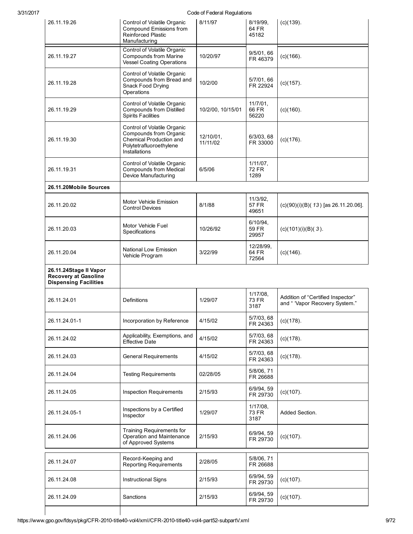| 3/31/2017 | Code of Federal Regulations                                                           |                                                                                                                              |                       |                                     |                                                                     |
|-----------|---------------------------------------------------------------------------------------|------------------------------------------------------------------------------------------------------------------------------|-----------------------|-------------------------------------|---------------------------------------------------------------------|
|           | 26.11.19.26                                                                           | Control of Volatile Organic<br>Compound Emissions from<br>Reinforced Plastic<br>Manufacturing                                | 8/11/97               | 8/19/99,<br>64 FR<br>45182          | $(c)(139)$ .                                                        |
|           | 26.11.19.27                                                                           | Control of Volatile Organic<br><b>Compounds from Marine</b><br><b>Vessel Coating Operations</b>                              | 10/20/97              | 9/5/01, 66<br>FR 46379              | $(c)(166)$ .                                                        |
|           | 26.11.19.28                                                                           | Control of Volatile Organic<br>Compounds from Bread and<br>Snack Food Drying<br>Operations                                   | 10/2/00               | 5/7/01, 66<br>FR 22924              | $(c)(157)$ .                                                        |
|           | 26.11.19.29                                                                           | Control of Volatile Organic<br><b>Compounds from Distilled</b><br><b>Spirits Facilities</b>                                  | 10/2/00, 10/15/01     | $11/7/01$ ,<br>66 FR<br>56220       | $(c)(160)$ .                                                        |
|           | 26.11.19.30                                                                           | Control of Volatile Organic<br>Compounds from Organic<br>Chemical Production and<br>Polytetrafluoroethylene<br>Installations | 12/10/01,<br>11/11/02 | 6/3/03, 68<br>FR 33000              | $(c)(176)$ .                                                        |
|           | 26.11.19.31                                                                           | Control of Volatile Organic<br><b>Compounds from Medical</b><br>Device Manufacturing                                         | 6/5/06                | $1/11/07$ ,<br>72 FR<br>1289        |                                                                     |
|           | 26.11.20Mobile Sources                                                                |                                                                                                                              |                       |                                     |                                                                     |
|           | 26.11.20.02                                                                           | Motor Vehicle Emission<br><b>Control Devices</b>                                                                             | 8/1/88                | 11/3/92,<br>57 FR<br>49651          | $(c)(90)(i)(B)(13)$ [as 26.11.20.06].                               |
|           | 26.11.20.03                                                                           | Motor Vehicle Fuel<br>Specifications                                                                                         | 10/26/92              | $6/10/94$ ,<br>59 FR<br>29957       | $(c)(101)(i)(B)(3)$ .                                               |
|           | 26.11.20.04                                                                           | National Low Emission<br>Vehicle Program                                                                                     | 3/22/99               | 12/28/99,<br>64 FR<br>72564         | $(c)(146)$ .                                                        |
|           | 26.11.24Stage II Vapor<br><b>Recovery at Gasoline</b><br><b>Dispensing Facilities</b> |                                                                                                                              |                       |                                     |                                                                     |
|           | 26.11.24.01                                                                           | <b>Definitions</b>                                                                                                           | 1/29/07               | $1/17/08$ ,<br><b>73 FR</b><br>3187 | Addition of "Certified Inspector"<br>and " 'Vapor Recovery System." |
|           | 26.11.24.01-1                                                                         | Incorporation by Reference                                                                                                   | 4/15/02               | 5/7/03, 68<br>FR 24363              | $(c)(178)$ .                                                        |
|           | 26.11.24.02                                                                           | Applicability, Exemptions, and<br><b>Effective Date</b>                                                                      | 4/15/02               | 5/7/03, 68<br>FR 24363              | $(c)(178)$ .                                                        |
|           | 26.11.24.03                                                                           | <b>General Requirements</b>                                                                                                  | 4/15/02               | 5/7/03, 68<br>FR 24363              | $(c)(178)$ .                                                        |
|           | 26.11.24.04                                                                           | <b>Testing Requirements</b>                                                                                                  | 02/28/05              | 5/8/06, 71<br>FR 26688              |                                                                     |
|           | 26.11.24.05                                                                           | <b>Inspection Requirements</b>                                                                                               | 2/15/93               | 6/9/94, 59<br>FR 29730              | $(c)(107)$ .                                                        |
|           | 26.11.24.05-1                                                                         | Inspections by a Certified<br>Inspector                                                                                      | 1/29/07               | 1/17/08,<br>73 FR<br>3187           | Added Section.                                                      |
|           | 26.11.24.06                                                                           | Training Requirements for<br>Operation and Maintenance<br>of Approved Systems                                                | 2/15/93               | 6/9/94, 59<br>FR 29730              | $(c)(107)$ .                                                        |
|           |                                                                                       |                                                                                                                              |                       | 5/8/06, 71                          |                                                                     |
|           | 26.11.24.07                                                                           | Record-Keeping and<br><b>Reporting Requirements</b>                                                                          | 2/28/05               | FR 26688                            |                                                                     |
|           | 26.11.24.08                                                                           | <b>Instructional Signs</b>                                                                                                   | 2/15/93               | 6/9/94, 59<br>FR 29730              | $(c)(107)$ .                                                        |
|           | 26.11.24.09                                                                           | Sanctions                                                                                                                    | 2/15/93               | 6/9/94, 59<br>FR 29730              | $(c)(107)$ .                                                        |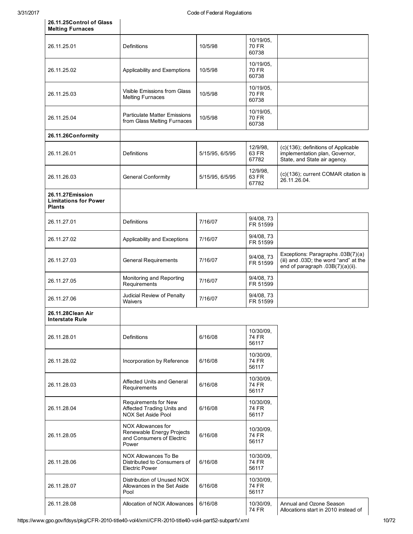26.11.25Control of Glass

 $\overline{\phantom{a}}$ 

| <b>Melting Furnaces</b>                                           |                                                                                       |                 |                                    |                                                                                                                |
|-------------------------------------------------------------------|---------------------------------------------------------------------------------------|-----------------|------------------------------------|----------------------------------------------------------------------------------------------------------------|
| 26.11.25.01                                                       | Definitions                                                                           | 10/5/98         | 10/19/05,<br>70 FR<br>60738        |                                                                                                                |
| 26.11.25.02                                                       | Applicability and Exemptions                                                          | 10/5/98         | 10/19/05,<br>70 FR<br>60738        |                                                                                                                |
| 26.11.25.03                                                       | Visible Emissions from Glass<br><b>Melting Furnaces</b>                               | 10/5/98         | 10/19/05,<br><b>70 FR</b><br>60738 |                                                                                                                |
| 26.11.25.04                                                       | <b>Particulate Matter Emissions</b><br>from Glass Melting Furnaces                    | 10/5/98         | 10/19/05,<br>70 FR<br>60738        |                                                                                                                |
| 26.11.26Conformity                                                |                                                                                       |                 |                                    |                                                                                                                |
| 26.11.26.01                                                       | Definitions                                                                           | 5/15/95, 6/5/95 | 12/9/98.<br>63 FR<br>67782         | (c)(136); definitions of Applicable<br>implementation plan, Governor,<br>State, and State air agency.          |
| 26.11.26.03                                                       | <b>General Conformity</b>                                                             | 5/15/95, 6/5/95 | 12/9/98,<br>63 FR<br>67782         | (c)(136); current COMAR citation is<br>26.11.26.04.                                                            |
| 26.11.27Emission<br><b>Limitations for Power</b><br><b>Plants</b> |                                                                                       |                 |                                    |                                                                                                                |
| 26.11.27.01                                                       | Definitions                                                                           | 7/16/07         | 9/4/08, 73<br>FR 51599             |                                                                                                                |
| 26.11.27.02                                                       | Applicability and Exceptions                                                          | 7/16/07         | 9/4/08, 73<br>FR 51599             |                                                                                                                |
| 26.11.27.03                                                       | <b>General Requirements</b>                                                           | 7/16/07         | 9/4/08, 73<br>FR 51599             | Exceptions: Paragraphs .03B(7)(a)<br>(iii) and .03D; the word "and" at the<br>end of paragraph .03B(7)(a)(ii). |
| 26.11.27.05                                                       | Monitoring and Reporting<br>Requirements                                              | 7/16/07         | 9/4/08, 73<br>FR 51599             |                                                                                                                |
| 26.11.27.06                                                       | Judicial Review of Penalty<br>Waivers                                                 | 7/16/07         | 9/4/08, 73<br>FR 51599             |                                                                                                                |
| 26.11.28Clean Air<br><b>Interstate Rule</b>                       |                                                                                       |                 |                                    |                                                                                                                |
| 26.11.28.01                                                       | Definitions                                                                           | 6/16/08         | 10/30/09,<br>74 FR<br>56117        |                                                                                                                |
| 26.11.28.02                                                       | Incorporation by Reference                                                            | 6/16/08         | 10/30/09,<br>74 FR<br>56117        |                                                                                                                |
| 26.11.28.03                                                       | Affected Units and General<br>Requirements                                            | 6/16/08         | 10/30/09,<br>74 FR<br>56117        |                                                                                                                |
| 26.11.28.04                                                       | Requirements for New<br>Affected Trading Units and<br><b>NOX Set Aside Pool</b>       | 6/16/08         | 10/30/09,<br>74 FR<br>56117        |                                                                                                                |
| 26.11.28.05                                                       | NOX Allowances for<br>Renewable Energy Projects<br>and Consumers of Electric<br>Power | 6/16/08         | 10/30/09,<br>74 FR<br>56117        |                                                                                                                |
| 26.11.28.06                                                       | NOX Allowances To Be<br>Distributed to Consumers of<br><b>Electric Power</b>          | 6/16/08         | 10/30/09,<br>74 FR<br>56117        |                                                                                                                |
| 26.11.28.07                                                       | Distribution of Unused NOX<br>Allowances in the Set Aside<br>Pool                     | 6/16/08         | 10/30/09,<br>74 FR<br>56117        |                                                                                                                |
| 26.11.28.08                                                       | Allocation of NOX Allowances                                                          | 6/16/08         | 10/30/09,<br>74 FR                 | Annual and Ozone Season<br>Allocations start in 2010 instead of                                                |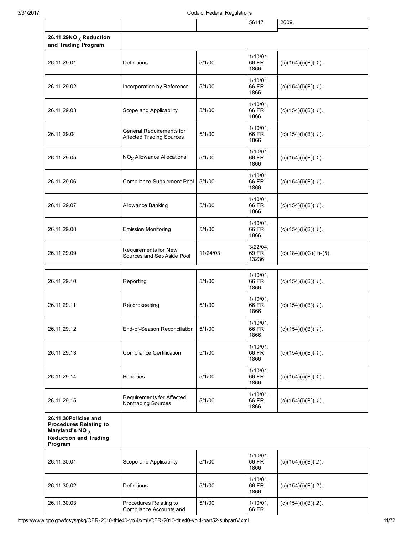| 3/31/2017                                                                                                                       | Code of Federal Regulations                                 |          |                              |                          |
|---------------------------------------------------------------------------------------------------------------------------------|-------------------------------------------------------------|----------|------------------------------|--------------------------|
|                                                                                                                                 |                                                             |          | 56117                        | 2009.                    |
| 26.11.29NO $_{\text{X}}$ Reduction<br>and Trading Program                                                                       |                                                             |          |                              |                          |
| 26.11.29.01                                                                                                                     | Definitions                                                 | 5/1/00   | 1/10/01,<br>66 FR<br>1866    | $(c)(154)(i)(B)(1)$ .    |
| 26.11.29.02                                                                                                                     | Incorporation by Reference                                  | 5/1/00   | 1/10/01,<br>66 FR<br>1866    | $(c)(154)(i)(B)(1)$ .    |
| 26.11.29.03                                                                                                                     | Scope and Applicability                                     | 5/1/00   | 1/10/01,<br>66 FR<br>1866    | $(c)(154)(i)(B)(1)$ .    |
| 26.11.29.04                                                                                                                     | General Requirements for<br><b>Affected Trading Sources</b> | 5/1/00   | 1/10/01,<br>66 FR<br>1866    | $(c)(154)(i)(B)(1)$ .    |
| 26.11.29.05                                                                                                                     | $NOx$ Allowance Allocations                                 | 5/1/00   | 1/10/01,<br>66 FR<br>1866    | $(c)(154)(i)(B)(1)$ .    |
| 26.11.29.06                                                                                                                     | Compliance Supplement Pool                                  | 5/1/00   | 1/10/01,<br>66 FR<br>1866    | $(c)(154)(i)(B)(1)$ .    |
| 26.11.29.07                                                                                                                     | Allowance Banking                                           | 5/1/00   | $1/10/01$ ,<br>66 FR<br>1866 | $(c)(154)(i)(B)(1)$ .    |
| 26.11.29.08                                                                                                                     | <b>Emission Monitoring</b>                                  | 5/1/00   | 1/10/01,<br>66 FR<br>1866    | $(c)(154)(i)(B)(1)$ .    |
| 26.11.29.09                                                                                                                     | Requirements for New<br>Sources and Set-Aside Pool          | 11/24/03 | 3/22/04,<br>69 FR<br>13236   | $(c)(184)(i)(C)(1)-(5).$ |
| 26.11.29.10                                                                                                                     | Reporting                                                   | 5/1/00   | $1/10/01$ ,<br>66 FR<br>1866 | $(c)(154)(i)(B)(1)$ .    |
| 26.11.29.11                                                                                                                     | Recordkeeping                                               | 5/1/00   | $1/10/01$ ,<br>66 FR<br>1866 | $(c)(154)(i)(B)(1)$ .    |
| 26.11.29.12                                                                                                                     | End-of-Season Reconciliation                                | 5/1/00   | $1/10/01$ ,<br>66 FR<br>1866 | $(c)(154)(i)(B)(1)$ .    |
| 26.11.29.13                                                                                                                     | <b>Compliance Certification</b>                             | 5/1/00   | $1/10/01$ ,<br>66 FR<br>1866 | $(c)(154)(i)(B)(1)$ .    |
| 26.11.29.14                                                                                                                     | Penalties                                                   | 5/1/00   | 1/10/01,<br>66 FR<br>1866    | $(c)(154)(i)(B)(1)$ .    |
| 26.11.29.15                                                                                                                     | Requirements for Affected<br>Nontrading Sources             | 5/1/00   | $1/10/01$ ,<br>66 FR<br>1866 | $(c)(154)(i)(B)(1)$ .    |
| 26.11.30Policies and<br><b>Procedures Relating to</b><br>Maryland's NO $_{\text{X}}$<br><b>Reduction and Trading</b><br>Program |                                                             |          |                              |                          |
| 26.11.30.01                                                                                                                     | Scope and Applicability                                     | 5/1/00   | $1/10/01$ ,<br>66 FR<br>1866 | $(c)(154)(i)(B)(2)$ .    |
| 26.11.30.02                                                                                                                     | Definitions                                                 | 5/1/00   | 1/10/01,<br>66 FR<br>1866    | $(c)(154)(i)(B)(2)$ .    |
| 26.11.30.03                                                                                                                     | Procedures Relating to<br>Compliance Accounts and           | 5/1/00   | $1/10/01$ ,<br>66 FR         | $(c)(154)(i)(B)(2)$ .    |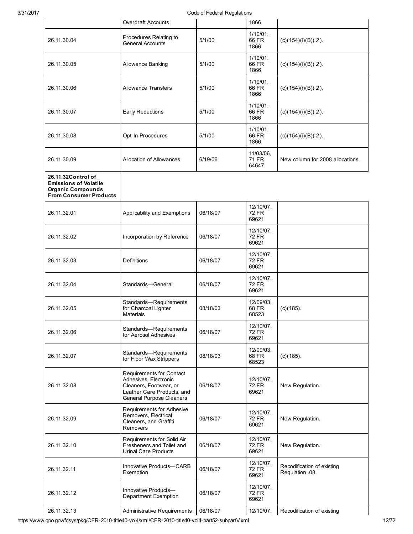|                                                                                                                 | <b>Overdraft Accounts</b>                                                                                                                    | ovuc on neueran regulatione | 1866                               |                                               |
|-----------------------------------------------------------------------------------------------------------------|----------------------------------------------------------------------------------------------------------------------------------------------|-----------------------------|------------------------------------|-----------------------------------------------|
| 26.11.30.04                                                                                                     | Procedures Relating to<br><b>General Accounts</b>                                                                                            | 5/1/00                      | 1/10/01,<br>66 FR<br>1866          | $(c)(154)(i)(B)(2)$ .                         |
| 26.11.30.05                                                                                                     | Allowance Banking                                                                                                                            | 5/1/00                      | $1/10/01$ ,<br>66 FR<br>1866       | $(c)(154)(i)(B)(2)$ .                         |
| 26.11.30.06                                                                                                     | <b>Allowance Transfers</b>                                                                                                                   | 5/1/00                      | $1/10/01$ ,<br>66 FR<br>1866       | $(c)(154)(i)(B)(2)$ .                         |
| 26.11.30.07                                                                                                     | Early Reductions                                                                                                                             | 5/1/00                      | $1/10/01$ ,<br>66 FR<br>1866       | $(c)(154)(i)(B)(2)$ .                         |
| 26.11.30.08                                                                                                     | Opt-In Procedures                                                                                                                            | 5/1/00                      | $1/10/01$ ,<br>66 FR<br>1866       | $(c)(154)(i)(B)(2)$ .                         |
| 26.11.30.09                                                                                                     | Allocation of Allowances                                                                                                                     | 6/19/06                     | 11/03/06,<br>71 FR<br>64647        | New column for 2008 allocations.              |
| 26.11.32Control of<br><b>Emissions of Volatile</b><br><b>Organic Compounds</b><br><b>From Consumer Products</b> |                                                                                                                                              |                             |                                    |                                               |
| 26.11.32.01                                                                                                     | Applicability and Exemptions                                                                                                                 | 06/18/07                    | 12/10/07,<br><b>72 FR</b><br>69621 |                                               |
| 26.11.32.02                                                                                                     | Incorporation by Reference                                                                                                                   | 06/18/07                    | 12/10/07,<br><b>72 FR</b><br>69621 |                                               |
| 26.11.32.03                                                                                                     | Definitions                                                                                                                                  | 06/18/07                    | 12/10/07,<br><b>72 FR</b><br>69621 |                                               |
| 26.11.32.04                                                                                                     | Standards-General                                                                                                                            | 06/18/07                    | 12/10/07,<br><b>72 FR</b><br>69621 |                                               |
| 26.11.32.05                                                                                                     | Standards-Requirements<br>for Charcoal Lighter<br>Materials                                                                                  | 08/18/03                    | 12/09/03,<br>68 FR<br>68523        | $(c)(185)$ .                                  |
| 26.11.32.06                                                                                                     | Standards-Requirements<br>for Aerosol Adhesives                                                                                              | 06/18/07                    | 12/10/07,<br><b>72 FR</b><br>69621 |                                               |
| 26.11.32.07                                                                                                     | Standards-Requirements<br>for Floor Wax Strippers                                                                                            | 08/18/03                    | 12/09/03,<br>68 FR<br>68523        | $(c)(185)$ .                                  |
| 26.11.32.08                                                                                                     | Requirements for Contact<br>Adhesives, Electronic<br>Cleaners, Footwear, or<br>Leather Care Products, and<br><b>General Purpose Cleaners</b> | 06/18/07                    | 12/10/07,<br><b>72 FR</b><br>69621 | New Regulation.                               |
| 26.11.32.09                                                                                                     | Requirements for Adhesive<br>Removers, Electrical<br>Cleaners, and Graffiti<br>Removers                                                      | 06/18/07                    | 12/10/07,<br>72 FR<br>69621        | New Regulation.                               |
| 26.11.32.10                                                                                                     | Requirements for Solid Air<br>Fresheners and Toilet and<br><b>Urinal Care Products</b>                                                       | 06/18/07                    | 12/10/07,<br>72 FR<br>69621        | New Regulation.                               |
| 26.11.32.11                                                                                                     | Innovative Products-CARB<br>Exemption                                                                                                        | 06/18/07                    | 12/10/07,<br>72 FR<br>69621        | Recodification of existing<br>Regulation .08. |
| 26.11.32.12                                                                                                     | Innovative Products-<br><b>Department Exemption</b>                                                                                          | 06/18/07                    | 12/10/07,<br>72 FR<br>69621        |                                               |
| 26.11.32.13                                                                                                     | Administrative Requirements                                                                                                                  | 06/18/07                    | 12/10/07,                          | Recodification of existing                    |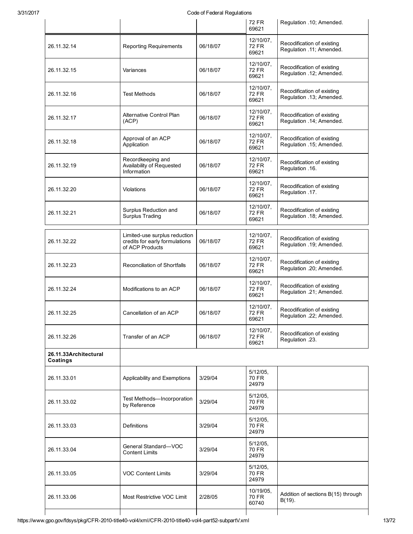|                                   |                                                                                    | ovuc on r cucran regulations |                                    |                                                        |
|-----------------------------------|------------------------------------------------------------------------------------|------------------------------|------------------------------------|--------------------------------------------------------|
|                                   |                                                                                    |                              | 72 FR<br>69621                     | Regulation .10; Amended.                               |
| 26.11.32.14                       | <b>Reporting Requirements</b>                                                      | 06/18/07                     | 12/10/07,<br>72 FR<br>69621        | Recodification of existing<br>Regulation .11; Amended. |
| 26.11.32.15                       | Variances                                                                          | 06/18/07                     | 12/10/07,<br><b>72 FR</b><br>69621 | Recodification of existing<br>Regulation .12; Amended. |
| 26.11.32.16                       | Test Methods                                                                       | 06/18/07                     | 12/10/07,<br><b>72 FR</b><br>69621 | Recodification of existing<br>Regulation .13; Amended. |
| 26.11.32.17                       | Alternative Control Plan<br>(ACP)                                                  | 06/18/07                     | 12/10/07,<br><b>72 FR</b><br>69621 | Recodification of existing<br>Regulation .14; Amended. |
| 26.11.32.18                       | Approval of an ACP<br>Application                                                  | 06/18/07                     | 12/10/07,<br><b>72 FR</b><br>69621 | Recodification of existing<br>Regulation .15; Amended. |
| 26.11.32.19                       | Recordkeeping and<br>Availability of Requested<br>Information                      | 06/18/07                     | 12/10/07,<br><b>72 FR</b><br>69621 | Recodification of existing<br>Regulation .16.          |
| 26.11.32.20                       | Violations                                                                         | 06/18/07                     | 12/10/07,<br>72 FR<br>69621        | Recodification of existing<br>Regulation .17.          |
| 26.11.32.21                       | Surplus Reduction and<br><b>Surplus Trading</b>                                    | 06/18/07                     | 12/10/07,<br>72 FR<br>69621        | Recodification of existing<br>Regulation .18; Amended. |
| 26.11.32.22                       | Limited-use surplus reduction<br>credits for early formulations<br>of ACP Products | 06/18/07                     | 12/10/07,<br><b>72 FR</b><br>69621 | Recodification of existing<br>Regulation .19; Amended. |
| 26.11.32.23                       | Reconciliation of Shortfalls                                                       | 06/18/07                     | 12/10/07,<br><b>72 FR</b><br>69621 | Recodification of existing<br>Regulation .20; Amended. |
| 26.11.32.24                       | Modifications to an ACP                                                            | 06/18/07                     | 12/10/07,<br><b>72 FR</b><br>69621 | Recodification of existing<br>Regulation .21; Amended. |
| 26.11.32.25                       | Cancellation of an ACP                                                             | 06/18/07                     | 12/10/07,<br>72 FR<br>69621        | Recodification of existing<br>Regulation .22; Amended. |
| 26.11.32.26                       | Transfer of an ACP                                                                 | 06/18/07                     | 12/10/07,<br><b>72 FR</b><br>69621 | Recodification of existing<br>Regulation .23.          |
| 26.11.33Architectural<br>Coatings |                                                                                    |                              |                                    |                                                        |
| 26.11.33.01                       | Applicability and Exemptions                                                       | 3/29/04                      | $5/12/05$ ,<br>70 FR<br>24979      |                                                        |
| 26.11.33.02                       | Test Methods-Incorporation<br>by Reference                                         | 3/29/04                      | $5/12/05$ ,<br>70 FR<br>24979      |                                                        |
| 26.11.33.03                       | Definitions                                                                        | 3/29/04                      | $5/12/05$ ,<br>70 FR<br>24979      |                                                        |
| 26.11.33.04                       | General Standard-VOC<br><b>Content Limits</b>                                      | 3/29/04                      | $5/12/05$ ,<br>70 FR<br>24979      |                                                        |
| 26.11.33.05                       | <b>VOC Content Limits</b>                                                          | 3/29/04                      | $5/12/05$ ,<br>70 FR<br>24979      |                                                        |
| 26.11.33.06                       | Most Restrictive VOC Limit                                                         | 2/28/05                      | 10/19/05,<br>70 FR<br>60740        | Addition of sections B(15) through<br>$B(19)$ .        |
|                                   |                                                                                    |                              |                                    |                                                        |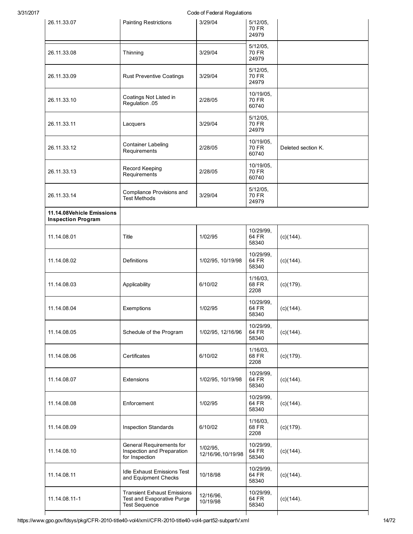| 3/31/2017 | Code of Federal Regulations                            |                                                                                          |                                  |                               |                    |  |  |  |
|-----------|--------------------------------------------------------|------------------------------------------------------------------------------------------|----------------------------------|-------------------------------|--------------------|--|--|--|
|           | 26.11.33.07                                            | <b>Painting Restrictions</b>                                                             | 3/29/04                          | $5/12/05$ ,<br>70 FR<br>24979 |                    |  |  |  |
|           | 26.11.33.08                                            | Thinning                                                                                 | 3/29/04                          | $5/12/05$ ,<br>70 FR<br>24979 |                    |  |  |  |
|           | 26.11.33.09                                            | <b>Rust Preventive Coatings</b>                                                          | 3/29/04                          | 5/12/05,<br>70 FR<br>24979    |                    |  |  |  |
|           | 26.11.33.10                                            | Coatings Not Listed in<br>Regulation .05                                                 | 2/28/05                          | 10/19/05,<br>70 FR<br>60740   |                    |  |  |  |
|           | 26.11.33.11                                            | Lacquers                                                                                 | 3/29/04                          | $5/12/05$ ,<br>70 FR<br>24979 |                    |  |  |  |
|           | 26.11.33.12                                            | <b>Container Labeling</b><br>Requirements                                                | 2/28/05                          | 10/19/05,<br>70 FR<br>60740   | Deleted section K. |  |  |  |
|           | 26.11.33.13                                            | Record Keeping<br>Requirements                                                           | 2/28/05                          | 10/19/05,<br>70 FR<br>60740   |                    |  |  |  |
|           | 26.11.33.14                                            | Compliance Provisions and<br><b>Test Methods</b>                                         | 3/29/04                          | 5/12/05,<br>70 FR<br>24979    |                    |  |  |  |
|           | 11.14.08Vehicle Emissions<br><b>Inspection Program</b> |                                                                                          |                                  |                               |                    |  |  |  |
|           | 11.14.08.01                                            | Title                                                                                    | 1/02/95                          | 10/29/99,<br>64 FR<br>58340   | $(c)(144)$ .       |  |  |  |
|           | 11.14.08.02                                            | <b>Definitions</b>                                                                       | 1/02/95, 10/19/98                | 10/29/99,<br>64 FR<br>58340   | (c)(144).          |  |  |  |
|           | 11.14.08.03                                            | Applicability                                                                            | 6/10/02                          | 1/16/03,<br>68 FR<br>2208     | $(c)(179)$ .       |  |  |  |
|           | 11.14.08.04                                            | Exemptions                                                                               | 1/02/95                          | 10/29/99,<br>64 FR<br>58340   | $(c)(144)$ .       |  |  |  |
|           | 11.14.08.05                                            | Schedule of the Program                                                                  | 1/02/95, 12/16/96                | 10/29/99,<br>64 FR<br>58340   | $(c)(144)$ .       |  |  |  |
|           | 11.14.08.06                                            | Certificates                                                                             | 6/10/02                          | $1/16/03$ ,<br>68 FR<br>2208  | $(c)(179)$ .       |  |  |  |
|           | 11.14.08.07                                            | <b>Extensions</b>                                                                        | 1/02/95, 10/19/98                | 10/29/99,<br>64 FR<br>58340   | $(c)(144)$ .       |  |  |  |
|           | 11.14.08.08                                            | Enforcement                                                                              | 1/02/95                          | 10/29/99,<br>64 FR<br>58340   | $(c)(144)$ .       |  |  |  |
|           | 11.14.08.09                                            | <b>Inspection Standards</b>                                                              | 6/10/02                          | $1/16/03$ ,<br>68 FR<br>2208  | $(c)(179)$ .       |  |  |  |
|           | 11.14.08.10                                            | General Requirements for<br>Inspection and Preparation<br>for Inspection                 | $1/02/95$ ,<br>12/16/96,10/19/98 | 10/29/99,<br>64 FR<br>58340   | $(c)(144)$ .       |  |  |  |
|           | 11.14.08.11                                            | <b>Idle Exhaust Emissions Test</b><br>and Equipment Checks                               | 10/18/98                         | 10/29/99,<br>64 FR<br>58340   | $(c)(144)$ .       |  |  |  |
|           | 11.14.08.11-1                                          | <b>Transient Exhaust Emissions</b><br>Test and Evaporative Purge<br><b>Test Sequence</b> | 12/16/96,<br>10/19/98            | 10/29/99,<br>64 FR<br>58340   | $(c)(144)$ .       |  |  |  |
|           |                                                        |                                                                                          |                                  |                               |                    |  |  |  |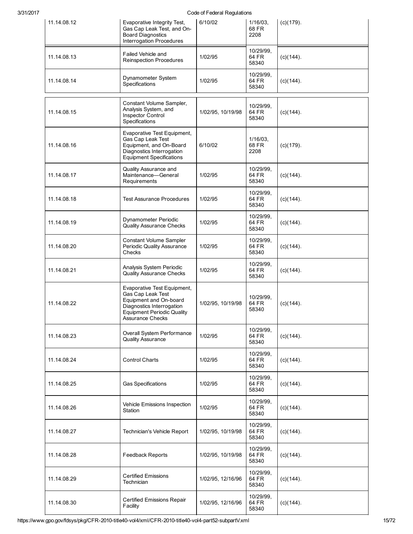| 11.14.08.12 | Evaporative Integrity Test,<br>Gas Cap Leak Test, and On-<br><b>Board Diagnostics</b><br>Interrogation Procedures                                                | 6/10/02           | $1/16/03$ ,<br>68 FR<br>2208 | $(c)(179)$ . |
|-------------|------------------------------------------------------------------------------------------------------------------------------------------------------------------|-------------------|------------------------------|--------------|
| 11.14.08.13 | Failed Vehicle and<br><b>Reinspection Procedures</b>                                                                                                             | 1/02/95           | 10/29/99.<br>64 FR<br>58340  | $(c)(144)$ . |
| 11.14.08.14 | Dynamometer System<br>Specifications                                                                                                                             | 1/02/95           | 10/29/99,<br>64 FR<br>58340  | $(c)(144)$ . |
| 11.14.08.15 | Constant Volume Sampler,<br>Analysis System, and<br>Inspector Control<br>Specifications                                                                          | 1/02/95, 10/19/98 | 10/29/99,<br>64 FR<br>58340  | $(c)(144)$ . |
| 11.14.08.16 | Evaporative Test Equipment,<br>Gas Cap Leak Test<br>Equipment, and On-Board<br>Diagnostics Interrogation<br><b>Equipment Specifications</b>                      | 6/10/02           | $1/16/03$ ,<br>68 FR<br>2208 | $(c)(179)$ . |
| 11.14.08.17 | Quality Assurance and<br>Maintenance-General<br>Requirements                                                                                                     | 1/02/95           | 10/29/99,<br>64 FR<br>58340  | $(c)(144)$ . |
| 11.14.08.18 | <b>Test Assurance Procedures</b>                                                                                                                                 | 1/02/95           | 10/29/99,<br>64 FR<br>58340  | $(c)(144)$ . |
| 11.14.08.19 | Dynamometer Periodic<br><b>Quality Assurance Checks</b>                                                                                                          | 1/02/95           | 10/29/99,<br>64 FR<br>58340  | $(c)(144)$ . |
| 11.14.08.20 | Constant Volume Sampler<br>Periodic Quality Assurance<br>Checks                                                                                                  | 1/02/95           | 10/29/99,<br>64 FR<br>58340  | $(c)(144)$ . |
| 11.14.08.21 | Analysis System Periodic<br><b>Quality Assurance Checks</b>                                                                                                      | 1/02/95           | 10/29/99,<br>64 FR<br>58340  | $(c)(144)$ . |
| 11.14.08.22 | Evaporative Test Equipment,<br>Gas Cap Leak Test<br>Equipment and On-board<br>Diagnostics Interrogation<br><b>Equipment Periodic Quality</b><br>Assurance Checks | 1/02/95, 10/19/98 | 10/29/99,<br>64 FR<br>58340  | $(c)(144)$ . |
| 11.14.08.23 | Overall System Performance<br><b>Quality Assurance</b>                                                                                                           | 1/02/95           | 10/29/99.<br>64 FR<br>58340  | $(c)(144)$ . |
| 11.14.08.24 | <b>Control Charts</b>                                                                                                                                            | 1/02/95           | 10/29/99,<br>64 FR<br>58340  | $(c)(144)$ . |
| 11.14.08.25 | <b>Gas Specifications</b>                                                                                                                                        | 1/02/95           | 10/29/99,<br>64 FR<br>58340  | $(c)(144)$ . |
| 11.14.08.26 | Vehicle Emissions Inspection<br>Station                                                                                                                          | 1/02/95           | 10/29/99.<br>64 FR<br>58340  | $(c)(144)$ . |
| 11.14.08.27 | Technician's Vehicle Report                                                                                                                                      | 1/02/95, 10/19/98 | 10/29/99,<br>64 FR<br>58340  | $(c)(144)$ . |
| 11.14.08.28 | <b>Feedback Reports</b>                                                                                                                                          | 1/02/95, 10/19/98 | 10/29/99,<br>64 FR<br>58340  | $(c)(144)$ . |
| 11.14.08.29 | <b>Certified Emissions</b><br>Technician                                                                                                                         | 1/02/95, 12/16/96 | 10/29/99,<br>64 FR<br>58340  | $(c)(144)$ . |
| 11.14.08.30 | <b>Certified Emissions Repair</b><br>Facility                                                                                                                    | 1/02/95, 12/16/96 | 10/29/99,<br>64 FR<br>58340  | $(c)(144)$ . |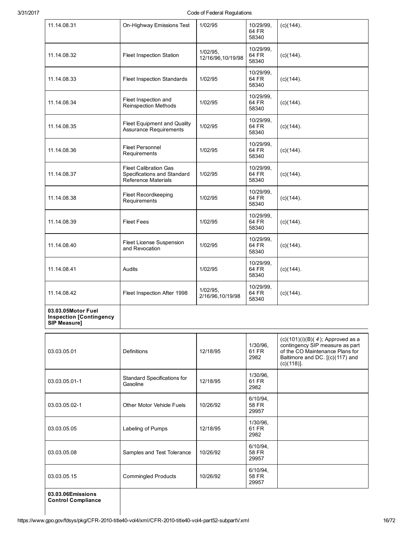| 11.14.08.31                                                                 | On-Highway Emissions Test                                                                 | 1/02/95                       | 10/29/99,<br>64 FR<br>58340 | $(c)(144)$ .                                                                                                                                                  |
|-----------------------------------------------------------------------------|-------------------------------------------------------------------------------------------|-------------------------------|-----------------------------|---------------------------------------------------------------------------------------------------------------------------------------------------------------|
| 11.14.08.32                                                                 | Fleet Inspection Station                                                                  | 1/02/95,<br>12/16/96,10/19/98 | 10/29/99,<br>64 FR<br>58340 | $(c)(144)$ .                                                                                                                                                  |
| 11.14.08.33                                                                 | Fleet Inspection Standards                                                                | 1/02/95                       | 10/29/99,<br>64 FR<br>58340 | $(c)(144)$ .                                                                                                                                                  |
| 11.14.08.34                                                                 | Fleet Inspection and<br><b>Reinspection Methods</b>                                       | 1/02/95                       | 10/29/99,<br>64 FR<br>58340 | $(c)(144)$ .                                                                                                                                                  |
| 11.14.08.35                                                                 | Fleet Equipment and Quality<br><b>Assurance Requirements</b>                              | 1/02/95                       | 10/29/99,<br>64 FR<br>58340 | $(c)(144)$ .                                                                                                                                                  |
| 11.14.08.36                                                                 | <b>Fleet Personnel</b><br>Requirements                                                    | 1/02/95                       | 10/29/99,<br>64 FR<br>58340 | $(c)(144)$ .                                                                                                                                                  |
| 11.14.08.37                                                                 | <b>Fleet Calibration Gas</b><br>Specifications and Standard<br><b>Reference Materials</b> | 1/02/95                       | 10/29/99,<br>64 FR<br>58340 | $(c)(144)$ .                                                                                                                                                  |
| 11.14.08.38                                                                 | <b>Fleet Recordkeeping</b><br>Requirements                                                | 1/02/95                       | 10/29/99,<br>64 FR<br>58340 | $(c)(144)$ .                                                                                                                                                  |
| 11.14.08.39                                                                 | <b>Fleet Fees</b>                                                                         | 1/02/95                       | 10/29/99,<br>64 FR<br>58340 | $(c)(144)$ .                                                                                                                                                  |
| 11.14.08.40                                                                 | Fleet License Suspension<br>and Revocation                                                | 1/02/95                       | 10/29/99,<br>64 FR<br>58340 | $(c)(144)$ .                                                                                                                                                  |
| 11.14.08.41                                                                 | Audits                                                                                    | 1/02/95                       | 10/29/99,<br>64 FR<br>58340 | $(c)(144)$ .                                                                                                                                                  |
| 11.14.08.42                                                                 | Fleet Inspection After 1998                                                               | 1/02/95,<br>2/16/96,10/19/98  | 10/29/99,<br>64 FR<br>58340 | (c)(144).                                                                                                                                                     |
| 03.03.05Motor Fuel<br><b>Inspection [Contingency</b><br><b>SIP Measure1</b> |                                                                                           |                               |                             |                                                                                                                                                               |
| 03.03.05.01                                                                 | <b>Definitions</b>                                                                        | 12/18/95                      | 1/30/96,<br>61 FR<br>2982   | $(c)(101)(i)(B)(4)$ ; Approved as a<br>contingency SIP measure as part<br>of the CO Maintenance Plans for<br>Baltimore and DC. [(c)(117) and<br>$(c)(118)$ ]. |
| 03.03.05.01-1                                                               | <b>Standard Specifications for</b><br>Gasoline                                            | 12/18/95                      | 1/30/96,<br>61 FR<br>2982   |                                                                                                                                                               |
| 03.03.05.02-1                                                               | Other Motor Vehicle Fuels                                                                 | 10/26/92                      | 6/10/94,<br>58 FR<br>29957  |                                                                                                                                                               |
| 03.03.05.05                                                                 | Labeling of Pumps                                                                         | 12/18/95                      | 1/30/96,<br>61 FR<br>2982   |                                                                                                                                                               |
| 03.03.05.08                                                                 | Samples and Test Tolerance                                                                | 10/26/92                      | 6/10/94,<br>58 FR<br>29957  |                                                                                                                                                               |
| 03.03.05.15                                                                 | <b>Commingled Products</b>                                                                | 10/26/92                      | 6/10/94,<br>58 FR<br>29957  |                                                                                                                                                               |
| 03.03.06Emissions                                                           |                                                                                           |                               |                             |                                                                                                                                                               |

Control Compliance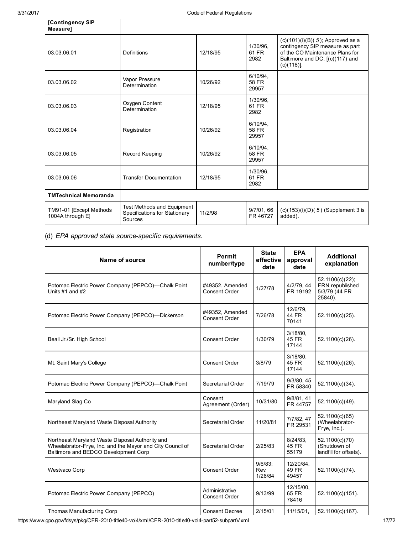| 03.03.06.01                                  | Definitions                                                            | 12/18/95 | 1/30/96.<br>61 FR<br>2982  | $(c)(101)(i)(B)(5)$ ; Approved as a<br>contingency SIP measure as part<br>of the CO Maintenance Plans for<br>Baltimore and DC. [(c)(117) and<br>$(c)(118)$ ]. |
|----------------------------------------------|------------------------------------------------------------------------|----------|----------------------------|---------------------------------------------------------------------------------------------------------------------------------------------------------------|
| 03.03.06.02                                  | Vapor Pressure<br>Determination                                        | 10/26/92 | 6/10/94.<br>58 FR<br>29957 |                                                                                                                                                               |
| 03.03.06.03                                  | Oxygen Content<br>Determination                                        |          | 1/30/96.<br>61 FR<br>2982  |                                                                                                                                                               |
| 03.03.06.04                                  | Registration                                                           | 10/26/92 | 6/10/94.<br>58 FR<br>29957 |                                                                                                                                                               |
| 03.03.06.05                                  | Record Keeping                                                         |          | 6/10/94.<br>58 FR<br>29957 |                                                                                                                                                               |
| 03.03.06.06<br><b>Transfer Documentation</b> |                                                                        | 12/18/95 | 1/30/96.<br>61 FR<br>2982  |                                                                                                                                                               |
| <b>TMTechnical Memoranda</b>                 |                                                                        |          |                            |                                                                                                                                                               |
| TM91-01 [Except Methods<br>1004A through E]  | Test Methods and Equipment<br>Specifications for Stationary<br>Sources | 11/2/98  | 9/7/01, 66<br>FR 46727     | $(c)(153)(i)(D)(5)$ (Supplement 3 is<br>added).                                                                                                               |

(d) EPA approved state source-specific requirements.

| <b>Name of source</b>                                                                                                                                | <b>Permit</b><br>number/type           | <b>State</b><br>effective<br>date | <b>EPA</b><br>approval<br>date | <b>Additional</b><br>explanation                               |
|------------------------------------------------------------------------------------------------------------------------------------------------------|----------------------------------------|-----------------------------------|--------------------------------|----------------------------------------------------------------|
| Potomac Electric Power Company (PEPCO)-Chalk Point<br>Units $#1$ and $#2$                                                                            | #49352, Amended<br>Consent Order       | 1/27/78                           | 4/2/79, 44<br>FR 19192         | 52.1100(c)(22);<br>FRN republished<br>5/3/79 (44 FR<br>25840). |
| Potomac Electric Power Company (PEPCO)—Dickerson                                                                                                     | #49352. Amended<br>Consent Order       | 7/26/78                           | 12/6/79,<br>44 FR<br>70141     | 52.1100(c)(25).                                                |
| Beall Jr./Sr. High School                                                                                                                            | <b>Consent Order</b>                   | 1/30/79                           | $3/18/80$ ,<br>45 FR<br>17144  | 52.1100(c)(26).                                                |
| Mt. Saint Mary's College                                                                                                                             | Consent Order                          | 3/8/79                            | 3/18/80,<br>45 FR<br>17144     | 52.1100(c)(26).                                                |
| Potomac Electric Power Company (PEPCO)-Chalk Point                                                                                                   | Secretarial Order                      | 7/19/79                           | 9/3/80, 45<br>FR 58340         | 52.1100(c)(34).                                                |
| Maryland Slag Co                                                                                                                                     | Consent<br>Agreement (Order)           | 10/31/80                          | 9/8/81, 41<br>FR 44757         | 52.1100(c)(49).                                                |
| Northeast Maryland Waste Disposal Authority                                                                                                          | Secretarial Order                      | 11/20/81                          | 7/7/82, 47<br>FR 29531         | 52.1100(c)(65)<br>(Wheelabrator-<br>Frye, Inc.).               |
| Northeast Maryland Waste Disposal Authority and<br>Wheelabrator-Frye, Inc. and the Mayor and City Council of<br>Baltimore and BEDCO Development Corp | Secretarial Order                      | 2/25/83                           | 8/24/83<br>45 FR<br>55179      | 52.1100(c)(70)<br>(Shutdown of<br>landfill for offsets).       |
| Westvaco Corp                                                                                                                                        | Consent Order                          | 9/6/83;<br>Rev.<br>1/26/84        | 12/20/84.<br>49 FR<br>49457    | 52.1100(c)(74).                                                |
| Potomac Electric Power Company (PEPCO)                                                                                                               | Administrative<br><b>Consent Order</b> | 9/13/99                           | 12/15/00,<br>65 FR<br>78416    | 52.1100(c)(151).                                               |
| <b>Thomas Manufacturing Corp</b>                                                                                                                     | <b>Consent Decree</b>                  | 2/15/01                           | 11/15/01,                      | 52.1100(c)(167).                                               |

https://www.gpo.gov/fdsys/pkg/CFR-2010-title40-vol4/xml/CFR-2010-title40-vol4-part52-subpartV.xml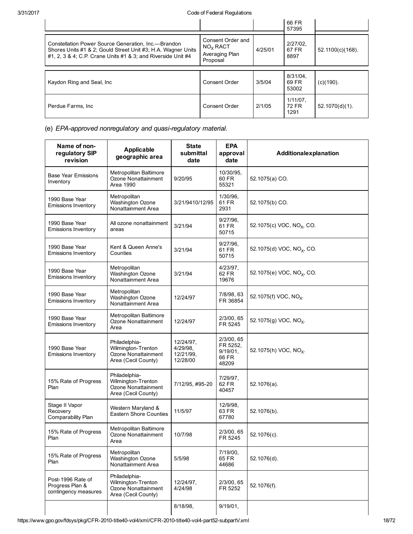|                                                                                                                                                                                      |                                                                         |         | 66 FR<br>57395               |                     |
|--------------------------------------------------------------------------------------------------------------------------------------------------------------------------------------|-------------------------------------------------------------------------|---------|------------------------------|---------------------|
| Constellation Power Source Generation, Inc.--Brandon<br>Shores Units #1 & 2; Gould Street Unit #3; H.A. Wagner Units<br>#1, 2, 3 & 4; C.P. Crane Units #1 & 3; and Riverside Unit #4 | Consent Order and<br>NO <sub>x</sub> RACT<br>Averaging Plan<br>Proposal | 4/25/01 | $2/27/02$ ,<br>67 FR<br>8897 | $52.1100(c)(168)$ . |
| Kaydon Ring and Seal, Inc.                                                                                                                                                           | Consent Order                                                           | 3/5/04  | 8/31/04.<br>69 FR<br>53002   | $(c)(190)$ .        |
| Perdue Farms, Inc.                                                                                                                                                                   | Consent Order                                                           | 2/1/05  | $1/11/07$ .<br>72 FR<br>1291 | $52.1070(d)(1)$ .   |

(e) EPA-approved nonregulatory and quasi-regulatory material.

| Name of non-<br>regulatory SIP<br>revision                   | Applicable<br>geographic area                                                     | <b>State</b><br>submittal<br>date              | <b>EPA</b><br>approval<br>date                          | Additionalexplanation                 |
|--------------------------------------------------------------|-----------------------------------------------------------------------------------|------------------------------------------------|---------------------------------------------------------|---------------------------------------|
| <b>Base Year Emissions</b><br>Inventory                      | Metropolitan Baltimore<br>Ozone Nonattainment<br><b>Area 1990</b>                 | 9/20/95                                        | 10/30/95,<br>60 FR<br>55321                             | 52.1075(a) CO.                        |
| 1990 Base Year<br><b>Emissions Inventory</b>                 | Metropolitan<br><b>Washington Ozone</b><br>Nonattainment Area                     | 3/21/9410/12/95                                | 1/30/96,<br>61 FR<br>2931                               | 52.1075(b) CO.                        |
| 1990 Base Year<br>Emissions Inventory                        | All ozone nonattainment<br>areas                                                  | 3/21/94                                        | $9/27/96$ ,<br>61 FR<br>50715                           | 52.1075(c) VOC, NO <sub>x</sub> , CO. |
| 1990 Base Year<br><b>Emissions Inventory</b>                 | Kent & Queen Anne's<br>Counties                                                   | 3/21/94                                        | $9/27/96$ ,<br>61 FR<br>50715                           | 52.1075(d) VOC, NO <sub>x</sub> , CO. |
| 1990 Base Year<br>Emissions Inventory                        | Metropolitan<br><b>Washington Ozone</b><br>Nonattainment Area                     | 3/21/94                                        | 4/23/97,<br>62 FR<br>19676                              | 52.1075(e) VOC, NO <sub>x</sub> , CO. |
| 1990 Base Year<br><b>Emissions Inventory</b>                 | Metropolitan<br><b>Washington Ozone</b><br>Nonattainment Area                     | 12/24/97                                       | 7/8/98, 63<br>FR 36854                                  | 52.1075(f) VOC, NO <sub>x</sub> .     |
| 1990 Base Year<br>Emissions Inventory                        | Metropolitan Baltimore<br>Ozone Nonattainment<br>Area                             | 12/24/97                                       | 2/3/00, 65<br>FR 5245                                   | 52.1075(g) VOC, NO <sub>x</sub> .     |
| 1990 Base Year<br>Emissions Inventory                        | Philadelphia-<br>Wilmington-Trenton<br>Ozone Nonattainment<br>Area (Cecil County) | 12/24/97,<br>4/29/98,<br>12/21/99,<br>12/28/00 | 2/3/00, 65<br>FR 5252.<br>$9/19/01$ ,<br>66 FR<br>48209 | 52.1075(h) VOC, NO <sub>x</sub> .     |
| 15% Rate of Progress<br>Plan                                 | Philadelphia-<br>Wilmington-Trenton<br>Ozone Nonattainment<br>Area (Cecil County) | 7/12/95, #95-20                                | 7/29/97,<br>62 FR<br>40457                              | $52.1076(a)$ .                        |
| Stage II Vapor<br>Recovery<br>Comparability Plan             | Western Maryland &<br><b>Eastern Shore Counties</b>                               | 11/5/97                                        | 12/9/98,<br>63 FR<br>67780                              | 52.1076(b).                           |
| 15% Rate of Progress<br>Plan                                 | Metropolitan Baltimore<br>Ozone Nonattainment<br>Area                             | 10/7/98                                        | 2/3/00, 65<br>FR 5245                                   | 52.1076(c).                           |
| 15% Rate of Progress<br>Plan                                 | Metropolitan<br>Washington Ozone<br>Nonattainment Area                            | 5/5/98                                         | 7/19/00,<br>65 FR<br>44686                              | 52.1076(d).                           |
| Post-1996 Rate of<br>Progress Plan &<br>contingency measures | Philadelphia-<br>Wilmington-Trenton<br>Ozone Nonattainment<br>Area (Cecil County) | 12/24/97,<br>4/24/98                           | 2/3/00, 65<br>FR 5252                                   | 52.1076(f).                           |
|                                                              |                                                                                   | 8/18/98,                                       | 9/19/01,                                                |                                       |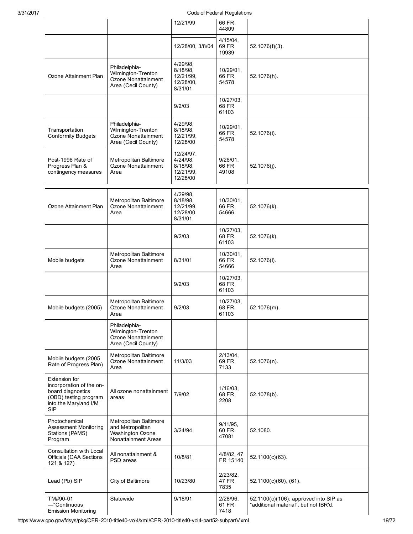|                                                                                                                                |                                                                                       | 12/21/99                                                      | <u>souc or reductured community</u><br>66 FR<br>44809 |                                                                                |
|--------------------------------------------------------------------------------------------------------------------------------|---------------------------------------------------------------------------------------|---------------------------------------------------------------|-------------------------------------------------------|--------------------------------------------------------------------------------|
|                                                                                                                                |                                                                                       | 12/28/00, 3/8/04                                              | $4/15/04$ ,<br>69 FR<br>19939                         | $52.1076(f)(3)$ .                                                              |
| Ozone Attainment Plan                                                                                                          | Philadelphia-<br>Wilmington-Trenton<br>Ozone Nonattainment<br>Area (Cecil County)     | 4/29/98,<br>8/18/98,<br>12/21/99,<br>12/28/00,<br>8/31/01     | 10/29/01,<br>66 FR<br>54578                           | 52.1076(h).                                                                    |
|                                                                                                                                |                                                                                       | 9/2/03                                                        | 10/27/03,<br>68 FR<br>61103                           |                                                                                |
| Transportation<br><b>Conformity Budgets</b>                                                                                    | Philadelphia-<br>Wilmington-Trenton<br>Ozone Nonattainment<br>Area (Cecil County)     | 4/29/98,<br>8/18/98,<br>12/21/99,<br>12/28/00                 | 10/29/01,<br>66 FR<br>54578                           | 52.1076(i).                                                                    |
| Post-1996 Rate of<br>Progress Plan &<br>contingency measures                                                                   | Metropolitan Baltimore<br>Ozone Nonattainment<br>Area                                 | 12/24/97,<br>$4/24/98$ ,<br>8/18/98,<br>12/21/99,<br>12/28/00 | 9/26/01,<br>66 FR<br>49108                            | $52.1076(i)$ .                                                                 |
| Ozone Attainment Plan                                                                                                          | Metropolitan Baltimore<br>Ozone Nonattainment<br>Area                                 | 4/29/98,<br>8/18/98,<br>12/21/99,<br>12/28/00,<br>8/31/01     | 10/30/01,<br>66 FR<br>54666                           | 52.1076(k).                                                                    |
|                                                                                                                                |                                                                                       | 9/2/03                                                        | 10/27/03,<br>68 FR<br>61103                           | 52.1076(k).                                                                    |
| Mobile budgets                                                                                                                 | Metropolitan Baltimore<br>Ozone Nonattainment<br>Area                                 | 8/31/01                                                       | 10/30/01,<br>66 FR<br>54666                           | 52.1076(I).                                                                    |
|                                                                                                                                |                                                                                       | 9/2/03                                                        | 10/27/03,<br>68 FR<br>61103                           |                                                                                |
| Mobile budgets (2005)                                                                                                          | Metropolitan Baltimore<br>Ozone Nonattainment<br>Area                                 | 9/2/03                                                        | 10/27/03,<br>68 FR<br>61103                           | 52.1076(m).                                                                    |
|                                                                                                                                | Philadelphia-<br>Wilmington-Trenton<br>Ozone Nonattainment<br>Area (Cecil County)     |                                                               |                                                       |                                                                                |
| Mobile budgets (2005<br>Rate of Progress Plan)                                                                                 | Metropolitan Baltimore<br>Ozone Nonattainment<br>Area                                 | 11/3/03                                                       | $2/13/04$ .<br>69 FR<br>7133                          | 52.1076(n).                                                                    |
| Extension for<br>incorporation of the on-<br>board diagnostics<br>(OBD) testing program<br>into the Maryland I/M<br><b>SIP</b> | All ozone nonattainment<br>areas                                                      | 7/9/02                                                        | 1/16/03,<br>68 FR<br>2208                             | 52.1078(b).                                                                    |
| Photochemical<br><b>Assessment Monitoring</b><br>Stations (PAMS)<br>Program                                                    | Metropolitan Baltimore<br>and Metropolitan<br>Washington Ozone<br>Nonattainment Areas | 3/24/94                                                       | $9/11/95$ .<br>60 FR<br>47081                         | 52.1080.                                                                       |
| Consultation with Local<br>Officials (CAA Sections<br>121 & 127)                                                               | All nonattainment &<br>PSD areas                                                      | 10/8/81                                                       | 4/8/82, 47<br>FR 15140                                | 52.1100(c)(63).                                                                |
| Lead (Pb) SIP                                                                                                                  | City of Baltimore                                                                     | 10/23/80                                                      | 2/23/82,<br>47 FR<br>7835                             | $52.1100(c)(60)$ , (61).                                                       |
| TM#90-01<br>-"Continuous<br><b>Emission Monitoring</b>                                                                         | Statewide                                                                             | 9/18/91                                                       | 2/28/96,<br>61 FR<br>7418                             | 52.1100(c)(106); approved into SIP as<br>"additional material", but not IBR'd. |

https://www.gpo.gov/fdsys/pkg/CFR-2010-title40-vol4/xml/CFR-2010-title40-vol4-part52-subpartV.xml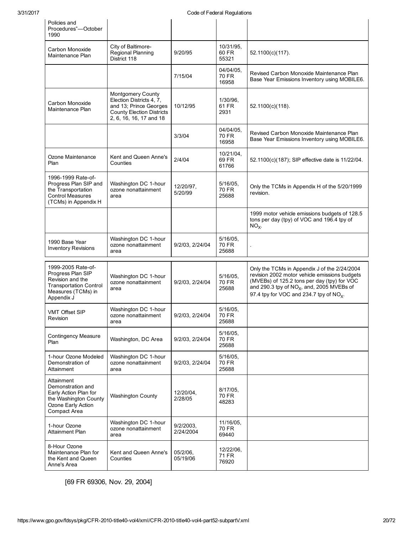| Policies and<br>Procedures"-October<br>1990                                                                                      |                                                                                                                                               |                           |                                   |                                                                                                                                                                                                                                                    |
|----------------------------------------------------------------------------------------------------------------------------------|-----------------------------------------------------------------------------------------------------------------------------------------------|---------------------------|-----------------------------------|----------------------------------------------------------------------------------------------------------------------------------------------------------------------------------------------------------------------------------------------------|
| Carbon Monoxide<br>Maintenance Plan                                                                                              | City of Baltimore-<br>Regional Planning<br>District 118                                                                                       | 9/20/95                   | 10/31/95,<br>60 FR<br>55321       | 52.1100(c)(117).                                                                                                                                                                                                                                   |
|                                                                                                                                  |                                                                                                                                               | 7/15/04                   | 04/04/05,<br>70 FR<br>16958       | Revised Carbon Monoxide Maintenance Plan<br>Base Year Emissions Inventory using MOBILE6.                                                                                                                                                           |
| Carbon Monoxide<br>Maintenance Plan                                                                                              | <b>Montgomery County</b><br>Election Districts 4, 7,<br>and 13; Prince Georges<br><b>County Election Districts</b><br>2, 6, 16, 16, 17 and 18 | 10/12/95                  | 1/30/96,<br>61 FR<br>2931         | 52.1100(c)(118).                                                                                                                                                                                                                                   |
|                                                                                                                                  |                                                                                                                                               | 3/3/04                    | 04/04/05.<br>70 FR<br>16958       | Revised Carbon Monoxide Maintenance Plan<br>Base Year Emissions Inventory using MOBILE6.                                                                                                                                                           |
| Ozone Maintenance<br>Plan                                                                                                        | Kent and Queen Anne's<br>Counties                                                                                                             | 2/4/04                    | 10/21/04,<br>69 FR<br>61766       | 52.1100(c)(187); SIP effective date is 11/22/04.                                                                                                                                                                                                   |
| 1996-1999 Rate-of-<br>Progress Plan SIP and<br>the Transportation<br><b>Control Measures</b><br>(TCMs) in Appendix H             | Washington DC 1-hour<br>ozone nonattainment<br>area                                                                                           | 12/20/97,<br>5/20/99      | $5/16/05$ ,<br>70 FR<br>25688     | Only the TCMs in Appendix H of the 5/20/1999<br>revision.                                                                                                                                                                                          |
|                                                                                                                                  |                                                                                                                                               |                           |                                   | 1999 motor vehicle emissions budgets of 128.5<br>tons per day (tpy) of VOC and 196.4 tpy of<br>$NOX$ .                                                                                                                                             |
| 1990 Base Year<br><b>Inventory Revisions</b>                                                                                     | Washington DC 1-hour<br>ozone nonattainment<br>area                                                                                           | 9/2/03, 2/24/04           | 5/16/05,<br><b>70 FR</b><br>25688 |                                                                                                                                                                                                                                                    |
| 1999-2005 Rate-of-<br>Progress Plan SIP<br>Revision and the<br><b>Transportation Control</b><br>Measures (TCMs) in<br>Appendix J | Washington DC 1-hour<br>ozone nonattainment<br>area                                                                                           | 9/2/03, 2/24/04           | 5/16/05,<br><b>70 FR</b><br>25688 | Only the TCMs in Appendix J of the 2/24/2004<br>revision 2002 motor vehicle emissions budgets<br>(MVEBs) of 125.2 tons per day (tpy) for VOC<br>and 290.3 tpy of $NOx$ , and, 2005 MVEBs of<br>97.4 tpy for VOC and 234.7 tpy of NO <sub>x</sub> . |
| <b>VMT Offset SIP</b><br>Revision                                                                                                | Washington DC 1-hour<br>ozone nonattainment<br>area                                                                                           | 9/2/03, 2/24/04           | 5/16/05,<br>70 FR<br>25688        |                                                                                                                                                                                                                                                    |
| <b>Contingency Measure</b><br>Plan                                                                                               | Washington, DC Area                                                                                                                           | 9/2/03, 2/24/04           | $5/16/05$ ,<br>70 FR<br>25688     |                                                                                                                                                                                                                                                    |
| 1-hour Ozone Modeled<br>Demonstration of<br>Attainment                                                                           | Washington DC 1-hour<br>ozone nonattainment<br>area                                                                                           | 9/2/03, 2/24/04           | 5/16/05.<br>70 FR<br>25688        |                                                                                                                                                                                                                                                    |
| Attainment<br>Demonstration and<br>Early Action Plan for<br>the Washington County<br>Ozone Early Action<br>Compact Area          | <b>Washington County</b>                                                                                                                      | 12/20/04,<br>2/28/05      | 8/17/05,<br><b>70 FR</b><br>48283 |                                                                                                                                                                                                                                                    |
| 1-hour Ozone<br>Attainment Plan                                                                                                  | Washington DC 1-hour<br>ozone nonattainment<br>area                                                                                           | $9/2/2003$ ,<br>2/24/2004 | 11/16/05,<br>70 FR<br>69440       |                                                                                                                                                                                                                                                    |
| 8-Hour Ozone<br>Maintenance Plan for<br>the Kent and Queen<br>Anne's Area                                                        | Kent and Queen Anne's<br>Counties                                                                                                             | 05/2/06,<br>05/19/06      | 12/22/06,<br>71 FR<br>76920       |                                                                                                                                                                                                                                                    |

[69 FR 69306, Nov. 29, 2004]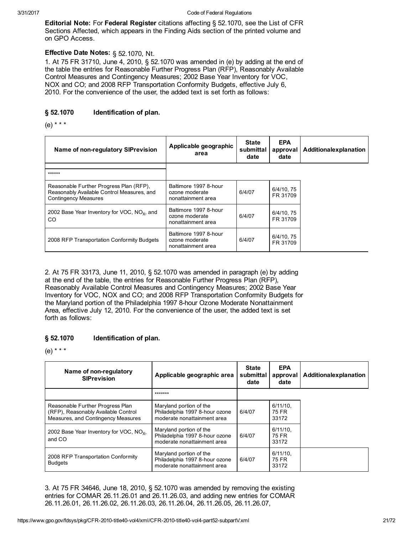**Editorial Note:** For Federal Register citations affecting § 52.1070, see the List of CFR Sections Affected, which appears in the Finding Aids section of the printed volume and on GPO Access.

### Effective Date Notes: § 52.1070, Nt.

1. At 75 FR 31710, June 4, 2010, § 52.1070 was amended in (e) by adding at the end of the table the entries for Reasonable Further Progress Plan (RFP), Reasonably Available Control Measures and Contingency Measures; 2002 Base Year Inventory for VOC, NOX and CO; and 2008 RFP Transportation Conformity Budgets, effective July 6, 2010. For the convenience of the user, the added text is set forth as follows:

#### § 52.1070 Identification of plan.

(e) \* \* \*

| Name of non-regulatory SIP revision                                                                                  | Applicable geographic<br>area                                 | <b>State</b><br>submittal<br>date | <b>EPA</b><br>approval<br>date | Additionalexplanation |
|----------------------------------------------------------------------------------------------------------------------|---------------------------------------------------------------|-----------------------------------|--------------------------------|-----------------------|
| ******                                                                                                               |                                                               |                                   |                                |                       |
| Reasonable Further Progress Plan (RFP),<br>Reasonably Available Control Measures, and<br><b>Contingency Measures</b> | Baltimore 1997 8-hour<br>ozone moderate<br>nonattainment area | 6/4/07                            | 6/4/10, 75<br>FR 31709         |                       |
| 2002 Base Year Inventory for VOC, $NOx$ , and<br><sub>CO</sub>                                                       | Baltimore 1997 8-hour<br>ozone moderate<br>nonattainment area | 6/4/07                            | 6/4/10.75<br>FR 31709          |                       |
| 2008 RFP Transportation Conformity Budgets                                                                           | Baltimore 1997 8-hour<br>ozone moderate<br>nonattainment area | 6/4/07                            | 6/4/10, 75<br>FR 31709         |                       |

2. At 75 FR 33173, June 11, 2010, § 52.1070 was amended in paragraph (e) by adding at the end of the table, the entries for Reasonable Further Progress Plan (RFP), Reasonably Available Control Measures and Contingency Measures; 2002 Base Year Inventory for VOC, NOX and CO; and 2008 RFP Transportation Conformity Budgets for the Maryland portion of the Philadelphia 1997 8-hour Ozone Moderate Nonattainment Area, effective July 12, 2010. For the convenience of the user, the added text is set forth as follows:

#### § 52.1070 Identification of plan.

(e) \* \* \*

| Name of non-regulatory<br><b>SIPrevision</b>                                                                  | Applicable geographic area                                                               | <b>State</b><br>submittal<br>date | <b>EPA</b><br>approval<br>date | Additionalexplanation |
|---------------------------------------------------------------------------------------------------------------|------------------------------------------------------------------------------------------|-----------------------------------|--------------------------------|-----------------------|
|                                                                                                               | *******                                                                                  |                                   |                                |                       |
| Reasonable Further Progress Plan<br>(RFP), Reasonably Available Control<br>Measures, and Contingency Measures | Maryland portion of the<br>Philadelphia 1997 8-hour ozone<br>moderate nonattainment area | 6/4/07                            | $6/11/10$ .<br>75 FR<br>33172  |                       |
| 2002 Base Year Inventory for VOC, NO <sub>x</sub> ,<br>and CO                                                 | Maryland portion of the<br>Philadelphia 1997 8-hour ozone<br>moderate nonattainment area | 6/4/07                            | $6/11/10$ .<br>75 FR<br>33172  |                       |
| 2008 RFP Transportation Conformity<br><b>Budgets</b>                                                          | Maryland portion of the<br>Philadelphia 1997 8-hour ozone<br>moderate nonattainment area | 6/4/07                            | $6/11/10$ .<br>75 FR<br>33172  |                       |

3. At 75 FR 34646, June 18, 2010, § 52.1070 was amended by removing the existing entries for COMAR 26.11.26.01 and 26.11.26.03, and adding new entries for COMAR 26.11.26.01, 26.11.26.02, 26.11.26.03, 26.11.26.04, 26.11.26.05, 26.11.26.07,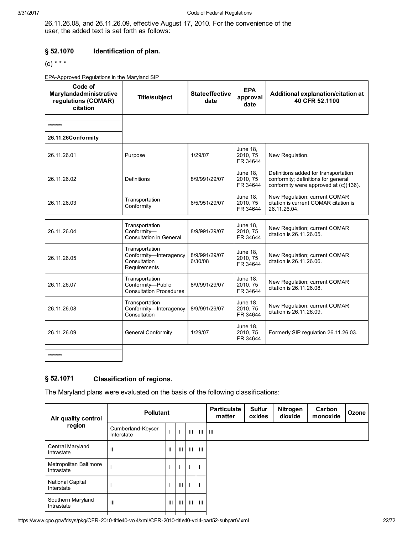26.11.26.08, and 26.11.26.09, effective August 17, 2010. For the convenience of the user, the added text is set forth as follows:

#### § 52.1070 Identification of plan.

```
(C) * * *
```
EPA-Approved Regulations in the Maryland SIP

| Code of<br>Marylandadministrative<br>regulations (COMAR)<br>citation | <b>Title/subject</b>                                                     | <b>Stateeffective</b><br>date | <b>EPA</b><br>approval<br>date          | Additional explanation/citation at<br>40 CFR 52.1100                                                                 |
|----------------------------------------------------------------------|--------------------------------------------------------------------------|-------------------------------|-----------------------------------------|----------------------------------------------------------------------------------------------------------------------|
| *******                                                              |                                                                          |                               |                                         |                                                                                                                      |
| 26.11.26Conformity                                                   |                                                                          |                               |                                         |                                                                                                                      |
| 26.11.26.01                                                          | Purpose                                                                  | 1/29/07                       | <b>June 18.</b><br>2010.75<br>FR 34644  | New Regulation.                                                                                                      |
| 26.11.26.02                                                          | <b>Definitions</b>                                                       | 8/9/991/29/07                 | <b>June 18.</b><br>2010.75<br>FR 34644  | Definitions added for transportation<br>conformity; definitions for general<br>conformity were approved at (c)(136). |
| 26.11.26.03                                                          | Transportation<br>Conformity                                             | 6/5/951/29/07                 | <b>June 18,</b><br>2010.75<br>FR 34644  | New Regulation; current COMAR<br>citation is current COMAR citation is<br>26.11.26.04.                               |
| 26.11.26.04                                                          | Transportation<br>Conformitv-                                            | 8/9/991/29/07                 | <b>June 18,</b><br>2010.75              | New Regulation; current COMAR<br>citation is 26.11.26.05.                                                            |
|                                                                      | Consultation in General                                                  |                               | FR 34644                                |                                                                                                                      |
| 26.11.26.05                                                          | Transportation<br>Conformity-Interagency<br>Consultation<br>Requirements | 8/9/991/29/07<br>6/30/08      | June 18,<br>2010, 75<br>FR 34644        | New Regulation; current COMAR<br>citation is 26.11.26.06.                                                            |
| 26.11.26.07                                                          | Transportation<br>Conformity-Public<br><b>Consultation Procedures</b>    | 8/9/991/29/07                 | <b>June 18,</b><br>2010.75<br>FR 34644  | New Regulation; current COMAR<br>citation is 26.11.26.08.                                                            |
| 26.11.26.08                                                          | Transportation<br>Conformity-Interagency<br>Consultation                 | 8/9/991/29/07                 | <b>June 18,</b><br>2010, 75<br>FR 34644 | New Regulation; current COMAR<br>citation is 26,11,26,09.                                                            |
| 26.11.26.09                                                          | <b>General Conformity</b>                                                | 1/29/07                       | <b>June 18,</b><br>2010, 75<br>FR 34644 | Formerly SIP regulation 26.11.26.03.                                                                                 |
| *******                                                              |                                                                          |                               |                                         |                                                                                                                      |

#### § 52.1071 Classification of regions.

The Maryland plans were evaluated on the basis of the following classifications:

| Air quality control                   | <b>Pollutant</b>                |              |                |  |                          | <b>Particulate</b><br>matter | <b>Sulfur</b><br>oxides | Nitrogen<br>dioxide | Carbon<br>monoxide | Ozone |
|---------------------------------------|---------------------------------|--------------|----------------|--|--------------------------|------------------------------|-------------------------|---------------------|--------------------|-------|
| region                                | Cumberland-Keyser<br>Interstate |              | $\mathbf{I}$   |  | TIL 1 111                | $\mathbf{III}$               |                         |                     |                    |       |
| Central Maryland<br>Intrastate        | Ш                               | $\mathbf{H}$ | $\mathbf{III}$ |  | -III I III               |                              |                         |                     |                    |       |
| Metropolitan Baltimore<br>Intrastate  |                                 |              |                |  | $\mathbf{I}$             |                              |                         |                     |                    |       |
| <b>National Capital</b><br>Interstate |                                 |              | Ш              |  | $\overline{\phantom{a}}$ |                              |                         |                     |                    |       |
| Southern Maryland<br>Intrastate       | Ш                               | Ш            | $\mathbf{III}$ |  | -III I III               |                              |                         |                     |                    |       |
|                                       |                                 |              |                |  |                          |                              |                         |                     |                    |       |

https://www.gpo.gov/fdsys/pkg/CFR-2010-title40-vol4/xml/CFR-2010-title40-vol4-part52-subpartV.xml 22/72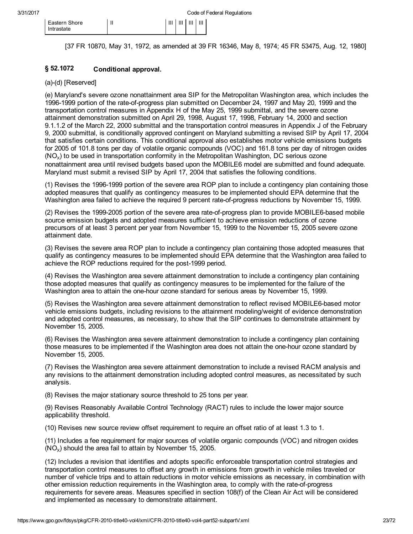[37 FR 10870, May 31, 1972, as amended at 39 FR 16346, May 8, 1974; 45 FR 53475, Aug. 12, 1980]

#### § 52.1072 Conditional approval.

### $(a)-(d)$  [Reserved]

(e) Maryland's severe ozone nonattainment area SIP for the Metropolitan Washington area, which includes the 1996-1999 portion of the rate-of-progress plan submitted on December 24, 1997 and May 20, 1999 and the transportation control measures in Appendix H of the May 25, 1999 submittal, and the severe ozone attainment demonstration submitted on April 29, 1998, August 17, 1998, February 14, 2000 and section 9.1.1.2 of the March 22, 2000 submittal and the transportation control measures in Appendix J of the February 9, 2000 submittal, is conditionally approved contingent on Maryland submitting a revised SIP by April 17, 2004 that satisfies certain conditions. This conditional approval also establishes motor vehicle emissions budgets for 2005 of 101.8 tons per day of volatile organic compounds (VOC) and 161.8 tons per day of nitrogen oxides (NO<sub>x</sub>) to be used in transportation conformity in the Metropolitan Washington, DC serious ozone nonattainment area until revised budgets based upon the MOBILE6 model are submitted and found adequate. Maryland must submit a revised SIP by April 17, 2004 that satisfies the following conditions.

(1) Revises the 1996-1999 portion of the severe area ROP plan to include a contingency plan containing those adopted measures that qualify as contingency measures to be implemented should EPA determine that the Washington area failed to achieve the required 9 percent rate-of-progress reductions by November 15, 1999.

(2) Revises the 1999-2005 portion of the severe area rate-of-progress plan to provide MOBILE6-based mobile source emission budgets and adopted measures sufficient to achieve emission reductions of ozone precursors of at least 3 percent per year from November 15, 1999 to the November 15, 2005 severe ozone attainment date.

(3) Revises the severe area ROP plan to include a contingency plan containing those adopted measures that qualify as contingency measures to be implemented should EPA determine that the Washington area failed to achieve the ROP reductions required for the post-1999 period.

(4) Revises the Washington area severe attainment demonstration to include a contingency plan containing those adopted measures that qualify as contingency measures to be implemented for the failure of the Washington area to attain the one-hour ozone standard for serious areas by November 15, 1999.

(5) Revises the Washington area severe attainment demonstration to reflect revised MOBILE6-based motor vehicle emissions budgets, including revisions to the attainment modeling/weight of evidence demonstration and adopted control measures, as necessary, to show that the SIP continues to demonstrate attainment by November 15, 2005.

(6) Revises the Washington area severe attainment demonstration to include a contingency plan containing those measures to be implemented if the Washington area does not attain the one-hour ozone standard by November 15, 2005.

(7) Revises the Washington area severe attainment demonstration to include a revised RACM analysis and any revisions to the attainment demonstration including adopted control measures, as necessitated by such analysis.

(8) Revises the major stationary source threshold to 25 tons per year.

(9) Revises Reasonably Available Control Technology (RACT) rules to include the lower major source applicability threshold.

(10) Revises new source review offset requirement to require an offset ratio of at least 1.3 to 1.

(11) Includes a fee requirement for major sources of volatile organic compounds (VOC) and nitrogen oxides  $(NO<sub>x</sub>)$  should the area fail to attain by November 15, 2005.

(12) Includes a revision that identifies and adopts specific enforceable transportation control strategies and transportation control measures to offset any growth in emissions from growth in vehicle miles traveled or number of vehicle trips and to attain reductions in motor vehicle emissions as necessary, in combination with other emission reduction requirements in the Washington area, to comply with the rate-of-progress requirements for severe areas. Measures specified in section 108(f) of the Clean Air Act will be considered and implemented as necessary to demonstrate attainment.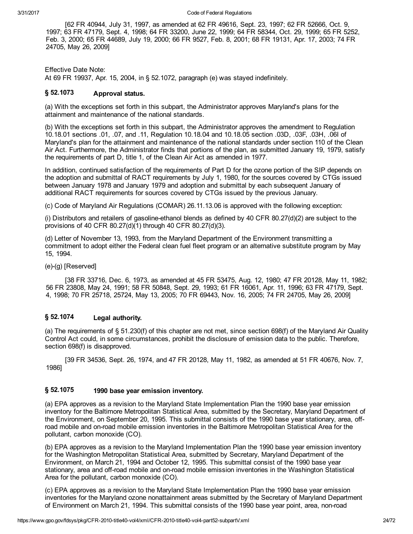[62 FR 40944, July 31, 1997, as amended at 62 FR 49616, Sept. 23, 1997; 62 FR 52666, Oct. 9, 1997; 63 FR 47179, Sept. 4, 1998; 64 FR 33200, June 22, 1999; 64 FR 58344, Oct. 29, 1999; 65 FR 5252, Feb. 3, 2000; 65 FR 44689, July 19, 2000; 66 FR 9527, Feb. 8, 2001; 68 FR 19131, Apr. 17, 2003; 74 FR 24705, May 26, 2009]

Effective Date Note: At 69 FR 19937, Apr. 15, 2004, in § 52.1072, paragraph (e) was stayed indefinitely.

#### § 52.1073 Approval status.

(a) With the exceptions set forth in this subpart, the Administrator approves Maryland's plans for the attainment and maintenance of the national standards.

(b) With the exceptions set forth in this subpart, the Administrator approves the amendment to Regulation 10.18.01 sections .01, .07, and .11, Regulation 10.18.04 and 10.18.05 section .03D, .03F, .03H, .06I of Maryland's plan for the attainment and maintenance of the national standards under section 110 of the Clean Air Act. Furthermore, the Administrator finds that portions of the plan, as submitted January 19, 1979, satisfy the requirements of part D, title 1, of the Clean Air Act as amended in 1977.

In addition, continued satisfaction of the requirements of Part D for the ozone portion of the SIP depends on the adoption and submittal of RACT requirements by July 1, 1980, for the sources covered by CTGs issued between January 1978 and January 1979 and adoption and submittal by each subsequent January of additional RACT requirements for sources covered by CTGs issued by the previous January.

(c) Code of Maryland Air Regulations (COMAR) 26.11.13.06 is approved with the following exception:

(i) Distributors and retailers of gasoline-ethanol blends as defined by 40 CFR 80.27(d)(2) are subject to the provisions of 40 CFR 80.27(d)(1) through 40 CFR 80.27(d)(3).

(d) Letter of November 13, 1993, from the Maryland Department of the Environment transmitting a commitment to adopt either the Federal clean fuel fleet program or an alternative substitute program by May 15, 1994.

 $(e)$ - $(g)$  [Reserved]

[38 FR 33716, Dec. 6, 1973, as amended at 45 FR 53475, Aug. 12, 1980; 47 FR 20128, May 11, 1982; 56 FR 23808, May 24, 1991; 58 FR 50848, Sept. 29, 1993; 61 FR 16061, Apr. 11, 1996; 63 FR 47179, Sept. 4, 1998; 70 FR 25718, 25724, May 13, 2005; 70 FR 69443, Nov. 16, 2005; 74 FR 24705, May 26, 2009]

#### § 52.1074 Legal authority.

(a) The requirements of § 51.230(f) of this chapter are not met, since section 698(f) of the Maryland Air Quality Control Act could, in some circumstances, prohibit the disclosure of emission data to the public. Therefore, section 698(f) is disapproved.

[39 FR 34536, Sept. 26, 1974, and 47 FR 20128, May 11, 1982, as amended at 51 FR 40676, Nov. 7, 1986]

#### § 52.1075 1990 base year emission inventory.

(a) EPA approves as a revision to the Maryland State Implementation Plan the 1990 base year emission inventory for the Baltimore Metropolitan Statistical Area, submitted by the Secretary, Maryland Department of the Environment, on September 20, 1995. This submittal consists of the 1990 base year stationary, area, offroad mobile and on-road mobile emission inventories in the Baltimore Metropolitan Statistical Area for the pollutant, carbon monoxide (CO).

(b) EPA approves as a revision to the Maryland Implementation Plan the 1990 base year emission inventory for the Washington Metropolitan Statistical Area, submitted by Secretary, Maryland Department of the Environment, on March 21, 1994 and October 12, 1995. This submittal consist of the 1990 base year stationary, area and off-road mobile and on-road mobile emission inventories in the Washington Statistical Area for the pollutant, carbon monoxide (CO).

(c) EPA approves as a revision to the Maryland State Implementation Plan the 1990 base year emission inventories for the Maryland ozone nonattainment areas submitted by the Secretary of Maryland Department of Environment on March 21, 1994. This submittal consists of the 1990 base year point, area, nonroad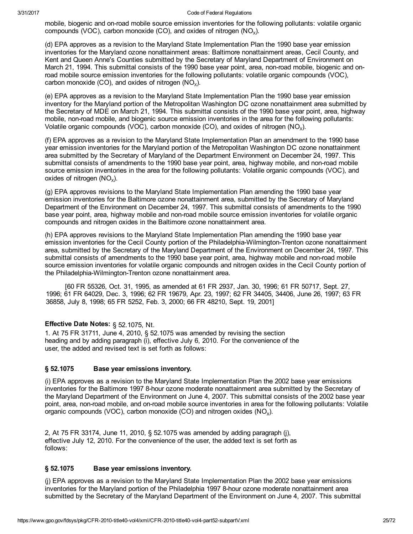mobile, biogenic and on-road mobile source emission inventories for the following pollutants: volatile organic compounds (VOC), carbon monoxide (CO), and oxides of nitrogen (NO<sub>x</sub>).

(d) EPA approves as a revision to the Maryland State Implementation Plan the 1990 base year emission inventories for the Maryland ozone nonattainment areas: Baltimore nonattainment areas, Cecil County, and Kent and Queen Anne's Counties submitted by the Secretary of Maryland Department of Environment on March 21, 1994. This submittal consists of the 1990 base year point, area, non-road mobile, biogenic and onroad mobile source emission inventories for the following pollutants: volatile organic compounds (VOC), carbon monoxide (CO), and oxides of nitrogen (NO<sub>x</sub>).

(e) EPA approves as a revision to the Maryland State Implementation Plan the 1990 base year emission inventory for the Maryland portion of the Metropolitan Washington DC ozone nonattainment area submitted by the Secretary of MDE on March 21, 1994. This submittal consists of the 1990 base year point, area, highway mobile, non-road mobile, and biogenic source emission inventories in the area for the following pollutants: Volatile organic compounds (VOC), carbon monoxide (CO), and oxides of nitrogen (NO<sub>x</sub>).

(f) EPA approves as a revision to the Maryland State Implementation Plan an amendment to the 1990 base year emission inventories for the Maryland portion of the Metropolitan Washington DC ozone nonattainment area submitted by the Secretary of Maryland of the Department Environment on December 24, 1997. This submittal consists of amendments to the 1990 base year point, area, highway mobile, and non-road mobile source emission inventories in the area for the following pollutants: Volatile organic compounds (VOC), and oxides of nitrogen (NO<sub>x</sub>).

(g) EPA approves revisions to the Maryland State Implementation Plan amending the 1990 base year emission inventories for the Baltimore ozone nonattainment area, submitted by the Secretary of Maryland Department of the Environment on December 24, 1997. This submittal consists of amendments to the 1990 base year point, area, highway mobile and non-road mobile source emission inventories for volatile organic compounds and nitrogen oxides in the Baltimore ozone nonattainment area.

(h) EPA approves revisions to the Maryland State Implementation Plan amending the 1990 base year emission inventories for the Cecil County portion of the Philadelphia-Wilmington-Trenton ozone nonattainment area, submitted by the Secretary of the Maryland Department of the Environment on December 24, 1997. This submittal consists of amendments to the 1990 base year point, area, highway mobile and non-road mobile source emission inventories for volatile organic compounds and nitrogen oxides in the Cecil County portion of the Philadelphia-Wilmington-Trenton ozone nonattainment area.

[60 FR 55326, Oct. 31, 1995, as amended at 61 FR 2937, Jan. 30, 1996; 61 FR 50717, Sept. 27, 1996; 61 FR 64029, Dec. 3, 1996; 62 FR 19679, Apr. 23, 1997; 62 FR 34405, 34406, June 26, 1997; 63 FR 36858, July 8, 1998; 65 FR 5252, Feb. 3, 2000; 66 FR 48210, Sept. 19, 2001]

### Effective Date Notes: § 52.1075, Nt.

1. At 75 FR 31711, June 4, 2010, § 52.1075 was amended by revising the section heading and by adding paragraph (i), effective July 6, 2010. For the convenience of the user, the added and revised text is set forth as follows:

#### § 52.1075 Base year emissions inventory.

(i) EPA approves as a revision to the Maryland State Implementation Plan the 2002 base year emissions inventories for the Baltimore 1997 8-hour ozone moderate nonattainment area submitted by the Secretary of the Maryland Department of the Environment on June 4, 2007. This submittal consists of the 2002 base year point, area, non-road mobile, and on-road mobile source inventories in area for the following pollutants: Volatile organic compounds (VOC), carbon monoxide (CO) and nitrogen oxides (NO<sub>x</sub>).

2, At 75 FR 33174, June 11, 2010, § 52.1075 was amended by adding paragraph (j), effective July 12, 2010. For the convenience of the user, the added text is set forth as follows:

#### § 52.1075 Base year emissions inventory.

(j) EPA approves as a revision to the Maryland State Implementation Plan the 2002 base year emissions inventories for the Maryland portion of the Philadelphia 1997 8-hour ozone moderate nonattainment area submitted by the Secretary of the Maryland Department of the Environment on June 4, 2007. This submittal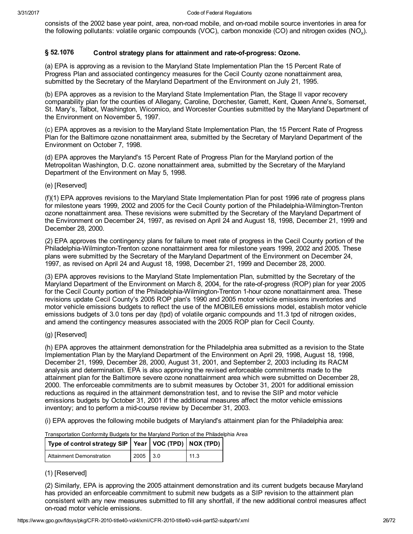consists of the 2002 base year point, area, non-road mobile, and on-road mobile source inventories in area for the following pollutants: volatile organic compounds (VOC), carbon monoxide (CO) and nitrogen oxides (NO<sub>x</sub>).

#### § 52.1076 Control strategy plans for attainment and rate-of-progress: Ozone.

(a) EPA is approving as a revision to the Maryland State Implementation Plan the 15 Percent Rate of Progress Plan and associated contingency measures for the Cecil County ozone nonattainment area, submitted by the Secretary of the Maryland Department of the Environment on July 21, 1995.

(b) EPA approves as a revision to the Maryland State Implementation Plan, the Stage II vapor recovery comparability plan for the counties of Allegany, Caroline, Dorchester, Garrett, Kent, Queen Anne's, Somerset, St. Mary's, Talbot, Washington, Wicomico, and Worcester Counties submitted by the Maryland Department of the Environment on November 5, 1997.

(c) EPA approves as a revision to the Maryland State Implementation Plan, the 15 Percent Rate of Progress Plan for the Baltimore ozone nonattainment area, submitted by the Secretary of Maryland Department of the Environment on October 7, 1998.

(d) EPA approves the Maryland's 15 Percent Rate of Progress Plan for the Maryland portion of the Metropolitan Washington, D.C. ozone nonattainment area, submitted by the Secretary of the Maryland Department of the Environment on May 5, 1998.

(e) [Reserved]

(f)(1) EPA approves revisions to the Maryland State Implementation Plan for post 1996 rate of progress plans for milestone years 1999, 2002 and 2005 for the Cecil County portion of the Philadelphia-Wilmington-Trenton ozone nonattainment area. These revisions were submitted by the Secretary of the Maryland Department of the Environment on December 24, 1997, as revised on April 24 and August 18, 1998, December 21, 1999 and December 28, 2000.

(2) EPA approves the contingency plans for failure to meet rate of progress in the Cecil County portion of the Philadelphia-Wilmington-Trenton ozone nonattainment area for milestone years 1999, 2002 and 2005. These plans were submitted by the Secretary of the Maryland Department of the Environment on December 24, 1997, as revised on April 24 and August 18, 1998, December 21, 1999 and December 28, 2000.

(3) EPA approves revisions to the Maryland State Implementation Plan, submitted by the Secretary of the Maryland Department of the Environment on March 8, 2004, for the rate-of-progress (ROP) plan for year 2005 for the Cecil County portion of the Philadelphia-Wilmington-Trenton 1-hour ozone nonattainment area. These revisions update Cecil County's 2005 ROP plan's 1990 and 2005 motor vehicle emissions inventories and motor vehicle emissions budgets to reflect the use of the MOBILE6 emissions model, establish motor vehicle emissions budgets of 3.0 tons per day (tpd) of volatile organic compounds and 11.3 tpd of nitrogen oxides, and amend the contingency measures associated with the 2005 ROP plan for Cecil County.

(g) [Reserved]

(h) EPA approves the attainment demonstration for the Philadelphia area submitted as a revision to the State Implementation Plan by the Maryland Department of the Environment on April 29, 1998, August 18, 1998, December 21, 1999, December 28, 2000, August 31, 2001, and September 2, 2003 including its RACM analysis and determination. EPA is also approving the revised enforceable commitments made to the attainment plan for the Baltimore severe ozone nonattainment area which were submitted on December 28, 2000. The enforceable commitments are to submit measures by October 31, 2001 for additional emission reductions as required in the attainment demonstration test, and to revise the SIP and motor vehicle emissions budgets by October 31, 2001 if the additional measures affect the motor vehicle emissions inventory; and to perform a mid-course review by December 31, 2003.

(i) EPA approves the following mobile budgets of Maryland's attainment plan for the Philadelphia area:

Transportation Conformity Budgets for the Maryland Portion of the Philadelphia Area Type of control strategy SIP | Year | VOC (TPD) | NOX (TPD) Attainment Demonstration | 2005 | 3.0 | 11.3

(1) [Reserved]

(2) Similarly, EPA is approving the 2005 attainment demonstration and its current budgets because Maryland has provided an enforceable commitment to submit new budgets as a SIP revision to the attainment plan consistent with any new measures submitted to fill any shortfall, if the new additional control measures affect on-road motor vehicle emissions.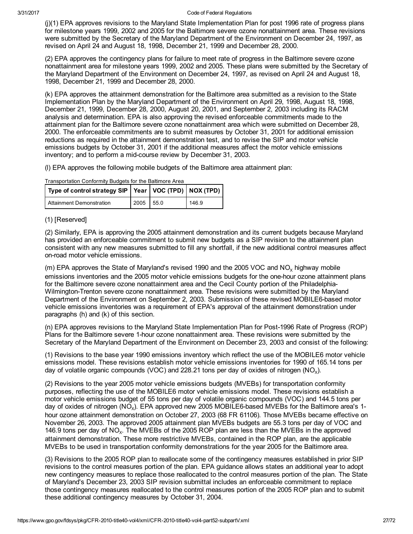(j)(1) EPA approves revisions to the Maryland State Implementation Plan for post 1996 rate of progress plans for milestone years 1999, 2002 and 2005 for the Baltimore severe ozone nonattainment area. These revisions were submitted by the Secretary of the Maryland Department of the Environment on December 24, 1997, as revised on April 24 and August 18, 1998, December 21, 1999 and December 28, 2000.

(2) EPA approves the contingency plans for failure to meet rate of progress in the Baltimore severe ozone nonattainment area for milestone years 1999, 2002 and 2005. These plans were submitted by the Secretary of the Maryland Department of the Environment on December 24, 1997, as revised on April 24 and August 18, 1998, December 21, 1999 and December 28, 2000.

(k) EPA approves the attainment demonstration for the Baltimore area submitted as a revision to the State Implementation Plan by the Maryland Department of the Environment on April 29, 1998, August 18, 1998, December 21, 1999, December 28, 2000, August 20, 2001, and September 2, 2003 including its RACM analysis and determination. EPA is also approving the revised enforceable commitments made to the attainment plan for the Baltimore severe ozone nonattainment area which were submitted on December 28, 2000. The enforceable commitments are to submit measures by October 31, 2001 for additional emission reductions as required in the attainment demonstration test, and to revise the SIP and motor vehicle emissions budgets by October 31, 2001 if the additional measures affect the motor vehicle emissions inventory; and to perform a mid-course review by December 31, 2003.

(l) EPA approves the following mobile budgets of the Baltimore area attainment plan:

| Type of control strategy SIP   Year   VOC (TPD)   NOX (TPD) |      |      |       |
|-------------------------------------------------------------|------|------|-------|
| Attainment Demonstration                                    | 2005 | 55.0 | 146.9 |

Transportation Conformity Budgets for the Baltimore Area

### (1) [Reserved]

(2) Similarly, EPA is approving the 2005 attainment demonstration and its current budgets because Maryland has provided an enforceable commitment to submit new budgets as a SIP revision to the attainment plan consistent with any new measures submitted to fill any shortfall, if the new additional control measures affect on-road motor vehicle emissions.

 $(m)$  EPA approves the State of Maryland's revised 1990 and the 2005 VOC and NO<sub>y</sub> highway mobile emissions inventories and the 2005 motor vehicle emissions budgets for the one-hour ozone attainment plans for the Baltimore severe ozone nonattainment area and the Cecil County portion of the Philadelphia-Wilmington-Trenton severe ozone nonattainment area. These revisions were submitted by the Maryland Department of the Environment on September 2, 2003. Submission of these revised MOBILE6-based motor vehicle emissions inventories was a requirement of EPA's approval of the attainment demonstration under paragraphs (h) and (k) of this section.

(n) EPA approves revisions to the Maryland State Implementation Plan for Post-1996 Rate of Progress (ROP) Plans for the Baltimore severe 1-hour ozone nonattainment area. These revisions were submitted by the Secretary of the Maryland Department of the Environment on December 23, 2003 and consist of the following:

(1) Revisions to the base year 1990 emissions inventory which reflect the use of the MOBILE6 motor vehicle emissions model. These revisions establish motor vehicle emissions inventories for 1990 of 165.14 tons per day of volatile organic compounds (VOC) and 228.21 tons per day of oxides of nitrogen (NO<sub>x</sub>).

(2) Revisions to the year 2005 motor vehicle emissions budgets (MVEBs) for transportation conformity purposes, reflecting the use of the MOBILE6 motor vehicle emissions model. These revisions establish a motor vehicle emissions budget of 55 tons per day of volatile organic compounds (VOC) and 144.5 tons per day of oxides of nitrogen (NO<sub>x</sub>). EPA approved new 2005 MOBILE6-based MVEBs for the Baltimore area's 1hour ozone attainment demonstration on October 27, 2003 (68 FR 61106). Those MVEBs became effective on November 26, 2003. The approved 2005 attainment plan MVEBs budgets are 55.3 tons per day of VOC and 146.9 tons per day of NO<sub>x</sub>. The MVEBs of the 2005 ROP plan are less than the MVEBs in the approved attainment demonstration. These more restrictive MVEBs, contained in the ROP plan, are the applicable MVEBs to be used in transportation conformity demonstrations for the year 2005 for the Baltimore area.

(3) Revisions to the 2005 ROP plan to reallocate some of the contingency measures established in prior SIP revisions to the control measures portion of the plan. EPA guidance allows states an additional year to adopt new contingency measures to replace those reallocated to the control measures portion of the plan. The State of Maryland's December 23, 2003 SIP revision submittal includes an enforceable commitment to replace those contingency measures reallocated to the control measures portion of the 2005 ROP plan and to submit these additional contingency measures by October 31, 2004.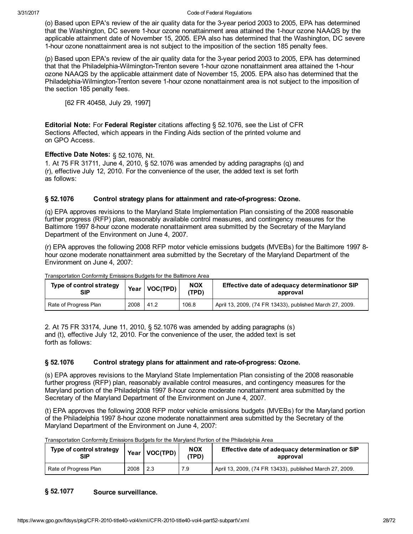(o) Based upon EPA's review of the air quality data for the 3year period 2003 to 2005, EPA has determined that the Washington, DC severe 1hour ozone nonattainment area attained the 1hour ozone NAAQS by the applicable attainment date of November 15, 2005. EPA also has determined that the Washington, DC severe 1hour ozone nonattainment area is not subject to the imposition of the section 185 penalty fees.

(p) Based upon EPA's review of the air quality data for the 3year period 2003 to 2005, EPA has determined that that the Philadelphia-Wilmington-Trenton severe 1-hour ozone nonattainment area attained the 1-hour ozone NAAQS by the applicable attainment date of November 15, 2005. EPA also has determined that the Philadelphia-Wilmington-Trenton severe 1-hour ozone nonattainment area is not subject to the imposition of the section 185 penalty fees.

[62 FR 40458, July 29, 1997]

**Editorial Note:** For Federal Register citations affecting § 52.1076, see the List of CFR Sections Affected, which appears in the Finding Aids section of the printed volume and on GPO Access.

### Effective Date Notes: § 52.1076, Nt.

1. At 75 FR 31711, June 4, 2010, § 52.1076 was amended by adding paragraphs (q) and (r), effective July 12, 2010. For the convenience of the user, the added text is set forth as follows:

#### § 52.1076 Control strategy plans for attainment and rate-of-progress: Ozone.

(q) EPA approves revisions to the Maryland State Implementation Plan consisting of the 2008 reasonable further progress (RFP) plan, reasonably available control measures, and contingency measures for the Baltimore 1997 8-hour ozone moderate nonattainment area submitted by the Secretary of the Maryland Department of the Environment on June 4, 2007.

(r) EPA approves the following 2008 RFP motor vehicle emissions budgets (MVEBs) for the Baltimore 1997 8 hour ozone moderate nonattainment area submitted by the Secretary of the Maryland Department of the Environment on June 4, 2007:

| Type of control strategy<br>SIP | Year | <b>VOC(TPD)</b> | <b>NOX</b><br>'TPD) | Effective date of adequacy determinationor SIP<br>approval |
|---------------------------------|------|-----------------|---------------------|------------------------------------------------------------|
| Rate of Progress Plan           | 2008 | 41.2            | 106.8               | April 13, 2009, (74 FR 13433), published March 27, 2009.   |

Transportation Conformity Emissions Budgets for the Baltimore Area

2. At 75 FR 33174, June 11, 2010, § 52.1076 was amended by adding paragraphs (s) and (t), effective July 12, 2010. For the convenience of the user, the added text is set forth as follows:

#### § 52.1076 Control strategy plans for attainment and rate-of-progress: Ozone.

(s) EPA approves revisions to the Maryland State Implementation Plan consisting of the 2008 reasonable further progress (RFP) plan, reasonably available control measures, and contingency measures for the Maryland portion of the Philadelphia 1997 8-hour ozone moderate nonattainment area submitted by the Secretary of the Maryland Department of the Environment on June 4, 2007.

(t) EPA approves the following 2008 RFP motor vehicle emissions budgets (MVEBs) for the Maryland portion of the Philadelphia 1997 8hour ozone moderate nonattainment area submitted by the Secretary of the Maryland Department of the Environment on June 4, 2007:

| Type of control strategy<br>SIP |      | Year   VOC(TPD) | <b>NOX</b><br>(TPD) | Effective date of adequacy determination or SIP<br>approval |
|---------------------------------|------|-----------------|---------------------|-------------------------------------------------------------|
| Rate of Progress Plan           | 2008 | 2.3             | 7.9                 | April 13, 2009, (74 FR 13433), published March 27, 2009.    |

Transportation Conformity Emissions Budgets for the Maryland Portion of the Philadelphia Area

#### § 52.1077 Source surveillance.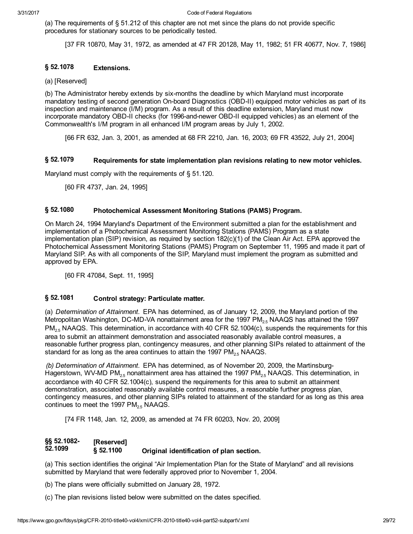(a) The requirements of § 51.212 of this chapter are not met since the plans do not provide specific procedures for stationary sources to be periodically tested.

[37 FR 10870, May 31, 1972, as amended at 47 FR 20128, May 11, 1982; 51 FR 40677, Nov. 7, 1986]

#### § 52.1078 Extensions.

# (a) [Reserved]

(b) The Administrator hereby extends by six-months the deadline by which Maryland must incorporate mandatory testing of second generation On-board Diagnostics (OBD-II) equipped motor vehicles as part of its inspection and maintenance (I/M) program. As a result of this deadline extension, Maryland must now incorporate mandatory OBD-II checks (for 1996-and-newer OBD-II equipped vehicles) as an element of the Commonwealth's I/M program in all enhanced I/M program areas by July 1, 2002.

[66 FR 632, Jan. 3, 2001, as amended at 68 FR 2210, Jan. 16, 2003; 69 FR 43522, July 21, 2004]

#### § 52.1079 Requirements for state implementation plan revisions relating to new motor vehicles.

Maryland must comply with the requirements of § 51.120.

[60 FR 4737, Jan. 24, 1995]

#### § 52.1080 Photochemical Assessment Monitoring Stations (PAMS) Program.

On March 24, 1994 Maryland's Department of the Environment submitted a plan for the establishment and implementation of a Photochemical Assessment Monitoring Stations (PAMS) Program as a state implementation plan (SIP) revision, as required by section 182(c)(1) of the Clean Air Act. EPA approved the Photochemical Assessment Monitoring Stations (PAMS) Program on September 11, 1995 and made it part of Maryland SIP. As with all components of the SIP, Maryland must implement the program as submitted and approved by EPA.

[60 FR 47084, Sept. 11, 1995]

#### § 52.1081 Control strategy: Particulate matter.

(a) Determination of Attainment. EPA has determined, as of January 12, 2009, the Maryland portion of the Metropolitan Washington, DC-MD-VA nonattainment area for the 1997 PM<sub>25</sub> NAAQS has attained the 1997 PM<sub>2.5</sub> NAAQS. This determination, in accordance with 40 CFR 52.1004(c), suspends the requirements for this area to submit an attainment demonstration and associated reasonably available control measures, a reasonable further progress plan, contingency measures, and other planning SIPs related to attainment of the standard for as long as the area continues to attain the 1997  $PM<sub>2.5</sub> NAAGS$ .

(b) Determination of Attainment. EPA has determined, as of November 20, 2009, the Martinsburg-Hagerstown, WV-MD PM<sub>2.5</sub> nonattainment area has attained the 1997 PM<sub>2.5</sub> NAAQS. This determination, in accordance with 40 CFR 52.1004(c), suspend the requirements for this area to submit an attainment demonstration, associated reasonably available control measures, a reasonable further progress plan, contingency measures, and other planning SIPs related to attainment of the standard for as long as this area continues to meet the 1997  $PM_{2.5}$  NAAQS.

[74 FR 1148, Jan. 12, 2009, as amended at 74 FR 60203, Nov. 20, 2009]

#### §§ 52.1082 52.1099 § 52.1100 [Reserved] Original identification of plan section.

(a) This section identifies the original "Air Implementation Plan for the State of Maryland" and all revisions submitted by Maryland that were federally approved prior to November 1, 2004.

(b) The plans were officially submitted on January 28, 1972.

(c) The plan revisions listed below were submitted on the dates specified.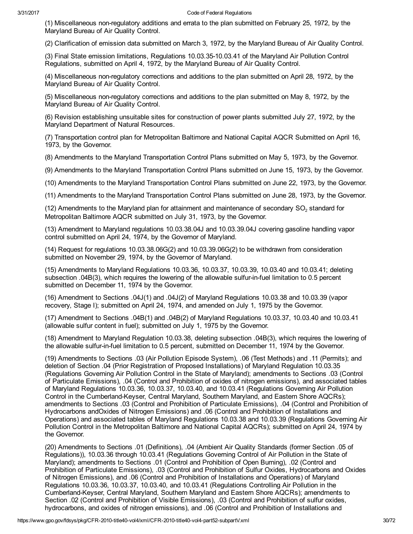(1) Miscellaneous nonregulatory additions and errata to the plan submitted on February 25, 1972, by the Maryland Bureau of Air Quality Control.

(2) Clarification of emission data submitted on March 3, 1972, by the Maryland Bureau of Air Quality Control.

(3) Final State emission limitations, Regulations 10.03.3510.03.41 of the Maryland Air Pollution Control Regulations, submitted on April 4, 1972, by the Maryland Bureau of Air Quality Control.

(4) Miscellaneous nonregulatory corrections and additions to the plan submitted on April 28, 1972, by the Maryland Bureau of Air Quality Control.

(5) Miscellaneous nonregulatory corrections and additions to the plan submitted on May 8, 1972, by the Maryland Bureau of Air Quality Control.

(6) Revision establishing unsuitable sites for construction of power plants submitted July 27, 1972, by the Maryland Department of Natural Resources.

(7) Transportation control plan for Metropolitan Baltimore and National Capital AQCR Submitted on April 16, 1973, by the Governor.

(8) Amendments to the Maryland Transportation Control Plans submitted on May 5, 1973, by the Governor.

(9) Amendments to the Maryland Transportation Control Plans submitted on June 15, 1973, by the Governor.

(10) Amendments to the Maryland Transportation Control Plans submitted on June 22, 1973, by the Governor.

(11) Amendments to the Maryland Transportation Control Plans submitted on June 28, 1973, by the Governor.

(12) Amendments to the Maryland plan for attainment and maintenance of secondary  $SO<sub>2</sub>$  standard for Metropolitan Baltimore AQCR submitted on July 31, 1973, by the Governor.

(13) Amendment to Maryland regulations 10.03.38.04J and 10.03.39.04J covering gasoline handling vapor control submitted on April 24, 1974, by the Governor of Maryland.

(14) Request for regulations 10.03.38.06G(2) and 10.03.39.06G(2) to be withdrawn from consideration submitted on November 29, 1974, by the Governor of Maryland.

(15) Amendments to Maryland Regulations 10.03.36, 10.03.37, 10.03.39, 10.03.40 and 10.03.41; deleting subsection .04B(3), which requires the lowering of the allowable sulfur-in-fuel limitation to 0.5 percent submitted on December 11, 1974 by the Governor.

(16) Amendment to Sections .04J(1) and .04J(2) of Maryland Regulations 10.03.38 and 10.03.39 (vapor recovery, Stage I); submitted on April 24, 1974, and amended on July 1, 1975 by the Governor.

(17) Amendment to Sections .04B(1) and .04B(2) of Maryland Regulations 10.03.37, 10.03.40 and 10.03.41 (allowable sulfur content in fuel); submitted on July 1, 1975 by the Governor.

(18) Amendment to Maryland Regulation 10.03.38, deleting subsection .04B(3), which requires the lowering of the allowable sulfur-in-fuel limitation to 0.5 percent, submitted on December 11, 1974 by the Governor.

(19) Amendments to Sections .03 (Air Pollution Episode System), .06 (Test Methods) and .11 (Permits); and deletion of Section .04 (Prior Registration of Proposed Installations) of Maryland Regulation 10.03.35 (Regulations Governing Air Pollution Control in the State of Maryland); amendments to Sections .03 (Control of Particulate Emissions), .04 (Control and Prohibition of oxides of nitrogen emissions), and associated tables of Maryland Regulations 10.03.36, 10.03.37, 10.03.40, and 10.03.41 (Regulations Governing Air Pollution Control in the Cumberland-Keyser, Central Maryland, Southern Maryland, and Eastern Shore AQCRs); amendments to Sections .03 (Control and Prohibition of Particulate Emissions), .04 (Control and Prohibition of Hydrocarbons andOxides of Nitrogen Emissions) and .06 (Control and Prohibition of Installations and Operations) and associated tables of Maryland Regulations 10.03.38 and 10.03.39 (Regulations Governing Air Pollution Control in the Metropolitan Baltimore and National Capital AQCRs); submitted on April 24, 1974 by the Governor.

(20) Amendments to Sections .01 (Definitions), .04 (Ambient Air Quality Standards (former Section .05 of Regulations)), 10.03.36 through 10.03.41 (Regulations Governing Control of Air Pollution in the State of Maryland); amendments to Sections .01 (Control and Prohibition of Open Burning), .02 (Control and Prohibition of Particulate Emissions), .03 (Control and Prohibition of Sulfur Oxides, Hydrocarbons and Oxides of Nitrogen Emissions), and .06 (Control and Prohibition of Installations and Operations) of Maryland Regulations 10.03.36, 10.03.37, 10.03.40, and 10.03.41 (Regulations Controlling Air Pollution in the Cumberland-Keyser, Central Maryland, Southern Maryland and Eastern Shore AQCRs); amendments to Section .02 (Control and Prohibition of Visible Emissions), .03 (Control and Prohibition of sulfur oxides, hydrocarbons, and oxides of nitrogen emissions), and .06 (Control and Prohibition of Installations and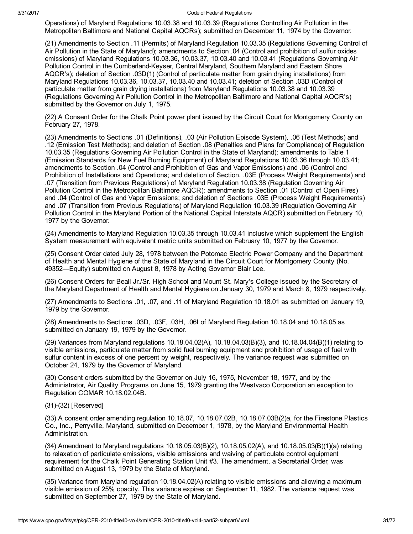Operations) of Maryland Regulations 10.03.38 and 10.03.39 (Regulations Controlling Air Pollution in the Metropolitan Baltimore and National Capital AQCRs); submitted on December 11, 1974 by the Governor.

(21) Amendments to Section .11 (Permits) of Maryland Regulation 10.03.35 (Regulations Governing Control of Air Pollution in the State of Maryland); amendments to Section .04 (Control and prohibition of sulfur oxides emissions) of Maryland Regulations 10.03.36, 10.03.37, 10.03.40 and 10.03.41 (Regulations Governing Air Pollution Control in the Cumberland-Keyser, Central Maryland, Southern Maryland and Eastern Shore AQCR's); deletion of Section .03D(1) (Control of particulate matter from grain drying installations) from Maryland Regulations 10.03.36, 10.03.37, 10.03.40 and 10.03.41; deletion of Section .03D (Control of particulate matter from grain drying installations) from Maryland Regulations 10.03.38 and 10.03.39 (Regulations Governing Air Pollution Control in the Metropolitan Baltimore and National Capital AQCR's) submitted by the Governor on July 1, 1975.

(22) A Consent Order for the Chalk Point power plant issued by the Circuit Court for Montgomery County on February 27, 1978.

(23) Amendments to Sections .01 (Definitions), .03 (Air Pollution Episode System), .06 (Test Methods) and .12 (Emission Test Methods); and deletion of Section .08 (Penalties and Plans for Compliance) of Regulation 10.03.35 (Regulations Governing Air Pollution Control in the State of Maryland); amendments to Table 1 (Emission Standards for New Fuel Burning Equipment) of Maryland Regulations 10.03.36 through 10.03.41; amendments to Section .04 (Control and Prohibition of Gas and Vapor Emissions) and .06 (Control and Prohibition of Installations and Operations; and deletion of Section. .03E (Process Weight Requirements) and .07 (Transition from Previous Regulations) of Maryland Regulation 10.03.38 (Regulation Governing Air Pollution Control in the Metropolitan Baltimore AQCR); amendments to Section .01 (Control of Open Fires) and .04 (Control of Gas and Vapor Emissions; and deletion of Sections .03E (Process Weight Requirements) and .07 (Transition from Previous Regulations) of Maryland Regulation 10.03.39 (Regulation Governing Air Pollution Control in the Maryland Portion of the National Capital Interstate AQCR) submitted on February 10, 1977 by the Governor.

(24) Amendments to Maryland Regulation 10.03.35 through 10.03.41 inclusive which supplement the English System measurement with equivalent metric units submitted on February 10, 1977 by the Governor.

(25) Consent Order dated July 28, 1978 between the Potomac Electric Power Company and the Department of Health and Mental Hygiene of the State of Maryland in the Circuit Court for Montgomery County (No. 49352—Equity) submitted on August 8, 1978 by Acting Governor Blair Lee.

(26) Consent Orders for Beall Jr./Sr. High School and Mount St. Mary's College issued by the Secretary of the Maryland Department of Health and Mental Hygiene on January 30, 1979 and March 8, 1979 respectively.

(27) Amendments to Sections .01, .07, and .11 of Maryland Regulation 10.18.01 as submitted on January 19, 1979 by the Governor.

(28) Amendments to Sections .03D, .03F, .03H, .06I of Maryland Regulation 10.18.04 and 10.18.05 as submitted on January 19, 1979 by the Governor.

(29) Variances from Maryland regulations 10.18.04.02(A), 10.18.04.03(B)(3), and 10.18.04.04(B)(1) relating to visible emissions, particulate matter from solid fuel burning equipment and prohibition of usage of fuel with sulfur content in excess of one percent by weight, respectively. The variance request was submitted on October 24, 1979 by the Governor of Maryland.

(30) Consent orders submitted by the Governor on July 16, 1975, November 18, 1977, and by the Administrator, Air Quality Programs on June 15, 1979 granting the Westvaco Corporation an exception to Regulation COMAR 10.18.02.04B.

(31)(32) [Reserved]

(33) A consent order amending regulation 10.18.07, 10.18.07.02B, 10.18.07.03B(2)a, for the Firestone Plastics Co., Inc., Perryville, Maryland, submitted on December 1, 1978, by the Maryland Environmental Health Administration.

(34) Amendment to Maryland regulations 10.18.05.03(B)(2), 10.18.05.02(A), and 10.18.05.03(B)(1)(a) relating to relaxation of particulate emissions, visible emissions and waiving of particulate control equipment requirement for the Chalk Point Generating Station Unit #3. The amendment, a Secretarial Order, was submitted on August 13, 1979 by the State of Maryland.

(35) Variance from Maryland regulation 10.18.04.02(A) relating to visible emissions and allowing a maximum visible emission of 25% opacity. This variance expires on September 11, 1982. The variance request was submitted on September 27, 1979 by the State of Maryland.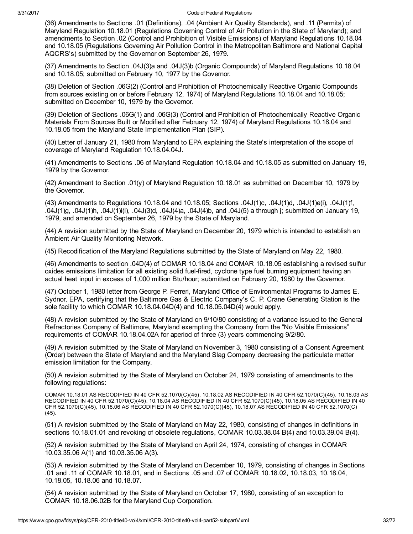(36) Amendments to Sections .01 (Definitions), .04 (Ambient Air Quality Standards), and .11 (Permits) of Maryland Regulation 10.18.01 (Regulations Governing Control of Air Pollution in the State of Maryland); and amendments to Section .02 (Control and Prohibition of Visible Emissions) of Maryland Regulations 10.18.04 and 10.18.05 (Regulations Governing Air Pollution Control in the Metropolitan Baltimore and National Capital AQCRS's) submitted by the Governor on September 26, 1979.

(37) Amendments to Section .04J(3)a and .04J(3)b (Organic Compounds) of Maryland Regulations 10.18.04 and 10.18.05; submitted on February 10, 1977 by the Governor.

(38) Deletion of Section .06G(2) (Control and Prohibition of Photochemically Reactive Organic Compounds from sources existing on or before February 12, 1974) of Maryland Regulations 10.18.04 and 10.18.05; submitted on December 10, 1979 by the Governor.

(39) Deletion of Sections .06G(1) and .06G(3) (Control and Prohibition of Photochemically Reactive Organic Materials From Sources Built or Modified after February 12, 1974) of Maryland Regulations 10.18.04 and 10.18.05 from the Maryland State Implementation Plan (SIP).

(40) Letter of January 21, 1980 from Maryland to EPA explaining the State's interpretation of the scope of coverage of Maryland Regulation 10.18.04.04J.

(41) Amendments to Sections .06 of Maryland Regulation 10.18.04 and 10.18.05 as submitted on January 19, 1979 by the Governor.

(42) Amendment to Section .01(y) of Maryland Regulation 10.18.01 as submitted on December 10, 1979 by the Governor.

(43) Amendments to Regulations 10.18.04 and 10.18.05; Sections .04J(1)c, .04J(1)d, .04J(1)e(i), .04J(1)f, .04J(1)g, .04J(1)h, .04J(1)i(i), .04J(3)d, .04J(4)a, .04J(4)b, and .04J(5) a through j; submitted on January 19, 1979, and amended on September 26, 1979 by the State of Maryland.

(44) A revision submitted by the State of Maryland on December 20, 1979 which is intended to establish an Ambient Air Quality Monitoring Network.

(45) Recodification of the Maryland Regulations submitted by the State of Maryland on May 22, 1980.

(46) Amendments to section .04D(4) of COMAR 10.18.04 and COMAR 10.18.05 establishing a revised sulfur oxides emissions limitation for all existing solid fuel-fired, cyclone type fuel burning equipment having an actual heat input in excess of 1,000 million Btu/hour; submitted on February 20, 1980 by the Governor.

(47) October 1, 1980 letter from George P. Ferreri, Maryland Office of Environmental Programs to James E. Sydnor, EPA, certifying that the Baltimore Gas & Electric Company's C. P. Crane Generating Station is the sole facility to which COMAR 10.18.04.04D(4) and 10.18.05.04D(4) would apply.

(48) A revision submitted by the State of Maryland on 9/10/80 consisting of a variance issued to the General Refractories Company of Baltimore, Maryland exempting the Company from the "No Visible Emissions" requirements of COMAR 10.18.04.02A for aperiod of three (3) years commencing 9/2/80.

(49) A revision submitted by the State of Maryland on November 3, 1980 consisting of a Consent Agreement (Order) between the State of Maryland and the Maryland Slag Company decreasing the particulate matter emission limitation for the Company.

(50) A revision submitted by the State of Maryland on October 24, 1979 consisting of amendments to the following regulations:

COMAR 10.18.01 AS RECODIFIED IN 40 CFR 52.1070(C)(45), 10.18.02 AS RECODIFIED IN 40 CFR 52.1070(C)(45), 10.18.03 AS RECODIFIED IN 40 CFR 52.1070(C)(45), 10.18.04 AS RECODIFIED IN 40 CFR 52.1070(C)(45), 10.18.05 AS RECODIFIED IN 40 CFR 52.1070(C)(45), 10.18.06 AS RECODIFIED IN 40 CFR 52.1070(C)(45), 10.18.07 AS RECODIFIED IN 40 CFR 52.1070(C) (45).

(51) A revision submitted by the State of Maryland on May 22, 1980, consisting of changes in definitions in sections 10.18.01.01 and revoking of obsolete regulations, COMAR 10.03.38.04 B(4) and 10.03.39.04 B(4).

(52) A revision submitted by the State of Maryland on April 24, 1974, consisting of changes in COMAR 10.03.35.06 A(1) and 10.03.35.06 A(3).

(53) A revision submitted by the State of Maryland on December 10, 1979, consisting of changes in Sections .01 and .11 of COMAR 10.18.01, and in Sections .05 and .07 of COMAR 10.18.02, 10.18.03, 10.18.04, 10.18.05, 10.18.06 and 10.18.07.

(54) A revision submitted by the State of Maryland on October 17, 1980, consisting of an exception to COMAR 10.18.06.02B for the Maryland Cup Corporation.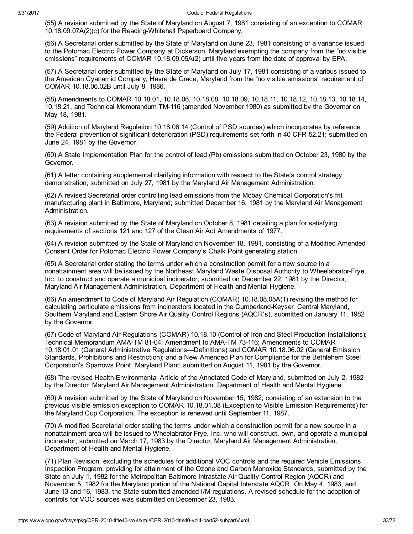(55) A revision submitted by the State of Maryland on August 7, 1981 consisting of an exception to COMAR 10.18.09.07A(2)(c) for the Reading-Whitehall Paperboard Company.

(56) A Secretarial order submitted by the State of Maryland on June 23, 1981 consisting of a variance issued to the Potomac Electric Power Company at Dickerson, Maryland exempting the company from the "no visible emissions" requirements of COMAR 10.18.09.05A(2) until five years from the date of approval by EPA.

(57) A Secretarial order submitted by the State of Maryland on July 17, 1981 consisting of a various issued to the American Cyanamid Company, Havre de Grace, Maryland from the "no visible emissions" requirement of COMAR 10.18.06.02B until July 8, 1986.

(58) Amendments to COMAR 10.18.01, 10.18.06, 10.18.08, 10.18.09, 10.18.11, 10.18.12, 10.18.13, 10.18.14, 10.18.21, and Technical Memorandum TM-116 (amended November 1980) as submitted by the Governor on May 18, 1981.

(59) Addition of Maryland Regulation 10.18.06.14 (Control of PSD sources) which incorporates by reference the Federal prevention of significant deterioration (PSD) requirements set forth in 40 CFR 52.21; submitted on June 24, 1981 by the Governor.

(60) A State Implementation Plan for the control of lead (Pb) emissions submitted on October 23, 1980 by the Governor.

(61) A letter containing supplemental clarifying information with respect to the State's control strategy demonstration; submitted on July 27, 1981 by the Maryland Air Management Administration.

(62) A revised Secretarial order controlling lead emissions from the Mobay Chemical Corporation's frit manufacturing plant in Baltimore, Maryland; submitted December 16, 1981 by the Maryland Air Management Administration.

(63) A revision submitted by the State of Maryland on October 8, 1981 detailing a plan for satisfying requirements of sections 121 and 127 of the Clean Air Act Amendments of 1977.

(64) A revision submitted by the State of Maryland on November 18, 1981, consisting of a Modified Amended Consent Order for Potomac Electric Power Company's Chalk Point generating station.

(65) A Secretarial order stating the terms under which a construction permit for a new source in a nonattainment area will be issued by the Northeast Maryland Waste Disposal Authority to Wheelabrator-Frye, Inc. to construct and operate a municipal incinerator; submitted on December 22, 1981 by the Director, Maryland Air Management Administration, Department of Health and Mental Hygiene.

(66) An amendment to Code of Maryland Air Regulation (COMAR) 10.18.08.05A(1) revising the method for calculating particulate emissions from incinerators located in the Cumberland-Keyser, Central Maryland, Southern Maryland and Eastern Shore Air Quality Control Regions (AQCR's), submitted on January 11, 1982 by the Governor.

(67) Code of Maryland Air Regulations (COMAR) 10.18.10 (Control of Iron and Steel Production Installations); Technical Memorandum AMA-TM 81-04: Amendment to AMA-TM 73-116; Amendments to COMAR 10.18.01.01 (General Administrative Regulations—Definitions) and COMAR 10.18.06.02 (General Emission Standards, Prohibitions and Restriction); and a New Amended Plan for Compliance for the Bethlehem Steel Corporation's Sparrows Point, Maryland Plant; submitted on August 11, 1981 by the Governor.

(68) The revised Health-Environmental Article of the Annotated Code of Maryland, submitted on July 2, 1982 by the Director, Maryland Air Management Administration, Department of Health and Mental Hygiene.

(69) A revision submitted by the State of Maryland on November 15, 1982, consisting of an extension to the previous visible emission exception to COMAR 10.18.01.08 (Exception to Visible Emission Requirements) for the Maryland Cup Corporation. The exception is renewed until September 11, 1987.

(70) A modified Secretarial order stating the terms under which a construction permit for a new source in a nonattainment area will be issued to Wheelabrator-Frye, Inc. who will construct, own, and operate a municipal incinerator; submitted on March 17, 1983 by the Director, Maryland Air Management Administration, Department of Health and Mental Hygiene.

(71) Plan Revision, excluding the schedules for additional VOC controls and the required Vehicle Emissions Inspection Program, providing for attainment of the Ozone and Carbon Monoxide Standards, submitted by the State on July 1, 1982 for the Metropolitan Baltimore Intrastate Air Quality Control Region (AQCR) and November 5, 1982 for the Maryland portion of the National Capital Interstate AQCR. On May 4, 1983, and June 13 and 16, 1983, the State submitted amended I/M regulations. A revised schedule for the adoption of controls for VOC sources was submitted on December 23, 1983.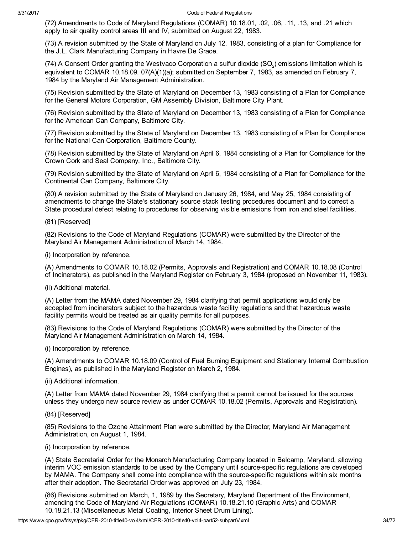(72) Amendments to Code of Maryland Regulations (COMAR) 10.18.01, .02, .06, .11, .13, and .21 which apply to air quality control areas III and IV, submitted on August 22, 1983.

(73) A revision submitted by the State of Maryland on July 12, 1983, consisting of a plan for Compliance for the J.L. Clark Manufacturing Company in Havre De Grace.

(74) A Consent Order granting the Westvaco Corporation a sulfur dioxide (SO<sub>2</sub>) emissions limitation which is equivalent to COMAR 10.18.09. 07(A)(1)(a); submitted on September 7, 1983, as amended on February 7, 1984 by the Maryland Air Management Administration.

(75) Revision submitted by the State of Maryland on December 13, 1983 consisting of a Plan for Compliance for the General Motors Corporation, GM Assembly Division, Baltimore City Plant.

(76) Revision submitted by the State of Maryland on December 13, 1983 consisting of a Plan for Compliance for the American Can Company, Baltimore City.

(77) Revision submitted by the State of Maryland on December 13, 1983 consisting of a Plan for Compliance for the National Can Corporation, Baltimore County.

(78) Revision submitted by the State of Maryland on April 6, 1984 consisting of a Plan for Compliance for the Crown Cork and Seal Company, Inc., Baltimore City.

(79) Revision submitted by the State of Maryland on April 6, 1984 consisting of a Plan for Compliance for the Continental Can Company, Baltimore City.

(80) A revision submitted by the State of Maryland on January 26, 1984, and May 25, 1984 consisting of amendments to change the State's stationary source stack testing procedures document and to correct a State procedural defect relating to procedures for observing visible emissions from iron and steel facilities.

# (81) [Reserved]

(82) Revisions to the Code of Maryland Regulations (COMAR) were submitted by the Director of the Maryland Air Management Administration of March 14, 1984.

(i) Incorporation by reference.

(A) Amendments to COMAR 10.18.02 (Permits, Approvals and Registration) and COMAR 10.18.08 (Control of Incinerators), as published in the Maryland Register on February 3, 1984 (proposed on November 11, 1983).

(ii) Additional material.

(A) Letter from the MAMA dated November 29, 1984 clarifying that permit applications would only be accepted from incinerators subject to the hazardous waste facility regulations and that hazardous waste facility permits would be treated as air quality permits for all purposes.

(83) Revisions to the Code of Maryland Regulations (COMAR) were submitted by the Director of the Maryland Air Management Administration on March 14, 1984.

(i) Incorporation by reference.

(A) Amendments to COMAR 10.18.09 (Control of Fuel Burning Equipment and Stationary Internal Combustion Engines), as published in the Maryland Register on March 2, 1984.

(ii) Additional information.

(A) Letter from MAMA dated November 29, 1984 clarifying that a permit cannot be issued for the sources unless they undergo new source review as under COMAR 10.18.02 (Permits, Approvals and Registration).

(84) [Reserved]

(85) Revisions to the Ozone Attainment Plan were submitted by the Director, Maryland Air Management Administration, on August 1, 1984.

(i) Incorporation by reference.

(A) State Secretarial Order for the Monarch Manufacturing Company located in Belcamp, Maryland, allowing interim VOC emission standards to be used by the Company until source-specific regulations are developed by MAMA. The Company shall come into compliance with the source-specific regulations within six months after their adoption. The Secretarial Order was approved on July 23, 1984.

(86) Revisions submitted on March, 1, 1989 by the Secretary, Maryland Department of the Environment, amending the Code of Maryland Air Regulations (COMAR) 10.18.21.10 (Graphic Arts) and COMAR 10.18.21.13 (Miscellaneous Metal Coating, Interior Sheet Drum Lining).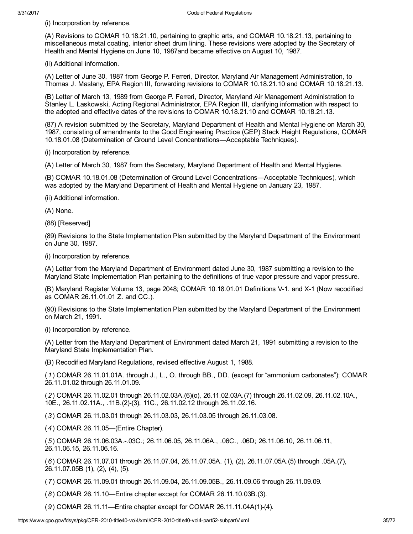(i) Incorporation by reference.

(A) Revisions to COMAR 10.18.21.10, pertaining to graphic arts, and COMAR 10.18.21.13, pertaining to miscellaneous metal coating, interior sheet drum lining. These revisions were adopted by the Secretary of Health and Mental Hygiene on June 10, 1987and became effective on August 10, 1987.

(ii) Additional information.

(A) Letter of June 30, 1987 from George P. Ferreri, Director, Maryland Air Management Administration, to Thomas J. Maslany, EPA Region III, forwarding revisions to COMAR 10.18.21.10 and COMAR 10.18.21.13.

(B) Letter of March 13, 1989 from George P. Ferreri, Director, Maryland Air Management Administration to Stanley L. Laskowski, Acting Regional Administrator, EPA Region III, clarifying information with respect to the adopted and effective dates of the revisions to COMAR 10.18.21.10 and COMAR 10.18.21.13.

(87) A revision submitted by the Secretary, Maryland Department of Health and Mental Hygiene on March 30, 1987, consisting of amendments to the Good Engineering Practice (GEP) Stack Height Regulations, COMAR 10.18.01.08 (Determination of Ground Level Concentrations—Acceptable Techniques).

(i) Incorporation by reference.

(A) Letter of March 30, 1987 from the Secretary, Maryland Department of Health and Mental Hygiene.

(B) COMAR 10.18.01.08 (Determination of Ground Level Concentrations—Acceptable Techniques), which was adopted by the Maryland Department of Health and Mental Hygiene on January 23, 1987.

(ii) Additional information.

(A) None.

(88) [Reserved]

(89) Revisions to the State Implementation Plan submitted by the Maryland Department of the Environment on June 30, 1987.

(i) Incorporation by reference.

(A) Letter from the Maryland Department of Environment dated June 30, 1987 submitting a revision to the Maryland State Implementation Plan pertaining to the definitions of true vapor pressure and vapor pressure.

(B) Maryland Register Volume 13, page 2048; COMAR 10.18.01.01 Definitions V-1. and X-1 (Now recodified as COMAR 26.11.01.01 Z. and CC.).

(90) Revisions to the State Implementation Plan submitted by the Maryland Department of the Environment on March 21, 1991.

(i) Incorporation by reference.

(A) Letter from the Maryland Department of Environment dated March 21, 1991 submitting a revision to the Maryland State Implementation Plan.

(B) Recodified Maryland Regulations, revised effective August 1, 1988.

(1) COMAR 26.11.01.01A. through J., L., O. through BB., DD. (except for "ammonium carbonates"); COMAR 26.11.01.02 through 26.11.01.09.

(2) COMAR 26.11.02.01 through 26.11.02.03A.(6)(o), 26.11.02.03A.(7) through 26.11.02.09, 26.11.02.10A., 10E., 26.11.02.11A., .11B.(2)(3), 11C., 26.11.02.12 through 26.11.02.16.

(3) COMAR 26.11.03.01 through 26.11.03.03, 26.11.03.05 through 26.11.03.08.

(4) COMAR 26.11.05—(Entire Chapter).

(5) COMAR 26.11.06.03A..03C.; 26.11.06.05, 26.11.06A., .06C., .06D; 26.11.06.10, 26.11.06.11, 26.11.06.15, 26.11.06.16.

(6) COMAR 26.11.07.01 through 26.11.07.04, 26.11.07.05A. (1), (2), 26.11.07.05A.(5) through .05A.(7), 26.11.07.05B (1), (2), (4), (5).

(7) COMAR 26.11.09.01 through 26.11.09.04, 26.11.09.05B., 26.11.09.06 through 26.11.09.09.

(8) COMAR 26.11.10—Entire chapter except for COMAR 26.11.10.03B.(3).

(9) COMAR 26.11.11—Entire chapter except for COMAR 26.11.11.04A(1)(4).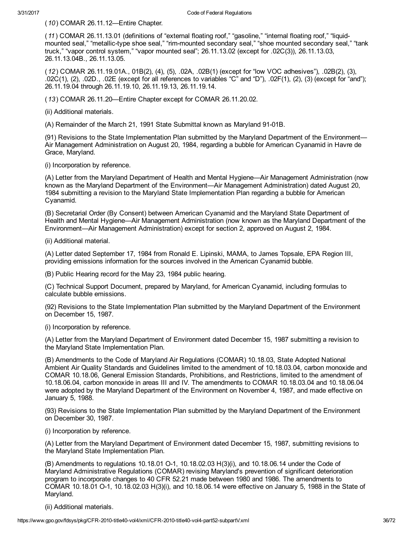(10) COMAR 26.11.12—Entire Chapter.

(11) COMAR 26.11.13.01 (definitions of "external floating roof," "gasoline," "internal floating roof," "liquidmounted seal," "metallic-type shoe seal," "rim-mounted secondary seal," "shoe mounted secondary seal," "tank truck," "vapor control system," "vapor mounted seal"; 26.11.13.02 (except for .02C(3)), 26.11.13.03, 26.11.13.04B., 26.11.13.05.

(12) COMAR 26.11.19.01A., 01B(2), (4), (5), .02A, .02B(1) (except for "low VOC adhesives"), .02B(2), (3), .02C(1), (2), .02D., .02E (except for all references to variables "C" and "D"), .02F(1), (2), (3) (except for "and"); 26.11.19.04 through 26.11.19.10, 26.11.19.13, 26.11.19.14.

(13) COMAR 26.11.20—Entire Chapter except for COMAR 26.11.20.02.

(ii) Additional materials.

(A) Remainder of the March 21, 1991 State Submittal known as Maryland 91-01B.

(91) Revisions to the State Implementation Plan submitted by the Maryland Department of the Environment— Air Management Administration on August 20, 1984, regarding a bubble for American Cyanamid in Havre de Grace, Maryland.

(i) Incorporation by reference.

(A) Letter from the Maryland Department of Health and Mental Hygiene—Air Management Administration (now known as the Maryland Department of the Environment—Air Management Administration) dated August 20, 1984 submitting a revision to the Maryland State Implementation Plan regarding a bubble for American Cyanamid.

(B) Secretarial Order (By Consent) between American Cyanamid and the Maryland State Department of Health and Mental Hygiene—Air Management Administration (now known as the Maryland Department of the Environment—Air Management Administration) except for section 2, approved on August 2, 1984.

(ii) Additional material.

(A) Letter dated September 17, 1984 from Ronald E. Lipinski, MAMA, to James Topsale, EPA Region III, providing emissions information for the sources involved in the American Cyanamid bubble.

(B) Public Hearing record for the May 23, 1984 public hearing.

(C) Technical Support Document, prepared by Maryland, for American Cyanamid, including formulas to calculate bubble emissions.

(92) Revisions to the State Implementation Plan submitted by the Maryland Department of the Environment on December 15, 1987.

(i) Incorporation by reference.

(A) Letter from the Maryland Department of Environment dated December 15, 1987 submitting a revision to the Maryland State Implementation Plan.

(B) Amendments to the Code of Maryland Air Regulations (COMAR) 10.18.03, State Adopted National Ambient Air Quality Standards and Guidelines limited to the amendment of 10.18.03.04, carbon monoxide and COMAR 10.18.06, General Emission Standards, Prohibitions, and Restrictions, limited to the amendment of 10.18.06.04, carbon monoxide in areas III and IV. The amendments to COMAR 10.18.03.04 and 10.18.06.04 were adopted by the Maryland Department of the Environment on November 4, 1987, and made effective on January 5, 1988.

(93) Revisions to the State Implementation Plan submitted by the Maryland Department of the Environment on December 30, 1987.

(i) Incorporation by reference.

(A) Letter from the Maryland Department of Environment dated December 15, 1987, submitting revisions to the Maryland State Implementation Plan.

(B) Amendments to regulations 10.18.01 O-1, 10.18.02.03 H(3)(i), and 10.18.06.14 under the Code of Maryland Administrative Regulations (COMAR) revising Maryland's prevention of significant deterioration program to incorporate changes to 40 CFR 52.21 made between 1980 and 1986. The amendments to COMAR 10.18.01 O-1, 10.18.02.03 H(3)(i), and 10.18.06.14 were effective on January 5, 1988 in the State of Maryland.

(ii) Additional materials.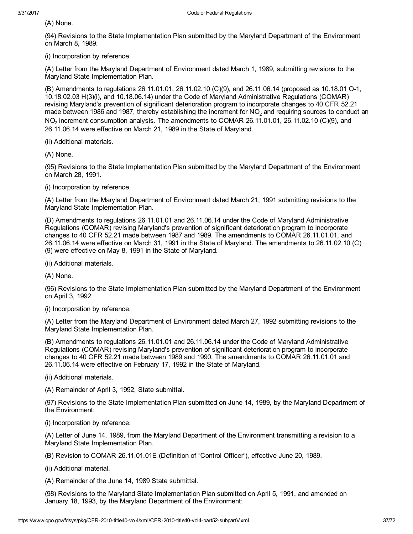(A) None.

(94) Revisions to the State Implementation Plan submitted by the Maryland Department of the Environment on March 8, 1989.

(i) Incorporation by reference.

(A) Letter from the Maryland Department of Environment dated March 1, 1989, submitting revisions to the Maryland State Implementation Plan.

(B) Amendments to regulations 26.11.01.01, 26.11.02.10 (C)(9), and 26.11.06.14 (proposed as 10.18.01 O-1, 10.18.02.03 H(3)(i), and 10.18.06.14) under the Code of Maryland Administrative Regulations (COMAR) revising Maryland's prevention of significant deterioration program to incorporate changes to 40 CFR 52.21 made between 1986 and 1987, thereby establishing the increment for NO<sub>2</sub> and requiring sources to conduct an  $NO<sub>2</sub>$  increment consumption analysis. The amendments to COMAR 26.11.01.01, 26.11.02.10 (C)(9), and 26.11.06.14 were effective on March 21, 1989 in the State of Maryland.

(ii) Additional materials.

(A) None.

(95) Revisions to the State Implementation Plan submitted by the Maryland Department of the Environment on March 28, 1991.

(i) Incorporation by reference.

(A) Letter from the Maryland Department of Environment dated March 21, 1991 submitting revisions to the Maryland State Implementation Plan.

(B) Amendments to regulations 26.11.01.01 and 26.11.06.14 under the Code of Maryland Administrative Regulations (COMAR) revising Maryland's prevention of significant deterioration program to incorporate changes to 40 CFR 52.21 made between 1987 and 1989. The amendments to COMAR 26.11.01.01, and 26.11.06.14 were effective on March 31, 1991 in the State of Maryland. The amendments to 26.11.02.10 (C) (9) were effective on May 8, 1991 in the State of Maryland.

(ii) Additional materials.

(A) None.

(96) Revisions to the State Implementation Plan submitted by the Maryland Department of the Environment on April 3, 1992.

(i) Incorporation by reference.

(A) Letter from the Maryland Department of Environment dated March 27, 1992 submitting revisions to the Maryland State Implementation Plan.

(B) Amendments to regulations 26.11.01.01 and 26.11.06.14 under the Code of Maryland Administrative Regulations (COMAR) revising Maryland's prevention of significant deterioration program to incorporate changes to 40 CFR 52.21 made between 1989 and 1990. The amendments to COMAR 26.11.01.01 and 26.11.06.14 were effective on February 17, 1992 in the State of Maryland.

(ii) Additional materials.

(A) Remainder of April 3, 1992, State submittal.

(97) Revisions to the State Implementation Plan submitted on June 14, 1989, by the Maryland Department of the Environment:

(i) Incorporation by reference.

(A) Letter of June 14, 1989, from the Maryland Department of the Environment transmitting a revision to a Maryland State Implementation Plan.

(B) Revision to COMAR 26.11.01.01E (Definition of "Control Officer"), effective June 20, 1989.

(ii) Additional material.

(A) Remainder of the June 14, 1989 State submittal.

(98) Revisions to the Maryland State Implementation Plan submitted on April 5, 1991, and amended on January 18, 1993, by the Maryland Department of the Environment: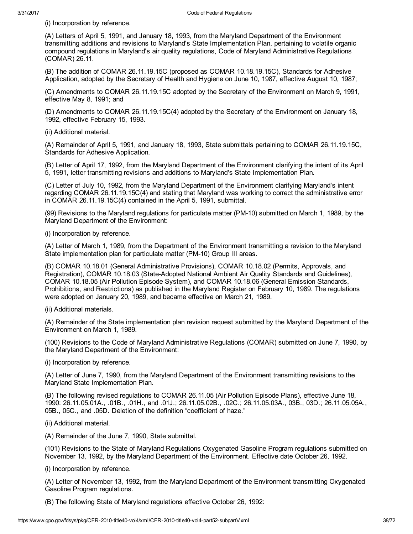(i) Incorporation by reference.

(A) Letters of April 5, 1991, and January 18, 1993, from the Maryland Department of the Environment transmitting additions and revisions to Maryland's State Implementation Plan, pertaining to volatile organic compound regulations in Maryland's air quality regulations, Code of Maryland Administrative Regulations (COMAR) 26.11.

(B) The addition of COMAR 26.11.19.15C (proposed as COMAR 10.18.19.15C), Standards for Adhesive Application, adopted by the Secretary of Health and Hygiene on June 10, 1987, effective August 10, 1987;

(C) Amendments to COMAR 26.11.19.15C adopted by the Secretary of the Environment on March 9, 1991, effective May 8, 1991; and

(D) Amendments to COMAR 26.11.19.15C(4) adopted by the Secretary of the Environment on January 18, 1992, effective February 15, 1993.

(ii) Additional material.

(A) Remainder of April 5, 1991, and January 18, 1993, State submittals pertaining to COMAR 26.11.19.15C, Standards for Adhesive Application.

(B) Letter of April 17, 1992, from the Maryland Department of the Environment clarifying the intent of its April 5, 1991, letter transmitting revisions and additions to Maryland's State Implementation Plan.

(C) Letter of July 10, 1992, from the Maryland Department of the Environment clarifying Maryland's intent regarding COMAR 26.11.19.15C(4) and stating that Maryland was working to correct the administrative error in COMAR 26.11.19.15C(4) contained in the April 5, 1991, submittal.

(99) Revisions to the Maryland regulations for particulate matter (PM-10) submitted on March 1, 1989, by the Maryland Department of the Environment:

(i) Incorporation by reference.

(A) Letter of March 1, 1989, from the Department of the Environment transmitting a revision to the Maryland State implementation plan for particulate matter (PM-10) Group III areas.

(B) COMAR 10.18.01 (General Administrative Provisions), COMAR 10.18.02 (Permits, Approvals, and Registration), COMAR 10.18.03 (State-Adopted National Ambient Air Quality Standards and Guidelines), COMAR 10.18.05 (Air Pollution Episode System), and COMAR 10.18.06 (General Emission Standards, Prohibitions, and Restrictions) as published in the Maryland Register on February 10, 1989. The regulations were adopted on January 20, 1989, and became effective on March 21, 1989.

(ii) Additional materials.

(A) Remainder of the State implementation plan revision request submitted by the Maryland Department of the Environment on March 1, 1989.

(100) Revisions to the Code of Maryland Administrative Regulations (COMAR) submitted on June 7, 1990, by the Maryland Department of the Environment:

(i) Incorporation by reference.

(A) Letter of June 7, 1990, from the Maryland Department of the Environment transmitting revisions to the Maryland State Implementation Plan.

(B) The following revised regulations to COMAR 26.11.05 (Air Pollution Episode Plans), effective June 18, 1990: 26.11.05.01A., .01B., .01H., and .01J.; 26.11.05.02B., .02C.; 26.11.05.03A., 03B., 03D.; 26.11.05.05A., 05B., 05C., and .05D. Deletion of the definition "coefficient of haze."

(ii) Additional material.

(A) Remainder of the June 7, 1990, State submittal.

(101) Revisions to the State of Maryland Regulations Oxygenated Gasoline Program regulations submitted on November 13, 1992, by the Maryland Department of the Environment. Effective date October 26, 1992.

(i) Incorporation by reference.

(A) Letter of November 13, 1992, from the Maryland Department of the Environment transmitting Oxygenated Gasoline Program regulations.

(B) The following State of Maryland regulations effective October 26, 1992: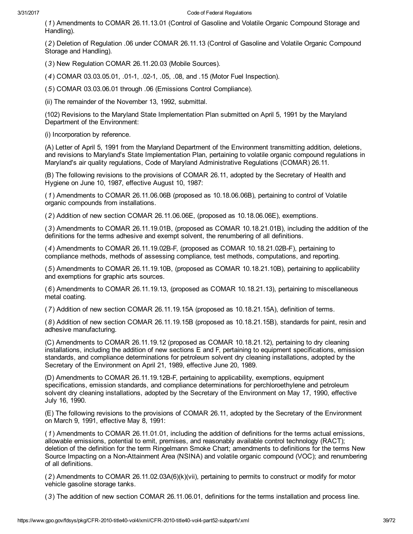(1) Amendments to COMAR 26.11.13.01 (Control of Gasoline and Volatile Organic Compound Storage and Handling).

(2) Deletion of Regulation .06 under COMAR 26.11.13 (Control of Gasoline and Volatile Organic Compound Storage and Handling).

(3) New Regulation COMAR 26.11.20.03 (Mobile Sources).

(4) COMAR 03.03.05.01, .011, .021, .05, .08, and .15 (Motor Fuel Inspection).

(5) COMAR 03.03.06.01 through .06 (Emissions Control Compliance).

(ii) The remainder of the November 13, 1992, submittal.

(102) Revisions to the Maryland State Implementation Plan submitted on April 5, 1991 by the Maryland Department of the Environment:

(i) Incorporation by reference.

(A) Letter of April 5, 1991 from the Maryland Department of the Environment transmitting addition, deletions, and revisions to Maryland's State Implementation Plan, pertaining to volatile organic compound regulations in Maryland's air quality regulations, Code of Maryland Administrative Regulations (COMAR) 26.11.

(B) The following revisions to the provisions of COMAR 26.11, adopted by the Secretary of Health and Hygiene on June 10, 1987, effective August 10, 1987:

(1) Amendments to COMAR 26.11.06.06B (proposed as 10.18.06.06B), pertaining to control of Volatile organic compounds from installations.

(2) Addition of new section COMAR 26.11.06.06E, (proposed as 10.18.06.06E), exemptions.

(3) Amendments to COMAR 26.11.19.01B, (proposed as COMAR 10.18.21.01B), including the addition of the definitions for the terms adhesive and exempt solvent, the renumbering of all definitions.

(4) Amendments to COMAR 26.11.19.02B-F, (proposed as COMAR 10.18.21.02B-F), pertaining to compliance methods, methods of assessing compliance, test methods, computations, and reporting.

(5) Amendments to COMAR 26.11.19.10B, (proposed as COMAR 10.18.21.10B), pertaining to applicability and exemptions for graphic arts sources.

(6) Amendments to COMAR 26.11.19.13, (proposed as COMAR 10.18.21.13), pertaining to miscellaneous metal coating.

(7) Addition of new section COMAR 26.11.19.15A (proposed as 10.18.21.15A), definition of terms.

(8) Addition of new section COMAR 26.11.19.15B (proposed as 10.18.21.15B), standards for paint, resin and adhesive manufacturing.

(C) Amendments to COMAR 26.11.19.12 (proposed as COMAR 10.18.21.12), pertaining to dry cleaning installations, including the addition of new sections E and F, pertaining to equipment specifications, emission standards, and compliance determinations for petroleum solvent dry cleaning installations, adopted by the Secretary of the Environment on April 21, 1989, effective June 20, 1989.

(D) Amendments to COMAR 26.11.19.12B-F, pertaining to applicability, exemptions, equipment specifications, emission standards, and compliance determinations for perchloroethylene and petroleum solvent dry cleaning installations, adopted by the Secretary of the Environment on May 17, 1990, effective July 16, 1990.

(E) The following revisions to the provisions of COMAR 26.11, adopted by the Secretary of the Environment on March 9, 1991, effective May 8, 1991:

(1) Amendments to COMAR 26.11.01.01, including the addition of definitions for the terms actual emissions, allowable emissions, potential to emit, premises, and reasonably available control technology (RACT); deletion of the definition for the term Ringelmann Smoke Chart; amendments to definitions for the terms New Source Impacting on a Non-Attainment Area (NSINA) and volatile organic compound (VOC); and renumbering of all definitions.

(2) Amendments to COMAR 26.11.02.03A(6)(k)(vii), pertaining to permits to construct or modify for motor vehicle gasoline storage tanks.

(3) The addition of new section COMAR 26.11.06.01, definitions for the terms installation and process line.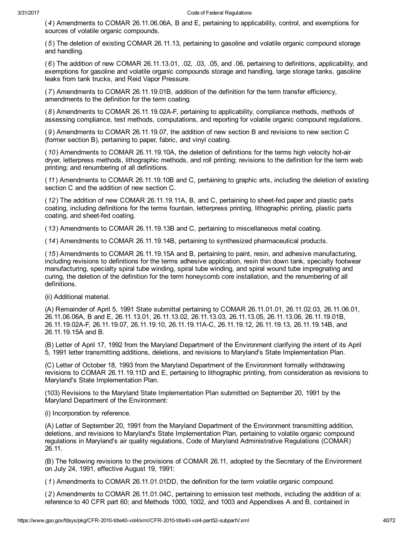(4) Amendments to COMAR 26.11.06.06A, B and E, pertaining to applicability, control, and exemptions for sources of volatile organic compounds.

(5) The deletion of existing COMAR 26.11.13, pertaining to gasoline and volatile organic compound storage and handling.

(6) The addition of new COMAR 26.11.13.01, .02, .03, .05, and .06, pertaining to definitions, applicability, and exemptions for gasoline and volatile organic compounds storage and handling, large storage tanks, gasoline leaks from tank trucks, and Reid Vapor Pressure.

(7) Amendments to COMAR 26.11.19.01B, addition of the definition for the term transfer efficiency, amendments to the definition for the term coating.

(8) Amendments to COMAR 26.11.19.02AF, pertaining to applicability, compliance methods, methods of assessing compliance, test methods, computations, and reporting for volatile organic compound regulations.

(9) Amendments to COMAR 26.11.19.07, the addition of new section B and revisions to new section C (former section B), pertaining to paper, fabric, and vinyl coating.

(10) Amendments to COMAR 26.11.19.10A, the deletion of definitions for the terms high velocity hot-air dryer, letterpress methods, lithographic methods, and roll printing; revisions to the definition for the term web printing; and renumbering of all definitions.

(11) Amendments to COMAR 26.11.19.10B and C, pertaining to graphic arts, including the deletion of existing section C and the addition of new section C.

(12) The addition of new COMAR 26.11.19.11A, B, and C, pertaining to sheet-fed paper and plastic parts coating, including definitions for the terms fountain, letterpress printing, lithographic printing, plastic parts coating, and sheet-fed coating.

(13) Amendments to COMAR 26.11.19.13B and C, pertaining to miscellaneous metal coating.

(14) Amendments to COMAR 26.11.19.14B, pertaining to synthesized pharmaceutical products.

(15) Amendments to COMAR 26.11.19.15A and B, pertaining to paint, resin, and adhesive manufacturing, including revisions to definitions for the terms adhesive application, resin thin down tank, specialty footwear manufacturing, specialty spiral tube winding, spiral tube winding, and spiral wound tube impregnating and curing, the deletion of the definition for the term honeycomb core installation, and the renumbering of all definitions.

(ii) Additional material.

(A) Remainder of April 5, 1991 State submittal pertaining to COMAR 26.11.01.01, 26.11.02.03, 26.11.06.01, 26.11.06.06A, B and E, 26.11.13.01, 26.11.13.02, 26.11.13.03, 26.11.13.05, 26.11.13.06, 26.11.19.01B, 26.11.19.02AF, 26.11.19.07, 26.11.19.10, 26.11.19.11AC, 26.11.19.12, 26.11.19.13, 26.11.19.14B, and 26.11.19.15A and B.

(B) Letter of April 17, 1992 from the Maryland Department of the Environment clarifying the intent of its April 5, 1991 letter transmitting additions, deletions, and revisions to Maryland's State Implementation Plan.

(C) Letter of October 18, 1993 from the Maryland Department of the Environment formally withdrawing revisions to COMAR 26.11.19.11D and E, pertaining to lithographic printing, from consideration as revisions to Maryland's State Implementation Plan.

(103) Revisions to the Maryland State Implementation Plan submitted on September 20, 1991 by the Maryland Department of the Environment:

(i) Incorporation by reference.

(A) Letter of September 20, 1991 from the Maryland Department of the Environment transmitting addition, deletions, and revisions to Maryland's State Implementation Plan, pertaining to volatile organic compound regulations in Maryland's air quality regulations, Code of Maryland Administrative Regulations (COMAR) 26.11.

(B) The following revisions to the provisions of COMAR 26.11, adopted by the Secretary of the Environment on July 24, 1991, effective August 19, 1991:

(1) Amendments to COMAR 26.11.01.01DD, the definition for the term volatile organic compound.

(2) Amendments to COMAR 26.11.01.04C, pertaining to emission test methods, including the addition of a: reference to 40 CFR part 60; and Methods 1000, 1002, and 1003 and Appendixes A and B, contained in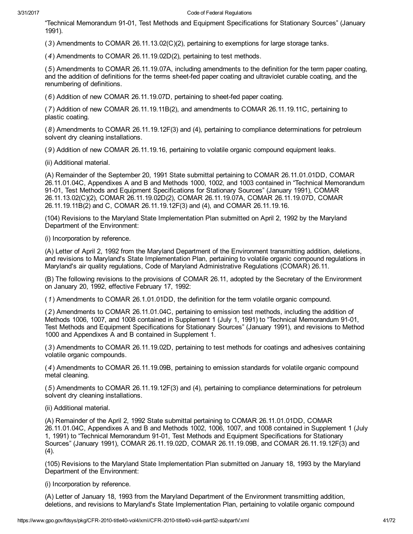"Technical Memorandum 9101, Test Methods and Equipment Specifications for Stationary Sources" (January 1991).

(3) Amendments to COMAR 26.11.13.02(C)(2), pertaining to exemptions for large storage tanks.

(4) Amendments to COMAR 26.11.19.02D(2), pertaining to test methods.

(5) Amendments to COMAR 26.11.19.07A, including amendments to the definition for the term paper coating, and the addition of definitions for the terms sheet-fed paper coating and ultraviolet curable coating, and the renumbering of definitions.

(6) Addition of new COMAR 26.11.19.07D, pertaining to sheet-fed paper coating.

(7) Addition of new COMAR 26.11.19.11B(2), and amendments to COMAR 26.11.19.11C, pertaining to plastic coating.

(8) Amendments to COMAR 26.11.19.12F(3) and (4), pertaining to compliance determinations for petroleum solvent dry cleaning installations.

(9) Addition of new COMAR 26.11.19.16, pertaining to volatile organic compound equipment leaks.

(ii) Additional material.

(A) Remainder of the September 20, 1991 State submittal pertaining to COMAR 26.11.01.01DD, COMAR 26.11.01.04C, Appendixes A and B and Methods 1000, 1002, and 1003 contained in "Technical Memorandum 91-01, Test Methods and Equipment Specifications for Stationary Sources" (January 1991), COMAR 26.11.13.02(C)(2), COMAR 26.11.19.02D(2), COMAR 26.11.19.07A, COMAR 26.11.19.07D, COMAR 26.11.19.11B(2) and C, COMAR 26.11.19.12F(3) and (4), and COMAR 26.11.19.16.

(104) Revisions to the Maryland State Implementation Plan submitted on April 2, 1992 by the Maryland Department of the Environment:

(i) Incorporation by reference.

(A) Letter of April 2, 1992 from the Maryland Department of the Environment transmitting addition, deletions, and revisions to Maryland's State Implementation Plan, pertaining to volatile organic compound regulations in Maryland's air quality regulations, Code of Maryland Administrative Regulations (COMAR) 26.11.

(B) The following revisions to the provisions of COMAR 26.11, adopted by the Secretary of the Environment on January 20, 1992, effective February 17, 1992:

(1) Amendments to COMAR 26.1.01.01DD, the definition for the term volatile organic compound.

(2) Amendments to COMAR 26.11.01.04C, pertaining to emission test methods, including the addition of Methods 1006, 1007, and 1008 contained in Supplement 1 (July 1, 1991) to "Technical Memorandum 91-01, Test Methods and Equipment Specifications for Stationary Sources" (January 1991), and revisions to Method 1000 and Appendixes A and B contained in Supplement 1.

(3) Amendments to COMAR 26.11.19.02D, pertaining to test methods for coatings and adhesives containing volatile organic compounds.

(4) Amendments to COMAR 26.11.19.09B, pertaining to emission standards for volatile organic compound metal cleaning.

(5) Amendments to COMAR 26.11.19.12F(3) and (4), pertaining to compliance determinations for petroleum solvent dry cleaning installations.

(ii) Additional material.

(A) Remainder of the April 2, 1992 State submittal pertaining to COMAR 26.11.01.01DD, COMAR 26.11.01.04C, Appendixes A and B and Methods 1002, 1006, 1007, and 1008 contained in Supplement 1 (July 1, 1991) to "Technical Memorandum 91-01, Test Methods and Equipment Specifications for Stationary Sources" (January 1991), COMAR 26.11.19.02D, COMAR 26.11.19.09B, and COMAR 26.11.19.12F(3) and  $(4)$ .

(105) Revisions to the Maryland State Implementation Plan submitted on January 18, 1993 by the Maryland Department of the Environment:

(i) Incorporation by reference.

(A) Letter of January 18, 1993 from the Maryland Department of the Environment transmitting addition, deletions, and revisions to Maryland's State Implementation Plan, pertaining to volatile organic compound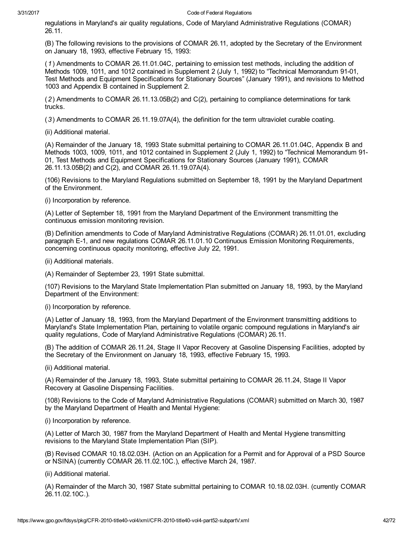regulations in Maryland's air quality regulations, Code of Maryland Administrative Regulations (COMAR) 26.11.

(B) The following revisions to the provisions of COMAR 26.11, adopted by the Secretary of the Environment on January 18, 1993, effective February 15, 1993:

(1) Amendments to COMAR 26.11.01.04C, pertaining to emission test methods, including the addition of Methods 1009, 1011, and 1012 contained in Supplement 2 (July 1, 1992) to "Technical Memorandum 91-01, Test Methods and Equipment Specifications for Stationary Sources" (January 1991), and revisions to Method 1003 and Appendix B contained in Supplement 2.

(2) Amendments to COMAR 26.11.13.05B(2) and C(2), pertaining to compliance determinations for tank trucks.

(3) Amendments to COMAR 26.11.19.07A(4), the definition for the term ultraviolet curable coating.

(ii) Additional material.

(A) Remainder of the January 18, 1993 State submittal pertaining to COMAR 26.11.01.04C, Appendix B and Methods 1003, 1009, 1011, and 1012 contained in Supplement 2 (July 1, 1992) to "Technical Memorandum 91 01, Test Methods and Equipment Specifications for Stationary Sources (January 1991), COMAR 26.11.13.05B(2) and C(2), and COMAR 26.11.19.07A(4).

(106) Revisions to the Maryland Regulations submitted on September 18, 1991 by the Maryland Department of the Environment.

(i) Incorporation by reference.

(A) Letter of September 18, 1991 from the Maryland Department of the Environment transmitting the continuous emission monitoring revision.

(B) Definition amendments to Code of Maryland Administrative Regulations (COMAR) 26.11.01.01, excluding paragraph E-1, and new regulations COMAR 26.11.01.10 Continuous Emission Monitoring Requirements, concerning continuous opacity monitoring, effective July 22, 1991.

(ii) Additional materials.

(A) Remainder of September 23, 1991 State submittal.

(107) Revisions to the Maryland State Implementation Plan submitted on January 18, 1993, by the Maryland Department of the Environment:

(i) Incorporation by reference.

(A) Letter of January 18, 1993, from the Maryland Department of the Environment transmitting additions to Maryland's State Implementation Plan, pertaining to volatile organic compound regulations in Maryland's air quality regulations, Code of Maryland Administrative Regulations (COMAR) 26.11.

(B) The addition of COMAR 26.11.24, Stage II Vapor Recovery at Gasoline Dispensing Facilities, adopted by the Secretary of the Environment on January 18, 1993, effective February 15, 1993.

(ii) Additional material.

(A) Remainder of the January 18, 1993, State submittal pertaining to COMAR 26.11.24, Stage II Vapor Recovery at Gasoline Dispensing Facilities.

(108) Revisions to the Code of Maryland Administrative Regulations (COMAR) submitted on March 30, 1987 by the Maryland Department of Health and Mental Hygiene:

(i) Incorporation by reference.

(A) Letter of March 30, 1987 from the Maryland Department of Health and Mental Hygiene transmitting revisions to the Maryland State Implementation Plan (SIP).

(B) Revised COMAR 10.18.02.03H. (Action on an Application for a Permit and for Approval of a PSD Source or NSINA) (currently COMAR 26.11.02.10C.), effective March 24, 1987.

(ii) Additional material.

(A) Remainder of the March 30, 1987 State submittal pertaining to COMAR 10.18.02.03H. (currently COMAR 26.11.02.10C.).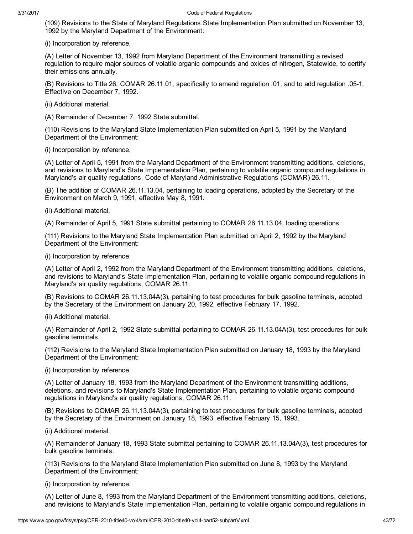(109) Revisions to the State of Maryland Regulations State Implementation Plan submitted on November 13, 1992 by the Maryland Department of the Environment:

(i) Incorporation by reference.

(A) Letter of November 13, 1992 from Maryland Department of the Environment transmitting a revised regulation to require major sources of volatile organic compounds and oxides of nitrogen, Statewide, to certify their emissions annually.

(B) Revisions to Title 26, COMAR 26.11.01, specifically to amend regulation .01, and to add regulation .051. Effective on December 7, 1992.

(ii) Additional material.

(A) Remainder of December 7, 1992 State submittal.

(110) Revisions to the Maryland State Implementation Plan submitted on April 5, 1991 by the Maryland Department of the Environment:

(i) Incorporation by reference.

(A) Letter of April 5, 1991 from the Maryland Department of the Environment transmitting additions, deletions, and revisions to Maryland's State Implementation Plan, pertaining to volatile organic compound regulations in Maryland's air quality regulations, Code of Maryland Administrative Regulations (COMAR) 26.11.

(B) The addition of COMAR 26.11.13.04, pertaining to loading operations, adopted by the Secretary of the Environment on March 9, 1991, effective May 8, 1991.

(ii) Additional material.

(A) Remainder of April 5, 1991 State submittal pertaining to COMAR 26.11.13.04, loading operations.

(111) Revisions to the Maryland State Implementation Plan submitted on April 2, 1992 by the Maryland Department of the Environment:

(i) Incorporation by reference.

(A) Letter of April 2, 1992 from the Maryland Department of the Environment transmitting additions, deletions, and revisions to Maryland's State Implementation Plan, pertaining to volatile organic compound regulations in Maryland's air quality regulations, COMAR 26.11.

(B) Revisions to COMAR 26.11.13.04A(3), pertaining to test procedures for bulk gasoline terminals, adopted by the Secretary of the Environment on January 20, 1992, effective February 17, 1992.

(ii) Additional material.

(A) Remainder of April 2, 1992 State submittal pertaining to COMAR 26.11.13.04A(3), test procedures for bulk gasoline terminals.

(112) Revisions to the Maryland State Implementation Plan submitted on January 18, 1993 by the Maryland Department of the Environment:

(i) Incorporation by reference.

(A) Letter of January 18, 1993 from the Maryland Department of the Environment transmitting additions, deletions, and revisions to Maryland's State Implementation Plan, pertaining to volatile organic compound regulations in Maryland's air quality regulations, COMAR 26.11.

(B) Revisions to COMAR 26.11.13.04A(3), pertaining to test procedures for bulk gasoline terminals, adopted by the Secretary of the Environment on January 18, 1993, effective February 15, 1993.

(ii) Additional material.

(A) Remainder of January 18, 1993 State submittal pertaining to COMAR 26.11.13.04A(3), test procedures for bulk gasoline terminals.

(113) Revisions to the Maryland State Implementation Plan submitted on June 8, 1993 by the Maryland Department of the Environment:

(i) Incorporation by reference.

(A) Letter of June 8, 1993 from the Maryland Department of the Environment transmitting additions, deletions, and revisions to Maryland's State Implementation Plan, pertaining to volatile organic compound regulations in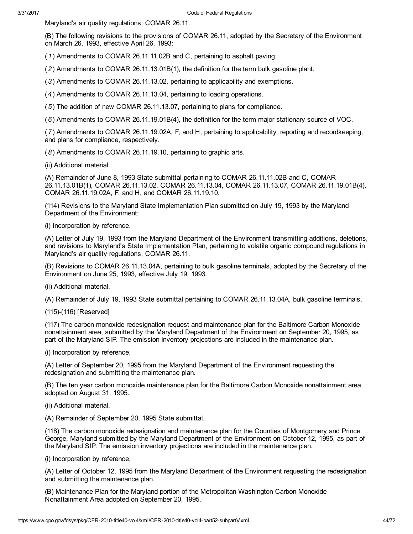Maryland's air quality regulations, COMAR 26.11.

(B) The following revisions to the provisions of COMAR 26.11, adopted by the Secretary of the Environment on March 26, 1993, effective April 26, 1993:

(1) Amendments to COMAR 26.11.11.02B and C, pertaining to asphalt paving.

(2) Amendments to COMAR 26.11.13.01B(1), the definition for the term bulk gasoline plant.

(3) Amendments to COMAR 26.11.13.02, pertaining to applicability and exemptions.

(4) Amendments to COMAR 26.11.13.04, pertaining to loading operations.

(5) The addition of new COMAR 26.11.13.07, pertaining to plans for compliance.

(6) Amendments to COMAR 26.11.19.01B(4), the definition for the term major stationary source of VOC.

(7) Amendments to COMAR 26.11.19.02A, F, and H, pertaining to applicability, reporting and recordkeeping, and plans for compliance, respectively.

(8) Amendments to COMAR 26.11.19.10, pertaining to graphic arts.

(ii) Additional material.

(A) Remainder of June 8, 1993 State submittal pertaining to COMAR 26.11.11.02B and C, COMAR 26.11.13.01B(1), COMAR 26.11.13.02, COMAR 26.11.13.04, COMAR 26.11.13.07, COMAR 26.11.19.01B(4), COMAR 26.11.19.02A, F, and H, and COMAR 26.11.19.10.

(114) Revisions to the Maryland State Implementation Plan submitted on July 19, 1993 by the Maryland Department of the Environment:

(i) Incorporation by reference.

(A) Letter of July 19, 1993 from the Maryland Department of the Environment transmitting additions, deletions, and revisions to Maryland's State Implementation Plan, pertaining to volatile organic compound regulations in Maryland's air quality regulations, COMAR 26.11.

(B) Revisions to COMAR 26.11.13.04A, pertaining to bulk gasoline terminals, adopted by the Secretary of the Environment on June 25, 1993, effective July 19, 1993.

(ii) Additional material.

(A) Remainder of July 19, 1993 State submittal pertaining to COMAR 26.11.13.04A, bulk gasoline terminals.

(115)-(116) [Reserved]

(117) The carbon monoxide redesignation request and maintenance plan for the Baltimore Carbon Monoxide nonattainment area, submitted by the Maryland Department of the Environment on September 20, 1995, as part of the Maryland SIP. The emission inventory projections are included in the maintenance plan.

(i) Incorporation by reference.

(A) Letter of September 20, 1995 from the Maryland Department of the Environment requesting the redesignation and submitting the maintenance plan.

(B) The ten year carbon monoxide maintenance plan for the Baltimore Carbon Monoxide nonattainment area adopted on August 31, 1995.

(ii) Additional material.

(A) Remainder of September 20, 1995 State submittal.

(118) The carbon monoxide redesignation and maintenance plan for the Counties of Montgomery and Prince George, Maryland submitted by the Maryland Department of the Environment on October 12, 1995, as part of the Maryland SIP. The emission inventory projections are included in the maintenance plan.

(i) Incorporation by reference.

(A) Letter of October 12, 1995 from the Maryland Department of the Environment requesting the redesignation and submitting the maintenance plan.

(B) Maintenance Plan for the Maryland portion of the Metropolitan Washington Carbon Monoxide Nonattainment Area adopted on September 20, 1995.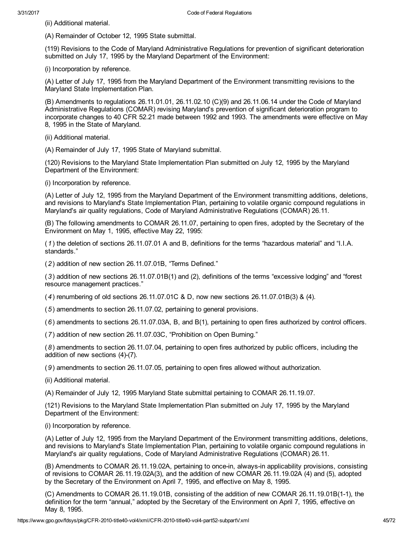(ii) Additional material.

(A) Remainder of October 12, 1995 State submittal.

(119) Revisions to the Code of Maryland Administrative Regulations for prevention of significant deterioration submitted on July 17, 1995 by the Maryland Department of the Environment:

(i) Incorporation by reference.

(A) Letter of July 17, 1995 from the Maryland Department of the Environment transmitting revisions to the Maryland State Implementation Plan.

(B) Amendments to regulations 26.11.01.01, 26.11.02.10 (C)(9) and 26.11.06.14 under the Code of Maryland Administrative Regulations (COMAR) revising Maryland's prevention of significant deterioration program to incorporate changes to 40 CFR 52.21 made between 1992 and 1993. The amendments were effective on May 8, 1995 in the State of Maryland.

(ii) Additional material.

(A) Remainder of July 17, 1995 State of Maryland submittal.

(120) Revisions to the Maryland State Implementation Plan submitted on July 12, 1995 by the Maryland Department of the Environment:

(i) Incorporation by reference.

(A) Letter of July 12, 1995 from the Maryland Department of the Environment transmitting additions, deletions, and revisions to Maryland's State Implementation Plan, pertaining to volatile organic compound regulations in Maryland's air quality regulations, Code of Maryland Administrative Regulations (COMAR) 26.11.

(B) The following amendments to COMAR 26.11.07, pertaining to open fires, adopted by the Secretary of the Environment on May 1, 1995, effective May 22, 1995:

(1) the deletion of sections 26.11.07.01 A and B, definitions for the terms "hazardous material" and "I.I.A. standards."

(2) addition of new section 26.11.07.01B, "Terms Defined."

(3) addition of new sections 26.11.07.01B(1) and (2), definitions of the terms "excessive lodging" and "forest resource management practices."

(4) renumbering of old sections 26.11.07.01C & D, now new sections 26.11.07.01B(3) & (4).

(5) amendments to section 26.11.07.02, pertaining to general provisions.

(6) amendments to sections 26.11.07.03A, B, and B(1), pertaining to open fires authorized by control officers.

(7) addition of new section 26.11.07.03C, "Prohibition on Open Burning."

(8) amendments to section 26.11.07.04, pertaining to open fires authorized by public officers, including the addition of new sections  $(4)-(7)$ .

(9) amendments to section 26.11.07.05, pertaining to open fires allowed without authorization.

(ii) Additional material.

(A) Remainder of July 12, 1995 Maryland State submittal pertaining to COMAR 26.11.19.07.

(121) Revisions to the Maryland State Implementation Plan submitted on July 17, 1995 by the Maryland Department of the Environment:

(i) Incorporation by reference.

(A) Letter of July 12, 1995 from the Maryland Department of the Environment transmitting additions, deletions, and revisions to Maryland's State Implementation Plan, pertaining to volatile organic compound regulations in Maryland's air quality regulations, Code of Maryland Administrative Regulations (COMAR) 26.11.

(B) Amendments to COMAR 26.11.19.02A, pertaining to once-in, always-in applicability provisions, consisting of revisions to COMAR 26.11.19.02A(3), and the addition of new COMAR 26.11.19.02A (4) and (5), adopted by the Secretary of the Environment on April 7, 1995, and effective on May 8, 1995.

(C) Amendments to COMAR 26.11.19.01B, consisting of the addition of new COMAR 26.11.19.01B(11), the definition for the term "annual," adopted by the Secretary of the Environment on April 7, 1995, effective on May 8, 1995.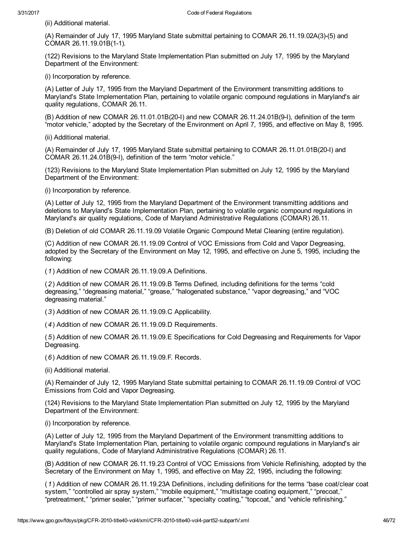(ii) Additional material.

(A) Remainder of July 17, 1995 Maryland State submittal pertaining to COMAR 26.11.19.02A(3)-(5) and COMAR 26.11.19.01B(1-1).

(122) Revisions to the Maryland State Implementation Plan submitted on July 17, 1995 by the Maryland Department of the Environment:

(i) Incorporation by reference.

(A) Letter of July 17, 1995 from the Maryland Department of the Environment transmitting additions to Maryland's State Implementation Plan, pertaining to volatile organic compound regulations in Maryland's air quality regulations, COMAR 26.11.

 $(B)$  Addition of new COMAR 26.11.01.01B(20-I) and new COMAR 26.11.24.01B(9-I), definition of the term "motor vehicle," adopted by the Secretary of the Environment on April 7, 1995, and effective on May 8, 1995.

(ii) Additional material.

(A) Remainder of July 17, 1995 Maryland State submittal pertaining to COMAR 26.11.01.01B(20-I) and COMAR 26.11.24.01B(9-I), definition of the term "motor vehicle."

(123) Revisions to the Maryland State Implementation Plan submitted on July 12, 1995 by the Maryland Department of the Environment:

(i) Incorporation by reference.

(A) Letter of July 12, 1995 from the Maryland Department of the Environment transmitting additions and deletions to Maryland's State Implementation Plan, pertaining to volatile organic compound regulations in Maryland's air quality regulations, Code of Maryland Administrative Regulations (COMAR) 26.11.

(B) Deletion of old COMAR 26.11.19.09 Volatile Organic Compound Metal Cleaning (entire regulation).

(C) Addition of new COMAR 26.11.19.09 Control of VOC Emissions from Cold and Vapor Degreasing, adopted by the Secretary of the Environment on May 12, 1995, and effective on June 5, 1995, including the following:

(1) Addition of new COMAR 26.11.19.09.A Definitions.

(2) Addition of new COMAR 26.11.19.09.B Terms Defined, including definitions for the terms "cold degreasing," "degreasing material," "grease," "halogenated substance," "vapor degreasing," and "VOC degreasing material."

(3) Addition of new COMAR 26.11.19.09.C Applicability.

(4) Addition of new COMAR 26.11.19.09.D Requirements.

(5) Addition of new COMAR 26.11.19.09.E Specifications for Cold Degreasing and Requirements for Vapor Degreasing.

(6) Addition of new COMAR 26.11.19.09.F. Records.

(ii) Additional material.

(A) Remainder of July 12, 1995 Maryland State submittal pertaining to COMAR 26.11.19.09 Control of VOC Emissions from Cold and Vapor Degreasing.

(124) Revisions to the Maryland State Implementation Plan submitted on July 12, 1995 by the Maryland Department of the Environment:

(i) Incorporation by reference.

(A) Letter of July 12, 1995 from the Maryland Department of the Environment transmitting additions to Maryland's State Implementation Plan, pertaining to volatile organic compound regulations in Maryland's air quality regulations, Code of Maryland Administrative Regulations (COMAR) 26.11.

(B) Addition of new COMAR 26.11.19.23 Control of VOC Emissions from Vehicle Refinishing, adopted by the Secretary of the Environment on May 1, 1995, and effective on May 22, 1995, including the following:

(1) Addition of new COMAR 26.11.19.23A Definitions, including definitions for the terms "base coat/clear coat system," "controlled air spray system," "mobile equipment," "multistage coating equipment," "precoat," "pretreatment," "primer sealer," "primer surfacer," "specialty coating," "topcoat," and "vehicle refinishing."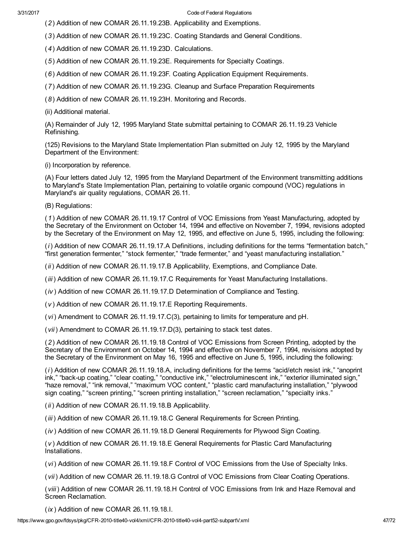(2) Addition of new COMAR 26.11.19.23B. Applicability and Exemptions.

(3) Addition of new COMAR 26.11.19.23C. Coating Standards and General Conditions.

(4) Addition of new COMAR 26.11.19.23D. Calculations.

(5) Addition of new COMAR 26.11.19.23E. Requirements for Specialty Coatings.

(6) Addition of new COMAR 26.11.19.23F. Coating Application Equipment Requirements.

(7) Addition of new COMAR 26.11.19.23G. Cleanup and Surface Preparation Requirements

(8) Addition of new COMAR 26.11.19.23H. Monitoring and Records.

(ii) Additional material.

(A) Remainder of July 12, 1995 Maryland State submittal pertaining to COMAR 26.11.19.23 Vehicle Refinishing.

(125) Revisions to the Maryland State Implementation Plan submitted on July 12, 1995 by the Maryland Department of the Environment:

(i) Incorporation by reference.

(A) Four letters dated July 12, 1995 from the Maryland Department of the Environment transmitting additions to Maryland's State Implementation Plan, pertaining to volatile organic compound (VOC) regulations in Maryland's air quality regulations, COMAR 26.11.

(B) Regulations:

(1) Addition of new COMAR 26.11.19.17 Control of VOC Emissions from Yeast Manufacturing, adopted by the Secretary of the Environment on October 14, 1994 and effective on November 7, 1994, revisions adopted by the Secretary of the Environment on May 12, 1995, and effective on June 5, 1995, including the following:

(i) Addition of new COMAR 26.11.19.17.A Definitions, including definitions for the terms "fermentation batch," "first generation fermenter," "stock fermenter," "trade fermenter," and "yeast manufacturing installation."

(ii) Addition of new COMAR 26.11.19.17.B Applicability, Exemptions, and Compliance Date.

(iii) Addition of new COMAR 26.11.19.17.C Requirements for Yeast Manufacturing Installations.

(iv ) Addition of new COMAR 26.11.19.17.D Determination of Compliance and Testing.

(v ) Addition of new COMAR 26.11.19.17.E Reporting Requirements.

(vi) Amendment to COMAR 26.11.19.17.C(3), pertaining to limits for temperature and pH.

(vii) Amendment to COMAR 26.11.19.17.D(3), pertaining to stack test dates.

(2) Addition of new COMAR 26.11.19.18 Control of VOC Emissions from Screen Printing, adopted by the Secretary of the Environment on October 14, 1994 and effective on November 7, 1994, revisions adopted by the Secretary of the Environment on May 16, 1995 and effective on June 5, 1995, including the following:

(i) Addition of new COMAR 26.11.19.18.A, including definitions for the terms "acid/etch resist ink," "anoprint ink," "back-up coating," "clear coating," "conductive ink," "electroluminescent ink," "exterior illuminated sign," "haze removal," "ink removal," "maximum VOC content," "plastic card manufacturing installation," "plywood sign coating," "screen printing," "screen printing installation," "screen reclamation," "specialty inks."

(*ii*) Addition of new COMAR 26.11.19.18.B Applicability.

(iii) Addition of new COMAR 26.11.19.18.C General Requirements for Screen Printing.

(iv ) Addition of new COMAR 26.11.19.18.D General Requirements for Plywood Sign Coating.

(v ) Addition of new COMAR 26.11.19.18.E General Requirements for Plastic Card Manufacturing Installations.

(vi) Addition of new COMAR 26.11.19.18.F Control of VOC Emissions from the Use of Specialty Inks.

(vii) Addition of new COMAR 26.11.19.18.G Control of VOC Emissions from Clear Coating Operations.

(viii) Addition of new COMAR 26.11.19.18.H Control of VOC Emissions from Ink and Haze Removal and Screen Reclamation.

(ix ) Addition of new COMAR 26.11.19.18.I.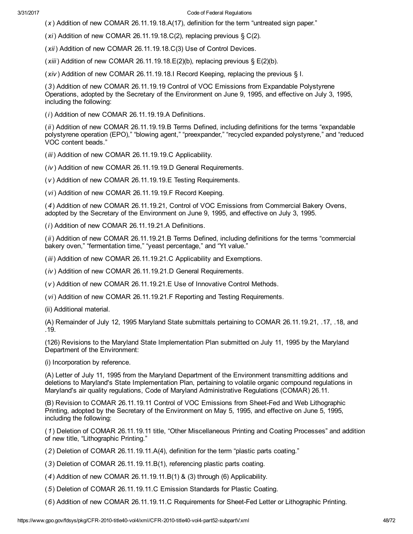(x ) Addition of new COMAR 26.11.19.18.A(17), definition for the term "untreated sign paper."

 $(xi)$  Addition of new COMAR 26.11.19.18.C(2), replacing previous § C(2).

(xii) Addition of new COMAR 26.11.19.18.C(3) Use of Control Devices.

 $(xiii)$  Addition of new COMAR 26.11.19.18.  $E(2)(b)$ , replacing previous §  $E(2)(b)$ .

(xiv ) Addition of new COMAR 26.11.19.18.I Record Keeping, replacing the previous § I.

(3) Addition of new COMAR 26.11.19.19 Control of VOC Emissions from Expandable Polystyrene Operations, adopted by the Secretary of the Environment on June 9, 1995, and effective on July 3, 1995, including the following:

(i) Addition of new COMAR 26.11.19.19.A Definitions.

(ii) Addition of new COMAR 26.11.19.19.B Terms Defined, including definitions for the terms "expandable polystyrene operation (EPO)," "blowing agent," "preexpander," "recycled expanded polystyrene," and "reduced VOC content beads."

(iii) Addition of new COMAR 26.11.19.19.C Applicability.

(iv ) Addition of new COMAR 26.11.19.19.D General Requirements.

(v ) Addition of new COMAR 26.11.19.19.E Testing Requirements.

(vi) Addition of new COMAR 26.11.19.19.F Record Keeping.

(4) Addition of new COMAR 26.11.19.21, Control of VOC Emissions from Commercial Bakery Ovens, adopted by the Secretary of the Environment on June 9, 1995, and effective on July 3, 1995.

(i) Addition of new COMAR 26.11.19.21.A Definitions.

(ii) Addition of new COMAR 26.11.19.21.B Terms Defined, including definitions for the terms "commercial bakery oven," "fermentation time," "yeast percentage," and "Yt value."

(iii) Addition of new COMAR 26.11.19.21.C Applicability and Exemptions.

(iv ) Addition of new COMAR 26.11.19.21.D General Requirements.

(v ) Addition of new COMAR 26.11.19.21.E Use of Innovative Control Methods.

(vi) Addition of new COMAR 26.11.19.21.F Reporting and Testing Requirements.

(ii) Additional material.

(A) Remainder of July 12, 1995 Maryland State submittals pertaining to COMAR 26.11.19.21, .17, .18, and .19.

(126) Revisions to the Maryland State Implementation Plan submitted on July 11, 1995 by the Maryland Department of the Environment:

(i) Incorporation by reference.

(A) Letter of July 11, 1995 from the Maryland Department of the Environment transmitting additions and deletions to Maryland's State Implementation Plan, pertaining to volatile organic compound regulations in Maryland's air quality regulations, Code of Maryland Administrative Regulations (COMAR) 26.11.

(B) Revision to COMAR 26.11.19.11 Control of VOC Emissions from Sheet-Fed and Web Lithographic Printing, adopted by the Secretary of the Environment on May 5, 1995, and effective on June 5, 1995, including the following:

(1) Deletion of COMAR 26.11.19.11 title, "Other Miscellaneous Printing and Coating Processes" and addition of new title, "Lithographic Printing."

(2) Deletion of COMAR 26.11.19.11.A(4), definition for the term "plastic parts coating."

(3) Deletion of COMAR 26.11.19.11.B(1), referencing plastic parts coating.

 $(4)$  Addition of new COMAR 26.11.19.11.B(1) & (3) through (6) Applicability.

(5) Deletion of COMAR 26.11.19.11.C Emission Standards for Plastic Coating.

(6) Addition of new COMAR 26.11.19.11.C Requirements for Sheet-Fed Letter or Lithographic Printing.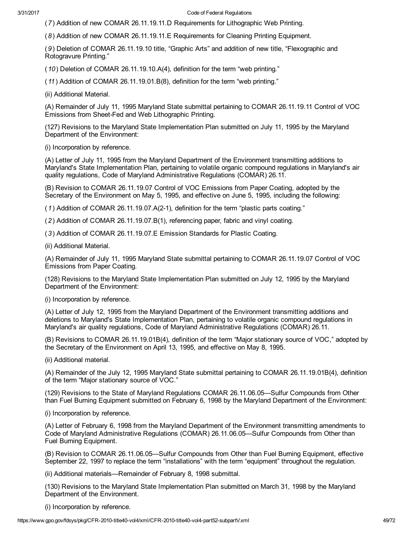(7) Addition of new COMAR 26.11.19.11.D Requirements for Lithographic Web Printing.

(8) Addition of new COMAR 26.11.19.11.E Requirements for Cleaning Printing Equipment.

(9) Deletion of COMAR 26.11.19.10 title, "Graphic Arts" and addition of new title, "Flexographic and Rotogravure Printing."

(10) Deletion of COMAR 26.11.19.10.A(4), definition for the term "web printing."

(11) Addition of COMAR 26.11.19.01.B(8), definition for the term "web printing."

(ii) Additional Material.

(A) Remainder of July 11, 1995 Maryland State submittal pertaining to COMAR 26.11.19.11 Control of VOC Emissions from Sheet-Fed and Web Lithographic Printing.

(127) Revisions to the Maryland State Implementation Plan submitted on July 11, 1995 by the Maryland Department of the Environment:

(i) Incorporation by reference.

(A) Letter of July 11, 1995 from the Maryland Department of the Environment transmitting additions to Maryland's State Implementation Plan, pertaining to volatile organic compound regulations in Maryland's air quality regulations, Code of Maryland Administrative Regulations (COMAR) 26.11.

(B) Revision to COMAR 26.11.19.07 Control of VOC Emissions from Paper Coating, adopted by the Secretary of the Environment on May 5, 1995, and effective on June 5, 1995, including the following:

(1) Addition of COMAR 26.11.19.07.A(21), definition for the term "plastic parts coating."

(2) Addition of COMAR 26.11.19.07.B(1), referencing paper, fabric and vinyl coating.

(3) Addition of COMAR 26.11.19.07.E Emission Standards for Plastic Coating.

(ii) Additional Material.

(A) Remainder of July 11, 1995 Maryland State submittal pertaining to COMAR 26.11.19.07 Control of VOC Emissions from Paper Coating.

(128) Revisions to the Maryland State Implementation Plan submitted on July 12, 1995 by the Maryland Department of the Environment:

(i) Incorporation by reference.

(A) Letter of July 12, 1995 from the Maryland Department of the Environment transmitting additions and deletions to Maryland's State Implementation Plan, pertaining to volatile organic compound regulations in Maryland's air quality regulations, Code of Maryland Administrative Regulations (COMAR) 26.11.

(B) Revisions to COMAR 26.11.19.01B(4), definition of the term "Major stationary source of VOC," adopted by the Secretary of the Environment on April 13, 1995, and effective on May 8, 1995.

(ii) Additional material.

(A) Remainder of the July 12, 1995 Maryland State submittal pertaining to COMAR 26.11.19.01B(4), definition of the term "Major stationary source of VOC."

(129) Revisions to the State of Maryland Regulations COMAR 26.11.06.05—Sulfur Compounds from Other than Fuel Burning Equipment submitted on February 6, 1998 by the Maryland Department of the Environment:

(i) Incorporation by reference.

(A) Letter of February 6, 1998 from the Maryland Department of the Environment transmitting amendments to Code of Maryland Administrative Regulations (COMAR) 26.11.06.05—Sulfur Compounds from Other than Fuel Burning Equipment.

(B) Revision to COMAR 26.11.06.05—Sulfur Compounds from Other than Fuel Burning Equipment, effective September 22, 1997 to replace the term "installations" with the term "equipment" throughout the regulation.

(ii) Additional materials—Remainder of February 8, 1998 submittal.

(130) Revisions to the Maryland State Implementation Plan submitted on March 31, 1998 by the Maryland Department of the Environment.

(i) Incorporation by reference.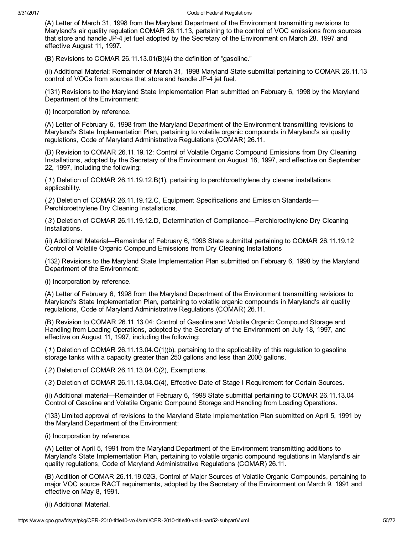(A) Letter of March 31, 1998 from the Maryland Department of the Environment transmitting revisions to Maryland's air quality regulation COMAR 26.11.13, pertaining to the control of VOC emissions from sources that store and handle JP-4 jet fuel adopted by the Secretary of the Environment on March 28, 1997 and effective August 11, 1997.

(B) Revisions to COMAR 26.11.13.01(B)(4) the definition of "gasoline."

(ii) Additional Material: Remainder of March 31, 1998 Maryland State submittal pertaining to COMAR 26.11.13 control of VOCs from sources that store and handle JP-4 jet fuel.

(131) Revisions to the Maryland State Implementation Plan submitted on February 6, 1998 by the Maryland Department of the Environment:

(i) Incorporation by reference.

(A) Letter of February 6, 1998 from the Maryland Department of the Environment transmitting revisions to Maryland's State Implementation Plan, pertaining to volatile organic compounds in Maryland's air quality regulations, Code of Maryland Administrative Regulations (COMAR) 26.11.

(B) Revision to COMAR 26.11.19.12: Control of Volatile Organic Compound Emissions from Dry Cleaning Installations, adopted by the Secretary of the Environment on August 18, 1997, and effective on September 22, 1997, including the following:

(1) Deletion of COMAR 26.11.19.12.B(1), pertaining to perchloroethylene dry cleaner installations applicability.

(2) Deletion of COMAR 26.11.19.12.C, Equipment Specifications and Emission Standards— Perchloroethylene Dry Cleaning Installations.

(3) Deletion of COMAR 26.11.19.12.D, Determination of Compliance—Perchloroethylene Dry Cleaning Installations.

(ii) Additional Material—Remainder of February 6, 1998 State submittal pertaining to COMAR 26.11.19.12 Control of Volatile Organic Compound Emissions from Dry Cleaning Installations

(132) Revisions to the Maryland State Implementation Plan submitted on February 6, 1998 by the Maryland Department of the Environment:

(i) Incorporation by reference.

(A) Letter of February 6, 1998 from the Maryland Department of the Environment transmitting revisions to Maryland's State Implementation Plan, pertaining to volatile organic compounds in Maryland's air quality regulations, Code of Maryland Administrative Regulations (COMAR) 26.11.

(B) Revision to COMAR 26.11.13.04: Control of Gasoline and Volatile Organic Compound Storage and Handling from Loading Operations, adopted by the Secretary of the Environment on July 18, 1997, and effective on August 11, 1997, including the following:

(1) Deletion of COMAR 26.11.13.04.C(1)(b), pertaining to the applicability of this regulation to gasoline storage tanks with a capacity greater than 250 gallons and less than 2000 gallons.

(2) Deletion of COMAR 26.11.13.04.C(2), Exemptions.

(3) Deletion of COMAR 26.11.13.04.C(4), Effective Date of Stage I Requirement for Certain Sources.

(ii) Additional material—Remainder of February 6, 1998 State submittal pertaining to COMAR 26.11.13.04 Control of Gasoline and Volatile Organic Compound Storage and Handling from Loading Operations.

(133) Limited approval of revisions to the Maryland State Implementation Plan submitted on April 5, 1991 by the Maryland Department of the Environment:

(i) Incorporation by reference.

(A) Letter of April 5, 1991 from the Maryland Department of the Environment transmitting additions to Maryland's State Implementation Plan, pertaining to volatile organic compound regulations in Maryland's air quality regulations, Code of Maryland Administrative Regulations (COMAR) 26.11.

(B) Addition of COMAR 26.11.19.02G, Control of Major Sources of Volatile Organic Compounds, pertaining to major VOC source RACT requirements, adopted by the Secretary of the Environment on March 9, 1991 and effective on May 8, 1991.

(ii) Additional Material.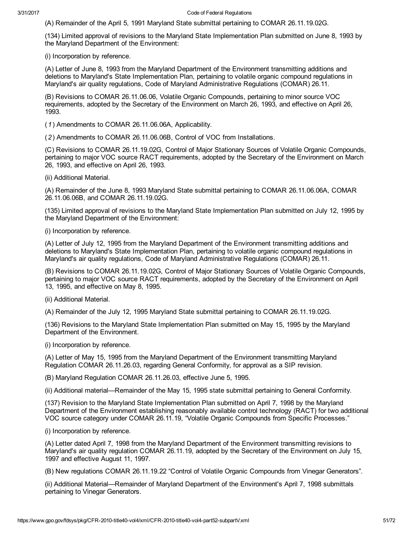(A) Remainder of the April 5, 1991 Maryland State submittal pertaining to COMAR 26.11.19.02G.

(134) Limited approval of revisions to the Maryland State Implementation Plan submitted on June 8, 1993 by the Maryland Department of the Environment:

(i) Incorporation by reference.

(A) Letter of June 8, 1993 from the Maryland Department of the Environment transmitting additions and deletions to Maryland's State Implementation Plan, pertaining to volatile organic compound regulations in Maryland's air quality regulations, Code of Maryland Administrative Regulations (COMAR) 26.11.

(B) Revisions to COMAR 26.11.06.06, Volatile Organic Compounds, pertaining to minor source VOC requirements, adopted by the Secretary of the Environment on March 26, 1993, and effective on April 26, 1993.

(1) Amendments to COMAR 26.11.06.06A, Applicability.

(2) Amendments to COMAR 26.11.06.06B, Control of VOC from Installations.

(C) Revisions to COMAR 26.11.19.02G, Control of Major Stationary Sources of Volatile Organic Compounds, pertaining to major VOC source RACT requirements, adopted by the Secretary of the Environment on March 26, 1993, and effective on April 26, 1993.

(ii) Additional Material.

(A) Remainder of the June 8, 1993 Maryland State submittal pertaining to COMAR 26.11.06.06A, COMAR 26.11.06.06B, and COMAR 26.11.19.02G.

(135) Limited approval of revisions to the Maryland State Implementation Plan submitted on July 12, 1995 by the Maryland Department of the Environment:

(i) Incorporation by reference.

(A) Letter of July 12, 1995 from the Maryland Department of the Environment transmitting additions and deletions to Maryland's State Implementation Plan, pertaining to volatile organic compound regulations in Maryland's air quality regulations, Code of Maryland Administrative Regulations (COMAR) 26.11.

(B) Revisions to COMAR 26.11.19.02G, Control of Major Stationary Sources of Volatile Organic Compounds, pertaining to major VOC source RACT requirements, adopted by the Secretary of the Environment on April 13, 1995, and effective on May 8, 1995.

(ii) Additional Material.

(A) Remainder of the July 12, 1995 Maryland State submittal pertaining to COMAR 26.11.19.02G.

(136) Revisions to the Maryland State Implementation Plan submitted on May 15, 1995 by the Maryland Department of the Environment.

(i) Incorporation by reference.

(A) Letter of May 15, 1995 from the Maryland Department of the Environment transmitting Maryland Regulation COMAR 26.11.26.03, regarding General Conformity, for approval as a SIP revision.

(B) Maryland Regulation COMAR 26.11.26.03, effective June 5, 1995.

(ii) Additional material—Remainder of the May 15, 1995 state submittal pertaining to General Conformity.

(137) Revision to the Maryland State Implementation Plan submitted on April 7, 1998 by the Maryland Department of the Environment establishing reasonably available control technology (RACT) for two additional VOC source category under COMAR 26.11.19, "Volatile Organic Compounds from Specific Processes."

(i) Incorporation by reference.

(A) Letter dated April 7, 1998 from the Maryland Department of the Environment transmitting revisions to Maryland's air quality regulation COMAR 26.11.19, adopted by the Secretary of the Environment on July 15, 1997 and effective August 11, 1997.

(B) New regulations COMAR 26.11.19.22 "Control of Volatile Organic Compounds from Vinegar Generators".

(ii) Additional Material—Remainder of Maryland Department of the Environment's April 7, 1998 submittals pertaining to Vinegar Generators.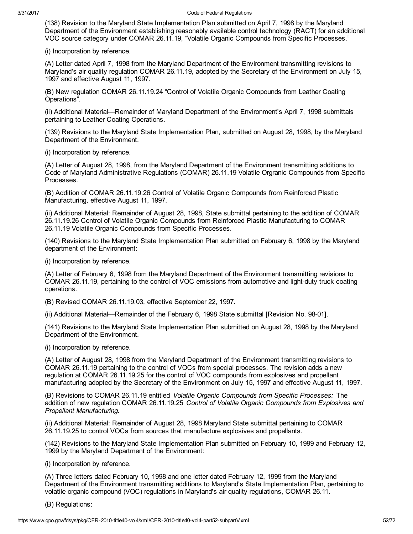(138) Revision to the Maryland State Implementation Plan submitted on April 7, 1998 by the Maryland Department of the Environment establishing reasonably available control technology (RACT) for an additional VOC source category under COMAR 26.11.19, "Volatile Organic Compounds from Specific Processes."

(i) Incorporation by reference.

(A) Letter dated April 7, 1998 from the Maryland Department of the Environment transmitting revisions to Maryland's air quality regulation COMAR 26.11.19, adopted by the Secretary of the Environment on July 15, 1997 and effective August 11, 1997.

(B) New regulation COMAR 26.11.19.24 "Control of Volatile Organic Compounds from Leather Coating Operations".

(ii) Additional Material—Remainder of Maryland Department of the Environment's April 7, 1998 submittals pertaining to Leather Coating Operations.

(139) Revisions to the Maryland State Implementation Plan, submitted on August 28, 1998, by the Maryland Department of the Environment.

(i) Incorporation by reference.

(A) Letter of August 28, 1998, from the Maryland Department of the Environment transmitting additions to Code of Maryland Administrative Regulations (COMAR) 26.11.19 Volatile Orgranic Compounds from Specific Processes.

(B) Addition of COMAR 26.11.19.26 Control of Volatile Organic Compounds from Reinforced Plastic Manufacturing, effective August 11, 1997.

(ii) Additional Material: Remainder of August 28, 1998, State submittal pertaining to the addition of COMAR 26.11.19.26 Control of Volatile Organic Compounds from Reinforced Plastic Manufacturing to COMAR 26.11.19 Volatile Organic Compounds from Specific Processes.

(140) Revisions to the Maryland State Implementation Plan submitted on February 6, 1998 by the Maryland department of the Environment:

(i) Incorporation by reference.

(A) Letter of February 6, 1998 from the Maryland Department of the Environment transmitting revisions to COMAR 26.11.19, pertaining to the control of VOC emissions from automotive and light-duty truck coating operations.

(B) Revised COMAR 26.11.19.03, effective September 22, 1997.

(ii) Additional Material—Remainder of the February 6, 1998 State submittal [Revision No. 98-01].

(141) Revisions to the Maryland State Implementation Plan submitted on August 28, 1998 by the Maryland Department of the Environment.

(i) Incorporation by reference.

(A) Letter of August 28, 1998 from the Maryland Department of the Environment transmitting revisions to COMAR 26.11.19 pertaining to the control of VOCs from special processes. The revision adds a new regulation at COMAR 26.11.19.25 for the control of VOC compounds from explosives and propellant manufacturing adopted by the Secretary of the Environment on July 15, 1997 and effective August 11, 1997.

(B) Revisions to COMAR 26.11.19 entitled Volatile Organic Compounds from Specific Processes: The addition of new regulation COMAR 26.11.19.25 Control of Volatile Organic Compounds from Explosives and Propellant Manufacturing.

(ii) Additional Material: Remainder of August 28, 1998 Maryland State submittal pertaining to COMAR 26.11.19.25 to control VOCs from sources that manufacture explosives and propellants.

(142) Revisions to the Maryland State Implementation Plan submitted on February 10, 1999 and February 12, 1999 by the Maryland Department of the Environment:

(i) Incorporation by reference.

(A) Three letters dated February 10, 1998 and one letter dated February 12, 1999 from the Maryland Department of the Environment transmitting additions to Maryland's State Implementation Plan, pertaining to volatile organic compound (VOC) regulations in Maryland's air quality regulations, COMAR 26.11.

(B) Regulations: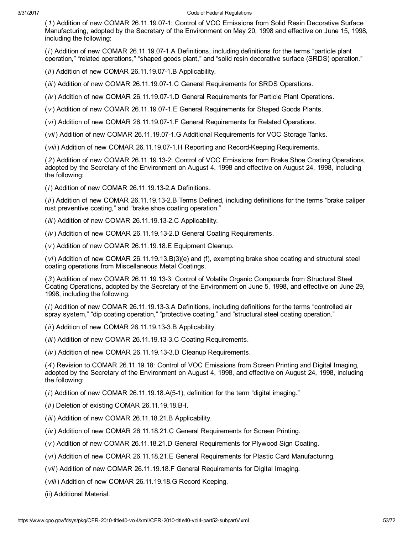(1) Addition of new COMAR 26.11.19.071: Control of VOC Emissions from Solid Resin Decorative Surface Manufacturing, adopted by the Secretary of the Environment on May 20, 1998 and effective on June 15, 1998, including the following:

 $(i)$  Addition of new COMAR 26.11.19.07-1.A Definitions, including definitions for the terms "particle plant" operation," "related operations," "shaped goods plant," and "solid resin decorative surface (SRDS) operation."

 $(ii)$  Addition of new COMAR 26.11.19.07-1.B Applicability.

(iii) Addition of new COMAR 26.11.19.07-1.C General Requirements for SRDS Operations.

 $(iv)$  Addition of new COMAR 26.11.19.07-1.D General Requirements for Particle Plant Operations.

(v) Addition of new COMAR 26.11.19.07-1.E General Requirements for Shaped Goods Plants.

(vi) Addition of new COMAR 26.11.19.07-1.F General Requirements for Related Operations.

(vii) Addition of new COMAR 26.11.19.07-1.G Additional Requirements for VOC Storage Tanks.

(viii) Addition of new COMAR 26.11.19.07-1.H Reporting and Record-Keeping Requirements.

(2) Addition of new COMAR 26.11.19.132: Control of VOC Emissions from Brake Shoe Coating Operations, adopted by the Secretary of the Environment on August 4, 1998 and effective on August 24, 1998, including the following:

 $(i)$  Addition of new COMAR 26.11.19.13-2.A Definitions.

(ii) Addition of new COMAR 26.11.19.132.B Terms Defined, including definitions for the terms "brake caliper rust preventive coating," and "brake shoe coating operation."

(iii) Addition of new COMAR 26.11.19.13-2.C Applicability.

(iv ) Addition of new COMAR 26.11.19.132.D General Coating Requirements.

(v ) Addition of new COMAR 26.11.19.18.E Equipment Cleanup.

(vi) Addition of new COMAR 26.11.19.13.B(3)(e) and (f), exempting brake shoe coating and structural steel coating operations from Miscellaneous Metal Coatings.

(3) Addition of new COMAR 26.11.19.133: Control of Volatile Organic Compounds from Structural Steel Coating Operations, adopted by the Secretary of the Environment on June 5, 1998, and effective on June 29, 1998, including the following:

(i) Addition of new COMAR 26.11.19.133.A Definitions, including definitions for the terms "controlled air spray system," "dip coating operation," "protective coating," and "structural steel coating operation."

 $(ii)$  Addition of new COMAR 26.11.19.13-3.B Applicability.

(iii) Addition of new COMAR 26.11.19.13-3.C Coating Requirements.

(iv) Addition of new COMAR 26.11.19.13-3.D Cleanup Requirements.

(4) Revision to COMAR 26.11.19.18: Control of VOC Emissions from Screen Printing and Digital Imaging, adopted by the Secretary of the Environment on August 4, 1998, and effective on August 24, 1998, including the following:

 $(i)$  Addition of new COMAR 26.11.19.18.A(5-1), definition for the term "digital imaging."

 $(ii)$  Deletion of existing COMAR 26.11.19.18.B-I.

(iii) Addition of new COMAR 26.11.18.21.B Applicability.

(iv ) Addition of new COMAR 26.11.18.21.C General Requirements for Screen Printing.

(v ) Addition of new COMAR 26.11.18.21.D General Requirements for Plywood Sign Coating.

(vi) Addition of new COMAR 26.11.18.21.E General Requirements for Plastic Card Manufacturing.

(vii) Addition of new COMAR 26.11.19.18.F General Requirements for Digital Imaging.

(viii) Addition of new COMAR 26.11.19.18.G Record Keeping.

(ii) Additional Material.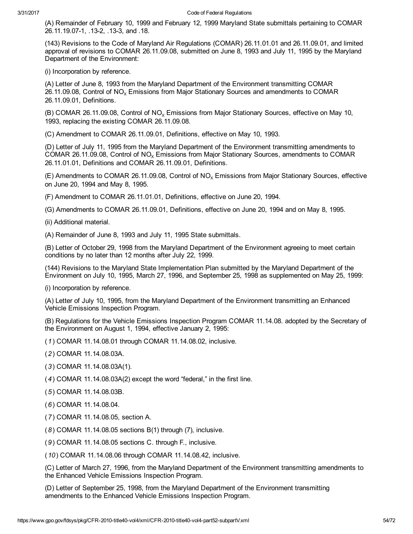(A) Remainder of February 10, 1999 and February 12, 1999 Maryland State submittals pertaining to COMAR 26.11.19.07-1, .13-2, .13-3, and .18.

(143) Revisions to the Code of Maryland Air Regulations (COMAR) 26.11.01.01 and 26.11.09.01, and limited approval of revisions to COMAR 26.11.09.08, submitted on June 8, 1993 and July 11, 1995 by the Maryland Department of the Environment:

(i) Incorporation by reference.

(A) Letter of June 8, 1993 from the Maryland Department of the Environment transmitting COMAR 26.11.09.08, Control of  $NO_x$  Emissions from Major Stationary Sources and amendments to COMAR 26.11.09.01, Definitions.

(B) COMAR 26.11.09.08, Control of  $NO<sub>x</sub>$  Emissions from Major Stationary Sources, effective on May 10, 1993, replacing the existing COMAR 26.11.09.08.

(C) Amendment to COMAR 26.11.09.01, Definitions, effective on May 10, 1993.

(D) Letter of July 11, 1995 from the Maryland Department of the Environment transmitting amendments to COMAR 26.11.09.08, Control of  $NO_x$  Emissions from Major Stationary Sources, amendments to COMAR 26.11.01.01, Definitions and COMAR 26.11.09.01, Definitions.

(E) Amendments to COMAR 26.11.09.08, Control of  $NO<sub>x</sub>$  Emissions from Major Stationary Sources, effective on June 20, 1994 and May 8, 1995.

(F) Amendment to COMAR 26.11.01.01, Definitions, effective on June 20, 1994.

(G) Amendments to COMAR 26.11.09.01, Definitions, effective on June 20, 1994 and on May 8, 1995.

(ii) Additional material.

(A) Remainder of June 8, 1993 and July 11, 1995 State submittals.

(B) Letter of October 29, 1998 from the Maryland Department of the Environment agreeing to meet certain conditions by no later than 12 months after July 22, 1999.

(144) Revisions to the Maryland State Implementation Plan submitted by the Maryland Department of the Environment on July 10, 1995, March 27, 1996, and September 25, 1998 as supplemented on May 25, 1999:

(i) Incorporation by reference.

(A) Letter of July 10, 1995, from the Maryland Department of the Environment transmitting an Enhanced Vehicle Emissions Inspection Program.

(B) Regulations for the Vehicle Emissions Inspection Program COMAR 11.14.08. adopted by the Secretary of the Environment on August 1, 1994, effective January 2, 1995:

(1) COMAR 11.14.08.01 through COMAR 11.14.08.02, inclusive.

(2) COMAR 11.14.08.03A.

(3) COMAR 11.14.08.03A(1).

(4) COMAR 11.14.08.03A(2) except the word "federal," in the first line.

(5) COMAR 11.14.08.03B.

(6) COMAR 11.14.08.04.

(7) COMAR 11.14.08.05, section A.

(8) COMAR 11.14.08.05 sections B(1) through (7), inclusive.

(9) COMAR 11.14.08.05 sections C. through F., inclusive.

(10) COMAR 11.14.08.06 through COMAR 11.14.08.42, inclusive.

(C) Letter of March 27, 1996, from the Maryland Department of the Environment transmitting amendments to the Enhanced Vehicle Emissions Inspection Program.

(D) Letter of September 25, 1998, from the Maryland Department of the Environment transmitting amendments to the Enhanced Vehicle Emissions Inspection Program.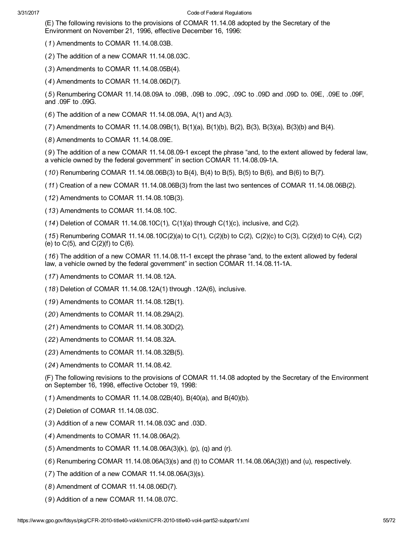(E) The following revisions to the provisions of COMAR 11.14.08 adopted by the Secretary of the Environment on November 21, 1996, effective December 16, 1996:

(1) Amendments to COMAR 11.14.08.03B.

(2) The addition of a new COMAR 11.14.08.03C.

(3) Amendments to COMAR 11.14.08.05B(4).

(4) Amendments to COMAR 11.14.08.06D(7).

(5) Renumbering COMAR 11.14.08.09A to .09B, .09B to .09C, .09C to .09D and .09D to. 09E, .09E to .09F, and .09F to .09G.

(6) The addition of a new COMAR 11.14.08.09A, A(1) and A(3).

(7) Amendments to COMAR 11.14.08.09B(1), B(1)(a), B(1)(b), B(2), B(3), B(3)(a), B(3)(b) and B(4).

(8) Amendments to COMAR 11.14.08.09E.

(9) The addition of a new COMAR 11.14.08.09-1 except the phrase "and, to the extent allowed by federal law, a vehicle owned by the federal government" in section COMAR 11.14.08.09-1A.

 $(10)$  Renumbering COMAR 11.14.08.06B(3) to B(4), B(4) to B(5), B(5) to B(6), and B(6) to B(7).

(11) Creation of a new COMAR 11.14.08.06B(3) from the last two sentences of COMAR 11.14.08.06B(2).

(12) Amendments to COMAR 11.14.08.10B(3).

(13) Amendments to COMAR 11.14.08.10C.

 $(14)$  Deletion of COMAR 11.14.08.10C(1), C(1)(a) through C(1)(c), inclusive, and C(2).

(15) Renumbering COMAR 11.14.08.10C(2)(a) to C(1), C(2)(b) to C(2), C(2)(c) to C(3), C(2)(d) to C(4), C(2) (e) to  $C(5)$ , and  $C(2)(f)$  to  $C(6)$ .

(16) The addition of a new COMAR 11.14.08.111 except the phrase "and, to the extent allowed by federal law, a vehicle owned by the federal government" in section COMAR 11.14.08.111A.

(17) Amendments to COMAR 11.14.08.12A.

(18) Deletion of COMAR 11.14.08.12A(1) through .12A(6), inclusive.

(19) Amendments to COMAR 11.14.08.12B(1).

(20) Amendments to COMAR 11.14.08.29A(2).

(21) Amendments to COMAR 11.14.08.30D(2).

(22) Amendments to COMAR 11.14.08.32A.

(23) Amendments to COMAR 11.14.08.32B(5).

(24) Amendments to COMAR 11.14.08.42.

(F) The following revisions to the provisions of COMAR 11.14.08 adopted by the Secretary of the Environment on September 16, 1998, effective October 19, 1998:

(1) Amendments to COMAR 11.14.08.02B(40), B(40(a), and B(40)(b).

(2) Deletion of COMAR 11.14.08.03C.

(3) Addition of a new COMAR 11.14.08.03C and .03D.

(4) Amendments to COMAR 11.14.08.06A(2).

(5) Amendments to COMAR 11.14.08.06A(3)(k), (p), (q) and (r).

 $(6)$  Renumbering COMAR 11.14.08.06A(3)(s) and (t) to COMAR 11.14.08.06A(3)(t) and (u), respectively.

(7) The addition of a new COMAR 11.14.08.06A(3)(s).

(8) Amendment of COMAR 11.14.08.06D(7).

(9) Addition of a new COMAR 11.14.08.07C.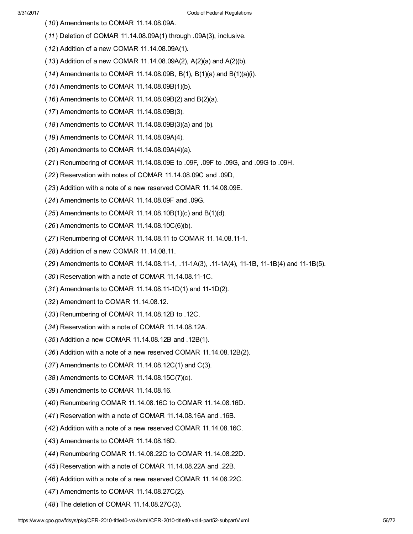- (10) Amendments to COMAR 11.14.08.09A.
- (11) Deletion of COMAR 11.14.08.09A(1) through .09A(3), inclusive.
- (12) Addition of a new COMAR 11.14.08.09A(1).
- (13) Addition of a new COMAR 11.14.08.09A(2), A(2)(a) and A(2)(b).
- (14) Amendments to COMAR 11.14.08.09B, B(1), B(1)(a) and B(1)(a)(i).
- (15) Amendments to COMAR 11.14.08.09B(1)(b).
- (16) Amendments to COMAR 11.14.08.09B(2) and B(2)(a).
- (17) Amendments to COMAR 11.14.08.09B(3).
- (18) Amendments to COMAR 11.14.08.09B(3)(a) and (b).
- (19) Amendments to COMAR 11.14.08.09A(4).
- (20) Amendments to COMAR 11.14.08.09A(4)(a).
- (21) Renumbering of COMAR 11.14.08.09E to .09F, .09F to .09G, and .09G to .09H.
- (22) Reservation with notes of COMAR 11.14.08.09C and .09D,
- (23) Addition with a note of a new reserved COMAR 11.14.08.09E.
- (24) Amendments to COMAR 11.14.08.09F and .09G.
- $(25)$  Amendments to COMAR 11.14.08.10B $(1)(c)$  and B $(1)(d)$ .
- (26) Amendments to COMAR 11.14.08.10C(6)(b).
- (27) Renumbering of COMAR 11.14.08.11 to COMAR 11.14.08.11-1.
- (28) Addition of a new COMAR 11.14.08.11.
- (29) Amendments to COMAR 11.14.08.11-1, .11-1A(3), .11-1A(4), 11-1B, 11-1B(4) and 11-1B(5).
- (30) Reservation with a note of COMAR 11.14.08.11-1C.
- $(31)$  Amendments to COMAR 11.14.08.11-1D(1) and 11-1D(2).
- (32) Amendment to COMAR 11.14.08.12.
- (33) Renumbering of COMAR 11.14.08.12B to .12C.
- (34) Reservation with a note of COMAR 11.14.08.12A.
- (35) Addition a new COMAR 11.14.08.12B and .12B(1).
- (36) Addition with a note of a new reserved COMAR 11.14.08.12B(2).
- (37) Amendments to COMAR 11.14.08.12C(1) and C(3).
- (38) Amendments to COMAR 11.14.08.15C(7)(c).
- (39) Amendments to COMAR 11.14.08.16.
- (40) Renumbering COMAR 11.14.08.16C to COMAR 11.14.08.16D.
- (41) Reservation with a note of COMAR 11.14.08.16A and .16B.
- (42) Addition with a note of a new reserved COMAR 11.14.08.16C.
- (43) Amendments to COMAR 11.14.08.16D.
- (44) Renumbering COMAR 11.14.08.22C to COMAR 11.14.08.22D.
- (45) Reservation with a note of COMAR 11.14.08.22A and .22B.
- (46) Addition with a note of a new reserved COMAR 11.14.08.22C.
- (47) Amendments to COMAR 11.14.08.27C(2).
- (48) The deletion of COMAR 11.14.08.27C(3).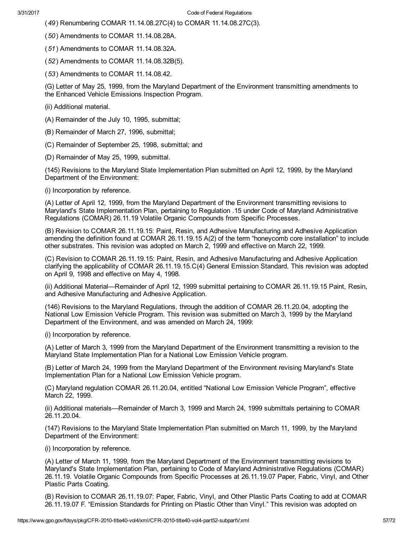- (49) Renumbering COMAR 11.14.08.27C(4) to COMAR 11.14.08.27C(3).
- (50) Amendments to COMAR 11.14.08.28A.
- (51) Amendments to COMAR 11.14.08.32A.
- (52) Amendments to COMAR 11.14.08.32B(5).
- (53) Amendments to COMAR 11.14.08.42.

(G) Letter of May 25, 1999, from the Maryland Department of the Environment transmitting amendments to the Enhanced Vehicle Emissions Inspection Program.

- (ii) Additional material.
- (A) Remainder of the July 10, 1995, submittal;
- (B) Remainder of March 27, 1996, submittal;
- (C) Remainder of September 25, 1998, submittal; and
- (D) Remainder of May 25, 1999, submittal.

(145) Revisions to the Maryland State Implementation Plan submitted on April 12, 1999, by the Maryland Department of the Environment:

(i) Incorporation by reference.

(A) Letter of April 12, 1999, from the Maryland Department of the Environment transmitting revisions to Maryland's State Implementation Plan, pertaining to Regulation .15 under Code of Maryland Administrative Regulations (COMAR) 26.11.19 Volatile Organic Compounds from Specific Processes.

(B) Revision to COMAR 26.11.19.15: Paint, Resin, and Adhesive Manufacturing and Adhesive Application amending the definition found at COMAR 26.11.19.15 A(2) of the term "honeycomb core installation" to include other substrates. This revision was adopted on March 2, 1999 and effective on March 22, 1999.

(C) Revision to COMAR 26.11.19.15: Paint, Resin, and Adhesive Manufacturing and Adhesive Application clarifying the applicability of COMAR 26.11.19.15.C(4) General Emission Standard. This revision was adopted on April 9, 1998 and effective on May 4, 1998.

(ii) Additional Material—Remainder of April 12, 1999 submittal pertaining to COMAR 26.11.19.15 Paint, Resin, and Adhesive Manufacturing and Adhesive Application.

(146) Revisions to the Maryland Regulations, through the addition of COMAR 26.11.20.04, adopting the National Low Emission Vehicle Program. This revision was submitted on March 3, 1999 by the Maryland Department of the Environment, and was amended on March 24, 1999:

(i) Incorporation by reference.

(A) Letter of March 3, 1999 from the Maryland Department of the Environment transmitting a revision to the Maryland State Implementation Plan for a National Low Emission Vehicle program.

(B) Letter of March 24, 1999 from the Maryland Department of the Environment revising Maryland's State Implementation Plan for a National Low Emission Vehicle program.

(C) Maryland regulation COMAR 26.11.20.04, entitled "National Low Emission Vehicle Program", effective March 22, 1999.

(ii) Additional materials—Remainder of March 3, 1999 and March 24, 1999 submittals pertaining to COMAR 26.11.20.04.

(147) Revisions to the Maryland State Implementation Plan submitted on March 11, 1999, by the Maryland Department of the Environment:

(i) Incorporation by reference.

(A) Letter of March 11, 1999, from the Maryland Department of the Environment transmitting revisions to Maryland's State Implementation Plan, pertaining to Code of Maryland Administrative Regulations (COMAR) 26.11.19. Volatile Organic Compounds from Specific Processes at 26.11.19.07 Paper, Fabric, Vinyl, and Other Plastic Parts Coating.

(B) Revision to COMAR 26.11.19.07: Paper, Fabric, Vinyl, and Other Plastic Parts Coating to add at COMAR 26.11.19.07 F. "Emission Standards for Printing on Plastic Other than Vinyl." This revision was adopted on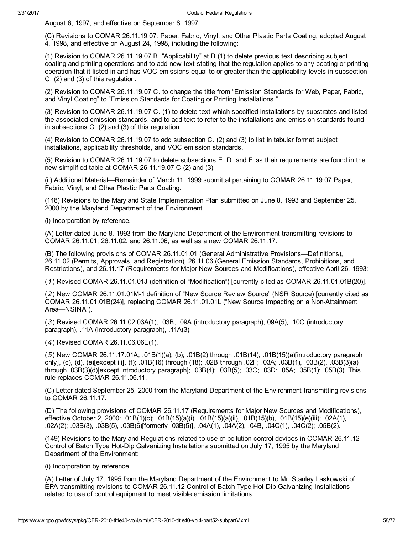August 6, 1997, and effective on September 8, 1997.

(C) Revisions to COMAR 26.11.19.07: Paper, Fabric, Vinyl, and Other Plastic Parts Coating, adopted August 4, 1998, and effective on August 24, 1998, including the following:

(1) Revision to COMAR 26.11.19.07 B. "Applicability" at B (1) to delete previous text describing subject coating and printing operations and to add new text stating that the regulation applies to any coating or printing operation that it listed in and has VOC emissions equal to or greater than the applicability levels in subsection C. (2) and (3) of this regulation.

(2) Revision to COMAR 26.11.19.07 C. to change the title from "Emission Standards for Web, Paper, Fabric, and Vinyl Coating" to "Emission Standards for Coating or Printing Installations."

(3) Revision to COMAR 26.11.19.07 C. (1) to delete text which specified installations by substrates and listed the associated emission standards, and to add text to refer to the installations and emission standards found in subsections C. (2) and (3) of this regulation.

(4) Revision to COMAR 26.11.19.07 to add subsection C. (2) and (3) to list in tabular format subject installations, applicability thresholds, and VOC emission standards.

(5) Revision to COMAR 26.11.19.07 to delete subsections E. D. and F. as their requirements are found in the new simplified table at COMAR 26.11.19.07 C (2) and (3).

(ii) Additional Material—Remainder of March 11, 1999 submittal pertaining to COMAR 26.11.19.07 Paper, Fabric, Vinyl, and Other Plastic Parts Coating.

(148) Revisions to the Maryland State Implementation Plan submitted on June 8, 1993 and September 25, 2000 by the Maryland Department of the Environment.

(i) Incorporation by reference.

(A) Letter dated June 8, 1993 from the Maryland Department of the Environment transmitting revisions to COMAR 26.11.01, 26.11.02, and 26.11.06, as well as a new COMAR 26.11.17.

(B) The following provisions of COMAR 26.11.01.01 (General Administrative Provisions—Definitions), 26.11.02 (Permits, Approvals, and Registration), 26.11.06 (General Emission Standards, Prohibitions, and Restrictions), and 26.11.17 (Requirements for Major New Sources and Modifications), effective April 26, 1993:

(1) Revised COMAR 26.11.01.01J (definition of "Modification") [currently cited as COMAR 26.11.01.01B(20)].

(2) New COMAR 26.11.01.01M1 definition of "New Source Review Source" (NSR Source) [currently cited as COMAR 26.11.01.01B(24)], replacing COMAR 26.11.01.01L ("New Source Impacting on a NonAttainment Area—NSINA").

(3) Revised COMAR 26.11.02.03A(1), .03B, .09A (introductory paragraph), 09A(5), .10C (introductory paragraph), .11A (introductory paragraph), .11A(3).

(4) Revised COMAR 26.11.06.06E(1).

(5) New COMAR 26.11.17.01A; .01B(1)(a), (b); .01B(2) through .01B(14); .01B(15)(a)[introductory paragraph only], (c), (d), (e)[except iii], (f); .01B(16) through (18); .02B through .02F; .03A; .03B(1), .03B(2), .03B(3)(a) through .03B(3)(d)[except introductory paragraph]; .03B(4); .03B(5); .03C; .03D; .05A; .05B(1); .05B(3). This rule replaces COMAR 26.11.06.11.

(C) Letter dated September 25, 2000 from the Maryland Department of the Environment transmitting revisions to COMAR 26.11.17.

(D) The following provisions of COMAR 26.11.17 (Requirements for Major New Sources and Modifications), effective October 2, 2000: .01B(1)(c); .01B(15)(a)(i), .01B(15)(a)(ii), .01B(15)(b), .01B(15)(e)(iii); .02A(1), .02A(2); .03B(3), .03B(5), .03B(6)[formerly .03B(5)], .04A(1), .04A(2), .04B, .04C(1), .04C(2); .05B(2).

(149) Revisions to the Maryland Regulations related to use of pollution control devices in COMAR 26.11.12 Control of Batch Type Hot-Dip Galvanizing Installations submitted on July 17, 1995 by the Maryland Department of the Environment:

(i) Incorporation by reference.

(A) Letter of July 17, 1995 from the Maryland Department of the Environment to Mr. Stanley Laskowski of EPA transmitting revisions to COMAR 26.11.12 Control of Batch Type Hot-Dip Galvanizing Installations related to use of control equipment to meet visible emission limitations.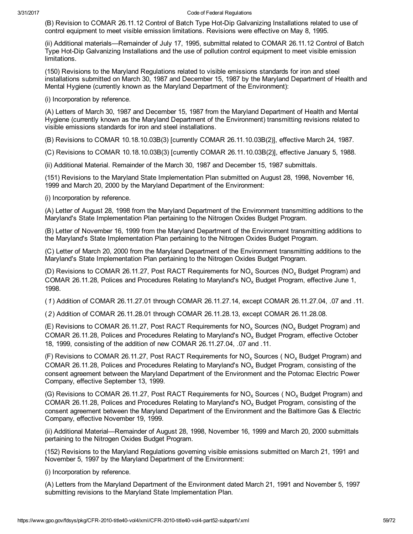(B) Revision to COMAR 26.11.12 Control of Batch Type Hot-Dip Galvanizing Installations related to use of control equipment to meet visible emission limitations. Revisions were effective on May 8, 1995.

(ii) Additional materials—Remainder of July 17, 1995, submittal related to COMAR 26.11.12 Control of Batch Type Hot-Dip Galvanizing Installations and the use of pollution control equipment to meet visible emission limitations.

(150) Revisions to the Maryland Regulations related to visible emissions standards for iron and steel installations submitted on March 30, 1987 and December 15, 1987 by the Maryland Department of Health and Mental Hygiene (currently known as the Maryland Department of the Environment):

(i) Incorporation by reference.

(A) Letters of March 30, 1987 and December 15, 1987 from the Maryland Department of Health and Mental Hygiene (currently known as the Maryland Department of the Environment) transmitting revisions related to visible emissions standards for iron and steel installations.

(B) Revisions to COMAR 10.18.10.03B(3) [currently COMAR 26.11.10.03B(2)], effective March 24, 1987.

(C) Revisions to COMAR 10.18.10.03B(3) [currently COMAR 26.11.10.03B(2)], effective January 5, 1988.

(ii) Additional Material. Remainder of the March 30, 1987 and December 15, 1987 submittals.

(151) Revisions to the Maryland State Implementation Plan submitted on August 28, 1998, November 16, 1999 and March 20, 2000 by the Maryland Department of the Environment:

(i) Incorporation by reference.

(A) Letter of August 28, 1998 from the Maryland Department of the Environment transmitting additions to the Maryland's State Implementation Plan pertaining to the Nitrogen Oxides Budget Program.

(B) Letter of November 16, 1999 from the Maryland Department of the Environment transmitting additions to the Maryland's State Implementation Plan pertaining to the Nitrogen Oxides Budget Program.

(C) Letter of March 20, 2000 from the Maryland Department of the Environment transmitting additions to the Maryland's State Implementation Plan pertaining to the Nitrogen Oxides Budget Program.

(D) Revisions to COMAR 26.11.27, Post RACT Requirements for  $NO<sub>v</sub>$  Sources (NO<sub>v</sub> Budget Program) and COMAR 26.11.28, Polices and Procedures Relating to Maryland's NO<sub>v</sub> Budget Program, effective June 1, 1998.

(1) Addition of COMAR 26.11.27.01 through COMAR 26.11.27.14, except COMAR 26.11.27.04, .07 and .11.

(2) Addition of COMAR 26.11.28.01 through COMAR 26.11.28.13, except COMAR 26.11.28.08.

(E) Revisions to COMAR 26.11.27, Post RACT Requirements for  $NO<sub>x</sub>$  Sources ( $NO<sub>x</sub>$  Budget Program) and COMAR 26.11.28, Polices and Procedures Relating to Maryland's  $NO<sub>x</sub>$  Budget Program, effective October 18, 1999, consisting of the addition of new COMAR 26.11.27.04, .07 and .11.

(F) Revisions to COMAR 26.11.27, Post RACT Requirements for  $NO_x$  Sources ( $NO_x$  Budget Program) and COMAR 26.11.28, Polices and Procedures Relating to Maryland's  $NO<sub>x</sub>$  Budget Program, consisting of the consent agreement between the Maryland Department of the Environment and the Potomac Electric Power Company, effective September 13, 1999.

(G) Revisions to COMAR 26.11.27, Post RACT Requirements for  $NO<sub>x</sub>$  Sources ( $NO<sub>x</sub>$  Budget Program) and COMAR 26.11.28, Polices and Procedures Relating to Maryland's  $NO<sub>x</sub>$  Budget Program, consisting of the consent agreement between the Maryland Department of the Environment and the Baltimore Gas & Electric Company, effective November 19, 1999.

(ii) Additional Material—Remainder of August 28, 1998, November 16, 1999 and March 20, 2000 submittals pertaining to the Nitrogen Oxides Budget Program.

(152) Revisions to the Maryland Regulations governing visible emissions submitted on March 21, 1991 and November 5, 1997 by the Maryland Department of the Environment:

(i) Incorporation by reference.

(A) Letters from the Maryland Department of the Environment dated March 21, 1991 and November 5, 1997 submitting revisions to the Maryland State Implementation Plan.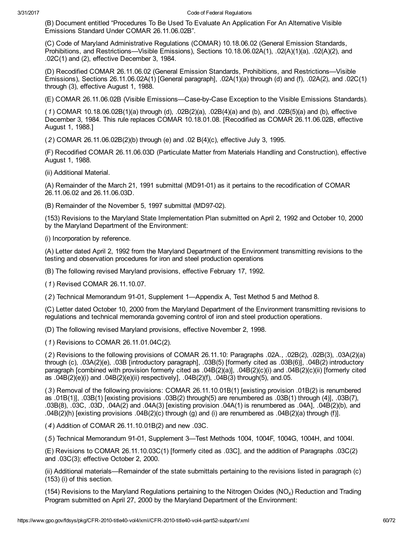(B) Document entitled "Procedures To Be Used To Evaluate An Application For An Alternative Visible Emissions Standard Under COMAR 26.11.06.02B".

(C) Code of Maryland Administrative Regulations (COMAR) 10.18.06.02 (General Emission Standards, Prohibitions, and Restrictions—Visible Emissions), Sections 10.18.06.02A(1), .02(A)(1)(a), .02(A)(2), and .02C(1) and (2), effective December 3, 1984.

(D) Recodified COMAR 26.11.06.02 (General Emission Standards, Prohibitions, and Restrictions—Visible Emissions), Sections 26.11.06.02A(1) [General paragraph], .02A(1)(a) through (d) and (f), .02A(2), and .02C(1) through (3), effective August 1, 1988.

(E) COMAR 26.11.06.02B (Visible Emissions—CasebyCase Exception to the Visible Emissions Standards).

(1) COMAR 10.18.06.02B(1)(a) through (d), .02B(2)(a), .02B(4)(a) and (b), and .02B(5)(a) and (b), effective December 3, 1984. This rule replaces COMAR 10.18.01.08. [Recodified as COMAR 26.11.06.02B, effective August 1, 1988.]

(2) COMAR 26.11.06.02B(2)(b) through (e) and .02 B(4)(c), effective July 3, 1995.

(F) Recodified COMAR 26.11.06.03D (Particulate Matter from Materials Handling and Construction), effective August 1, 1988.

(ii) Additional Material.

(A) Remainder of the March 21, 1991 submittal (MD9101) as it pertains to the recodification of COMAR 26.11.06.02 and 26.11.06.03D.

(B) Remainder of the November 5, 1997 submittal (MD97-02).

(153) Revisions to the Maryland State Implementation Plan submitted on April 2, 1992 and October 10, 2000 by the Maryland Department of the Environment:

(i) Incorporation by reference.

(A) Letter dated April 2, 1992 from the Maryland Department of the Environment transmitting revisions to the testing and observation procedures for iron and steel production operations

(B) The following revised Maryland provisions, effective February 17, 1992.

(1) Revised COMAR 26.11.10.07.

(2) Technical Memorandum 9101, Supplement 1—Appendix A, Test Method 5 and Method 8.

(C) Letter dated October 10, 2000 from the Maryland Department of the Environment transmitting revisions to regulations and technical memoranda governing control of iron and steel production operations.

(D) The following revised Maryland provisions, effective November 2, 1998.

(1) Revisions to COMAR 26.11.01.04C(2).

(2) Revisions to the following provisions of COMAR 26.11.10: Paragraphs .02A., .02B(2), .02B(3), .03A(2)(a) through (c), .03A(2)(e), .03B [introductory paragraph], .03B(5) [formerly cited as .03B(6)], .04B(2) introductory paragraph [combined with provision formerly cited as .04B(2)(a)], .04B(2)(c)(i) and .04B(2)(c)(ii) [formerly cited as .04B(2)(e)(i) and .04B(2)(e)(ii) respectively], .04B(2)(f), .04B(3) through(5), and.05.

(3) Removal of the following provisions: COMAR 26.11.10.01B(1) [existing provision .01B(2) is renumbered as .01B(1)], .03B(1) [existing provisions .03B(2) through(5) are renumbered as .03B(1) through (4)], .03B(7), .03B(8), .03C, .03D, .04A(2) and .04A(3) [existing provision .04A(1) is renumbered as .04A], .04B(2)(b), and .04B(2)(h) [existing provisions .04B(2)(c) through (g) and (i) are renumbered as .04B(2)(a) through (f)].

(4) Addition of COMAR 26.11.10.01B(2) and new .03C.

(5) Technical Memorandum 9101, Supplement 3—Test Methods 1004, 1004F, 1004G, 1004H, and 1004I.

(E) Revisions to COMAR 26.11.10.03C(1) [formerly cited as .03C], and the addition of Paragraphs .03C(2) and .03C(3); effective October 2, 2000.

(ii) Additional materials—Remainder of the state submittals pertaining to the revisions listed in paragraph (c) (153) (i) of this section.

(154) Revisions to the Maryland Regulations pertaining to the Nitrogen Oxides (NO<sub>x</sub>) Reduction and Trading Program submitted on April 27, 2000 by the Maryland Department of the Environment: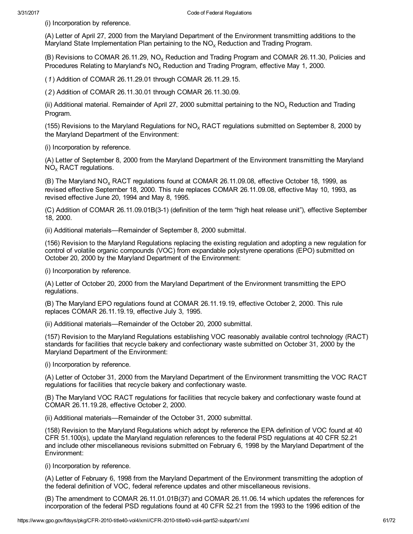(i) Incorporation by reference.

(A) Letter of April 27, 2000 from the Maryland Department of the Environment transmitting additions to the Maryland State Implementation Plan pertaining to the  $NO<sub>x</sub>$  Reduction and Trading Program.

(B) Revisions to COMAR 26.11.29,  $NO<sub>x</sub>$  Reduction and Trading Program and COMAR 26.11.30, Policies and Procedures Relating to Maryland's  $NO<sub>x</sub>$  Reduction and Trading Program, effective May 1, 2000.

(1) Addition of COMAR 26.11.29.01 through COMAR 26.11.29.15.

(2) Addition of COMAR 26.11.30.01 through COMAR 26.11.30.09.

(ii) Additional material. Remainder of April 27, 2000 submittal pertaining to the  $NO<sub>x</sub>$  Reduction and Trading Program.

(155) Revisions to the Maryland Regulations for  $NO<sub>x</sub>$  RACT regulations submitted on September 8, 2000 by the Maryland Department of the Environment:

(i) Incorporation by reference.

(A) Letter of September 8, 2000 from the Maryland Department of the Environment transmitting the Maryland  $NO<sub>x</sub>$  RACT regulations.

(B) The Maryland  $NO<sub>x</sub>$  RACT regulations found at COMAR 26.11.09.08, effective October 18, 1999, as revised effective September 18, 2000. This rule replaces COMAR 26.11.09.08, effective May 10, 1993, as revised effective June 20, 1994 and May 8, 1995.

(C) Addition of COMAR 26.11.09.01B(3-1) (definition of the term "high heat release unit"), effective September 18, 2000.

(ii) Additional materials—Remainder of September 8, 2000 submittal.

(156) Revision to the Maryland Regulations replacing the existing regulation and adopting a new regulation for control of volatile organic compounds (VOC) from expandable polystyrene operations (EPO) submitted on October 20, 2000 by the Maryland Department of the Environment:

(i) Incorporation by reference.

(A) Letter of October 20, 2000 from the Maryland Department of the Environment transmitting the EPO regulations.

(B) The Maryland EPO regulations found at COMAR 26.11.19.19, effective October 2, 2000. This rule replaces COMAR 26.11.19.19, effective July 3, 1995.

(ii) Additional materials—Remainder of the October 20, 2000 submittal.

(157) Revision to the Maryland Regulations establishing VOC reasonably available control technology (RACT) standards for facilities that recycle bakery and confectionary waste submitted on October 31, 2000 by the Maryland Department of the Environment:

(i) Incorporation by reference.

(A) Letter of October 31, 2000 from the Maryland Department of the Environment transmitting the VOC RACT regulations for facilities that recycle bakery and confectionary waste.

(B) The Maryland VOC RACT regulations for facilities that recycle bakery and confectionary waste found at COMAR 26.11.19.28, effective October 2, 2000.

(ii) Additional materials—Remainder of the October 31, 2000 submittal.

(158) Revision to the Maryland Regulations which adopt by reference the EPA definition of VOC found at 40 CFR 51.100(s), update the Maryland regulation references to the federal PSD regulations at 40 CFR 52.21 and include other miscellaneous revisions submitted on February 6, 1998 by the Maryland Department of the Environment:

(i) Incorporation by reference.

(A) Letter of February 6, 1998 from the Maryland Department of the Environment transmitting the adoption of the federal definition of VOC, federal reference updates and other miscellaneous revisions.

(B) The amendment to COMAR 26.11.01.01B(37) and COMAR 26.11.06.14 which updates the references for incorporation of the federal PSD regulations found at 40 CFR 52.21 from the 1993 to the 1996 edition of the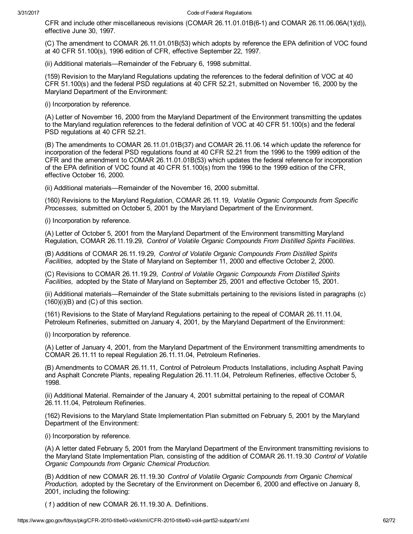CFR and include other miscellaneous revisions (COMAR 26.11.01.01B(6-1) and COMAR 26.11.06.06A(1)(d)), effective June 30, 1997.

(C) The amendment to COMAR 26.11.01.01B(53) which adopts by reference the EPA definition of VOC found at 40 CFR 51.100(s), 1996 edition of CFR, effective September 22, 1997.

(ii) Additional materials—Remainder of the February 6, 1998 submittal.

(159) Revision to the Maryland Regulations updating the references to the federal definition of VOC at 40 CFR 51.100(s) and the federal PSD regulations at 40 CFR 52.21, submitted on November 16, 2000 by the Maryland Department of the Environment:

(i) Incorporation by reference.

(A) Letter of November 16, 2000 from the Maryland Department of the Environment transmitting the updates to the Maryland regulation references to the federal definition of VOC at 40 CFR 51.100(s) and the federal PSD regulations at 40 CFR 52.21.

(B) The amendments to COMAR 26.11.01.01B(37) and COMAR 26.11.06.14 which update the reference for incorporation of the federal PSD regulations found at 40 CFR 52.21 from the 1996 to the 1999 edition of the CFR and the amendment to COMAR 26.11.01.01B(53) which updates the federal reference for incorporation of the EPA definition of VOC found at 40 CFR 51.100(s) from the 1996 to the 1999 edition of the CFR, effective October 16, 2000.

(ii) Additional materials—Remainder of the November 16, 2000 submittal.

(160) Revisions to the Maryland Regulation, COMAR 26.11.19, Volatile Organic Compounds from Specific Processes, submitted on October 5, 2001 by the Maryland Department of the Environment.

(i) Incorporation by reference.

(A) Letter of October 5, 2001 from the Maryland Department of the Environment transmitting Maryland Regulation, COMAR 26.11.19.29, Control of Volatile Organic Compounds From Distilled Spirits Facilities.

(B) Additions of COMAR 26.11.19.29, Control of Volatile Organic Compounds From Distilled Spirits Facilities, adopted by the State of Maryland on September 11, 2000 and effective October 2, 2000.

(C) Revisions to COMAR 26.11.19.29, Control of Volatile Organic Compounds From Distilled Spirits Facilities, adopted by the State of Maryland on September 25, 2001 and effective October 15, 2001.

(ii) Additional materials—Remainder of the State submittals pertaining to the revisions listed in paragraphs (c) (160)(i)(B) and (C) of this section.

(161) Revisions to the State of Maryland Regulations pertaining to the repeal of COMAR 26.11.11.04, Petroleum Refineries, submitted on January 4, 2001, by the Maryland Department of the Environment:

(i) Incorporation by reference.

(A) Letter of January 4, 2001, from the Maryland Department of the Environment transmitting amendments to COMAR 26.11.11 to repeal Regulation 26.11.11.04, Petroleum Refineries.

(B) Amendments to COMAR 26.11.11, Control of Petroleum Products Installations, including Asphalt Paving and Asphalt Concrete Plants, repealing Regulation 26.11.11.04, Petroleum Refineries, effective October 5, 1998.

(ii) Additional Material. Remainder of the January 4, 2001 submittal pertaining to the repeal of COMAR 26.11.11.04, Petroleum Refineries.

(162) Revisions to the Maryland State Implementation Plan submitted on February 5, 2001 by the Maryland Department of the Environment:

(i) Incorporation by reference.

(A) A letter dated February 5, 2001 from the Maryland Department of the Environment transmitting revisions to the Maryland State Implementation Plan, consisting of the addition of COMAR 26.11.19.30 Control of Volatile Organic Compounds from Organic Chemical Production.

(B) Addition of new COMAR 26.11.19.30 Control of Volatile Organic Compounds from Organic Chemical Production, adopted by the Secretary of the Environment on December 6, 2000 and effective on January 8, 2001, including the following:

(1) addition of new COMAR 26.11.19.30 A. Definitions.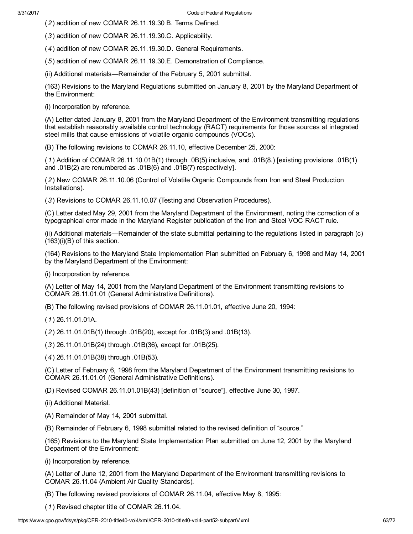(2) addition of new COMAR 26.11.19.30 B. Terms Defined.

(3) addition of new COMAR 26.11.19.30.C. Applicability.

(4) addition of new COMAR 26.11.19.30.D. General Requirements.

(5) addition of new COMAR 26.11.19.30.E. Demonstration of Compliance.

(ii) Additional materials—Remainder of the February 5, 2001 submittal.

(163) Revisions to the Maryland Regulations submitted on January 8, 2001 by the Maryland Department of the Environment:

(i) Incorporation by reference.

(A) Letter dated January 8, 2001 from the Maryland Department of the Environment transmitting regulations that establish reasonably available control technology (RACT) requirements for those sources at integrated steel mills that cause emissions of volatile organic compounds (VOCs).

(B) The following revisions to COMAR 26.11.10, effective December 25, 2000:

(1) Addition of COMAR 26.11.10.01B(1) through .0B(5) inclusive, and .01B(8.) [existing provisions .01B(1) and .01B(2) are renumbered as .01B(6) and .01B(7) respectively].

(2) New COMAR 26.11.10.06 (Control of Volatile Organic Compounds from Iron and Steel Production Installations).

(3) Revisions to COMAR 26.11.10.07 (Testing and Observation Procedures).

(C) Letter dated May 29, 2001 from the Maryland Department of the Environment, noting the correction of a typographical error made in the Maryland Register publication of the Iron and Steel VOC RACT rule.

(ii) Additional materials—Remainder of the state submittal pertaining to the regulations listed in paragraph (c) (163)(i)(B) of this section.

(164) Revisions to the Maryland State Implementation Plan submitted on February 6, 1998 and May 14, 2001 by the Maryland Department of the Environment:

(i) Incorporation by reference.

(A) Letter of May 14, 2001 from the Maryland Department of the Environment transmitting revisions to COMAR 26.11.01.01 (General Administrative Definitions).

(B) The following revised provisions of COMAR 26.11.01.01, effective June 20, 1994:

(1) 26.11.01.01A.

(2) 26.11.01.01B(1) through .01B(20), except for .01B(3) and .01B(13).

(3) 26.11.01.01B(24) through .01B(36), except for .01B(25).

(4) 26.11.01.01B(38) through .01B(53).

(C) Letter of February 6, 1998 from the Maryland Department of the Environment transmitting revisions to COMAR 26.11.01.01 (General Administrative Definitions).

(D) Revised COMAR 26.11.01.01B(43) [definition of "source"], effective June 30, 1997.

(ii) Additional Material.

(A) Remainder of May 14, 2001 submittal.

(B) Remainder of February 6, 1998 submittal related to the revised definition of "source."

(165) Revisions to the Maryland State Implementation Plan submitted on June 12, 2001 by the Maryland Department of the Environment:

(i) Incorporation by reference.

(A) Letter of June 12, 2001 from the Maryland Department of the Environment transmitting revisions to COMAR 26.11.04 (Ambient Air Quality Standards).

(B) The following revised provisions of COMAR 26.11.04, effective May 8, 1995:

(1) Revised chapter title of COMAR 26.11.04.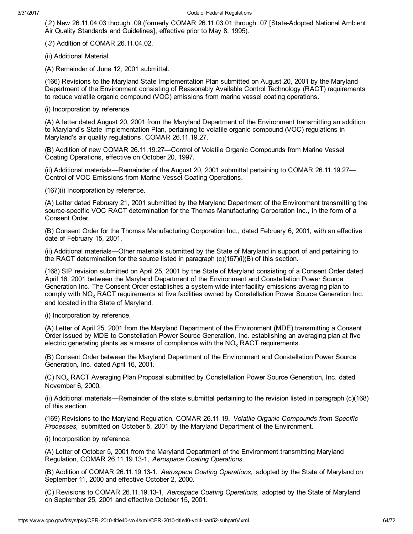(2) New 26.11.04.03 through .09 (formerly COMAR 26.11.03.01 through .07 [StateAdopted National Ambient Air Quality Standards and Guidelines], effective prior to May 8, 1995).

(3) Addition of COMAR 26.11.04.02.

(ii) Additional Material.

(A) Remainder of June 12, 2001 submittal.

(166) Revisions to the Maryland State Implementation Plan submitted on August 20, 2001 by the Maryland Department of the Environment consisting of Reasonably Available Control Technology (RACT) requirements to reduce volatile organic compound (VOC) emissions from marine vessel coating operations.

(i) Incorporation by reference.

(A) A letter dated August 20, 2001 from the Maryland Department of the Environment transmitting an addition to Maryland's State Implementation Plan, pertaining to volatile organic compound (VOC) regulations in Maryland's air quality regulations, COMAR 26.11.19.27.

(B) Addition of new COMAR 26.11.19.27—Control of Volatile Organic Compounds from Marine Vessel Coating Operations, effective on October 20, 1997.

(ii) Additional materials—Remainder of the August 20, 2001 submittal pertaining to COMAR 26.11.19.27— Control of VOC Emissions from Marine Vessel Coating Operations.

(167)(i) Incorporation by reference.

(A) Letter dated February 21, 2001 submitted by the Maryland Department of the Environment transmitting the source-specific VOC RACT determination for the Thomas Manufacturing Corporation Inc., in the form of a Consent Order.

(B) Consent Order for the Thomas Manufacturing Corporation Inc., dated February 6, 2001, with an effective date of February 15, 2001.

(ii) Additional materials—Other materials submitted by the State of Maryland in support of and pertaining to the RACT determination for the source listed in paragraph  $(c)(167)(i)$ (B) of this section.

(168) SIP revision submitted on April 25, 2001 by the State of Maryland consisting of a Consent Order dated April 16, 2001 between the Maryland Department of the Environment and Constellation Power Source Generation Inc. The Consent Order establishes a systemwide interfacility emissions averaging plan to comply with NO<sub>Y</sub> RACT requirements at five facilities owned by Constellation Power Source Generation Inc. and located in the State of Maryland.

(i) Incorporation by reference.

(A) Letter of April 25, 2001 from the Maryland Department of the Environment (MDE) transmitting a Consent Order issued by MDE to Constellation Power Source Generation, Inc. establishing an averaging plan at five electric generating plants as a means of compliance with the  $NO<sub>x</sub> RACT$  requirements.

(B) Consent Order between the Maryland Department of the Environment and Constellation Power Source Generation, Inc. dated April 16, 2001.

(C) NO<sub>x</sub> RACT Averaging Plan Proposal submitted by Constellation Power Source Generation, Inc. dated November 6, 2000.

(ii) Additional materials—Remainder of the state submittal pertaining to the revision listed in paragraph (c)(168) of this section.

(169) Revisions to the Maryland Regulation, COMAR 26.11.19, Volatile Organic Compounds from Specific Processes, submitted on October 5, 2001 by the Maryland Department of the Environment.

(i) Incorporation by reference.

(A) Letter of October 5, 2001 from the Maryland Department of the Environment transmitting Maryland Regulation, COMAR 26.11.19.13-1, Aerospace Coating Operations.

(B) Addition of COMAR 26.11.19.13-1, Aerospace Coating Operations, adopted by the State of Maryland on September 11, 2000 and effective October 2, 2000.

(C) Revisions to COMAR 26.11.19.13-1, Aerospace Coating Operations, adopted by the State of Maryland on September 25, 2001 and effective October 15, 2001.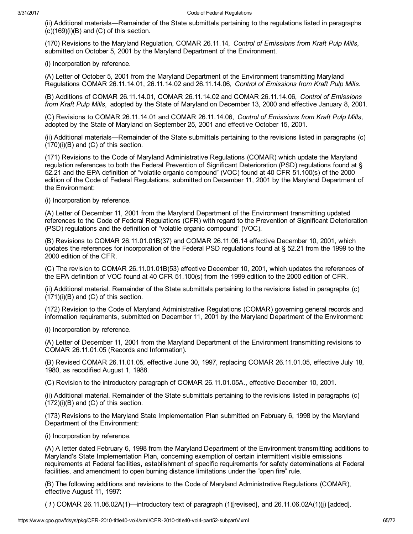(ii) Additional materials—Remainder of the State submittals pertaining to the regulations listed in paragraphs  $(c)(169)(i)(B)$  and  $(C)$  of this section.

(170) Revisions to the Maryland Regulation, COMAR 26.11.14, Control of Emissions from Kraft Pulp Mills, submitted on October 5, 2001 by the Maryland Department of the Environment.

(i) Incorporation by reference.

(A) Letter of October 5, 2001 from the Maryland Department of the Environment transmitting Maryland Regulations COMAR 26.11.14.01, 26.11.14.02 and 26.11.14.06, Control of Emissions from Kraft Pulp Mills.

(B) Additions of COMAR 26.11.14.01, COMAR 26.11.14.02 and COMAR 26.11.14.06, Control of Emissions from Kraft Pulp Mills, adopted by the State of Maryland on December 13, 2000 and effective January 8, 2001.

(C) Revisions to COMAR 26.11.14.01 and COMAR 26.11.14.06, Control of Emissions from Kraft Pulp Mills, adopted by the State of Maryland on September 25, 2001 and effective October 15, 2001.

(ii) Additional materials—Remainder of the State submittals pertaining to the revisions listed in paragraphs (c)  $(170)(i)(B)$  and  $(C)$  of this section.

(171) Revisions to the Code of Maryland Administrative Regulations (COMAR) which update the Maryland regulation references to both the Federal Prevention of Significant Deterioration (PSD) regulations found at § 52.21 and the EPA definition of "volatile organic compound" (VOC) found at 40 CFR 51.100(s) of the 2000 edition of the Code of Federal Regulations, submitted on December 11, 2001 by the Maryland Department of the Environment:

(i) Incorporation by reference.

(A) Letter of December 11, 2001 from the Maryland Department of the Environment transmitting updated references to the Code of Federal Regulations (CFR) with regard to the Prevention of Significant Deterioration (PSD) regulations and the definition of "volatile organic compound" (VOC).

(B) Revisions to COMAR 26.11.01.01B(37) and COMAR 26.11.06.14 effective December 10, 2001, which updates the references for incorporation of the Federal PSD regulations found at § 52.21 from the 1999 to the 2000 edition of the CFR.

(C) The revision to COMAR 26.11.01.01B(53) effective December 10, 2001, which updates the references of the EPA definition of VOC found at 40 CFR 51.100(s) from the 1999 edition to the 2000 edition of CFR.

(ii) Additional material. Remainder of the State submittals pertaining to the revisions listed in paragraphs (c)  $(171)(i)(B)$  and  $(C)$  of this section.

(172) Revision to the Code of Maryland Administrative Regulations (COMAR) governing general records and information requirements, submitted on December 11, 2001 by the Maryland Department of the Environment:

(i) Incorporation by reference.

(A) Letter of December 11, 2001 from the Maryland Department of the Environment transmitting revisions to COMAR 26.11.01.05 (Records and Information).

(B) Revised COMAR 26.11.01.05, effective June 30, 1997, replacing COMAR 26.11.01.05, effective July 18, 1980, as recodified August 1, 1988.

(C) Revision to the introductory paragraph of COMAR 26.11.01.05A., effective December 10, 2001.

(ii) Additional material. Remainder of the State submittals pertaining to the revisions listed in paragraphs (c)  $(172)(i)(B)$  and  $(C)$  of this section.

(173) Revisions to the Maryland State Implementation Plan submitted on February 6, 1998 by the Maryland Department of the Environment:

(i) Incorporation by reference.

(A) A letter dated February 6, 1998 from the Maryland Department of the Environment transmitting additions to Maryland's State Implementation Plan, concerning exemption of certain intermittent visible emissions requirements at Federal facilities, establishment of specific requirements for safety determinations at Federal facilities, and amendment to open burning distance limitations under the "open fire" rule.

(B) The following additions and revisions to the Code of Maryland Administrative Regulations (COMAR), effective August 11, 1997:

(1) COMAR 26.11.06.02A(1)—introductory text of paragraph (1)[revised], and 26.11.06.02A(1)(j) [added].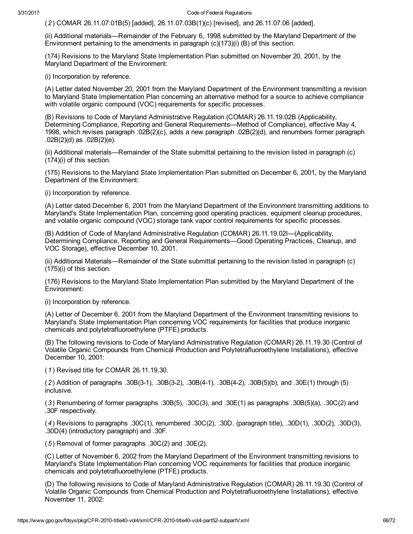(2) COMAR 26.11.07.01B(5) [added], 26.11.07.03B(1)(c) [revised], and 26.11.07.06 [added].

(ii) Additional materials—Remainder of the February 6, 1998 submitted by the Maryland Department of the Environment pertaining to the amendments in paragraph (c)(173)(i) (B) of this section.

(174) Revisions to the Maryland State Implementation Plan submitted on November 20, 2001, by the Maryland Department of the Environment:

(i) Incorporation by reference.

(A) Letter dated November 20, 2001 from the Maryland Department of the Environment transmitting a revision to Maryland State Implementation Plan concerning an alternative method for a source to achieve compliance with volatile organic compound (VOC) requirements for specific processes.

(B) Revisions to Code of Maryland Administrative Regulation (COMAR) 26.11.19.02B (Applicability, Determining Compliance, Reporting and General Requirements—Method of Compliance), effective May 4, 1998, which revises paragraph .02B(2)(c), adds a new paragraph .02B(2)(d), and renumbers former paragraph .02B(2)(d) as .02B(2)(e).

(ii) Additional materials—Remainder of the State submittal pertaining to the revision listed in paragraph (c) (174)(i) of this section.

(175) Revisions to the Maryland State Implementation Plan submitted on December 6, 2001, by the Maryland Department of the Environment:

(i) Incorporation by reference.

(A) Letter dated December 6, 2001 from the Maryland Department of the Environment transmitting additions to Maryland's State Implementation Plan, concerning good operating practices, equipment cleanup procedures, and volatile organic compound (VOC) storage tank vapor control requirements for specific processes.

(B) Addition of Code of Maryland Administrative Regulation (COMAR) 26.11.19.02I—(Applicability, Determining Compliance, Reporting and General Requirements—Good Operating Practices, Cleanup, and VOC Storage), effective December 10, 2001.

(ii) Additional Materials—Remainder of the State submittal pertaining to the revision listed in paragraph (c) (175)(i) of this section.

(176) Revisions to the Maryland State Implementation Plan submitted by the Maryland Department of the Environment:

(i) Incorporation by reference.

(A) Letter of December 6, 2001 from the Maryland Department of the Environment transmitting revisions to Maryland's State Implementation Plan concerning VOC requirements for facilities that produce inorganic chemicals and polytetrafluoroethylene (PTFE) products.

(B) The following revisions to Code of Maryland Administrative Regulation (COMAR) 26.11.19.30 (Control of Volatile Organic Compounds from Chemical Production and Polytetrafluoroethylene Installations), effective December 10, 2001:

(1) Revised title for COMAR 26.11.19.30.

(2) Addition of paragraphs .30B(31), .30B(32), .30B(41), .30B(42), .30B(5)(b), and .30E(1) through (5) inclusive.

(3) Renumbering of former paragraphs .30B(5), .30C(3), and .30E(1) as paragraphs .30B(5)(a), .30C(2) and .30F respectively.

(4) Revisions to paragraphs .30C(1), renumbered .30C(2), .30D. (paragraph title), .30D(1), .30D(2), .30D(3), .30D(4) (introductory paragraph) and .30F.

(5) Removal of former paragraphs .30C(2) and .30E(2).

(C) Letter of November 6, 2002 from the Maryland Department of the Environment transmitting revisions to Maryland's State Implementation Plan concerning VOC requirements for facilities that produce inorganic chemicals and polytetrafluoroethylene (PTFE) products.

(D) The following revisions to Code of Maryland Administrative Regulation (COMAR) 26.11.19.30 (Control of Volatile Organic Compounds from Chemical Production and Polytetrafluoroethylene Installations), effective November 11, 2002: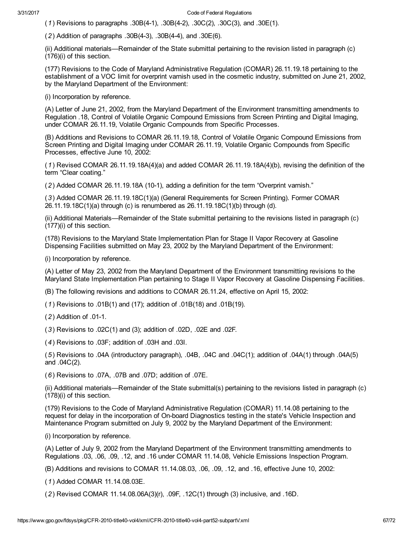(1) Revisions to paragraphs  $.30B(4-1)$ ,  $.30B(4-2)$ ,  $.30C(2)$ ,  $.30C(3)$ , and  $.30E(1)$ .

(2) Addition of paragraphs .30B(43), .30B(44), and .30E(6).

(ii) Additional materials—Remainder of the State submittal pertaining to the revision listed in paragraph (c) (176)(i) of this section.

(177) Revisions to the Code of Maryland Administrative Regulation (COMAR) 26.11.19.18 pertaining to the establishment of a VOC limit for overprint varnish used in the cosmetic industry, submitted on June 21, 2002, by the Maryland Department of the Environment:

(i) Incorporation by reference.

(A) Letter of June 21, 2002, from the Maryland Department of the Environment transmitting amendments to Regulation .18, Control of Volatile Organic Compound Emissions from Screen Printing and Digital Imaging, under COMAR 26.11.19, Volatile Organic Compounds from Specific Processes.

(B) Additions and Revisions to COMAR 26.11.19.18, Control of Volatile Organic Compound Emissions from Screen Printing and Digital Imaging under COMAR 26.11.19, Volatile Organic Compounds from Specific Processes, effective June 10, 2002:

(1) Revised COMAR 26.11.19.18A(4)(a) and added COMAR 26.11.19.18A(4)(b), revising the definition of the term "Clear coating."

(2) Added COMAR 26.11.19.18A (101), adding a definition for the term "Overprint varnish."

(3) Added COMAR 26.11.19.18C(1)(a) (General Requirements for Screen Printing). Former COMAR 26.11.19.18C(1)(a) through (c) is renumbered as 26.11.19.18C(1)(b) through (d).

(ii) Additional Materials—Remainder of the State submittal pertaining to the revisions listed in paragraph (c) (177)(i) of this section.

(178) Revisions to the Maryland State Implementation Plan for Stage II Vapor Recovery at Gasoline Dispensing Facilities submitted on May 23, 2002 by the Maryland Department of the Environment:

(i) Incorporation by reference.

(A) Letter of May 23, 2002 from the Maryland Department of the Environment transmitting revisions to the Maryland State Implementation Plan pertaining to Stage II Vapor Recovery at Gasoline Dispensing Facilities.

(B) The following revisions and additions to COMAR 26.11.24, effective on April 15, 2002:

(1) Revisions to .01B(1) and (17); addition of .01B(18) and .01B(19).

 $(2)$  Addition of  $.01-1$ .

(3) Revisions to .02C(1) and (3); addition of .02D, .02E and .02F.

(4) Revisions to .03F; addition of .03H and .03I.

(5) Revisions to .04A (introductory paragraph), .04B, .04C and .04C(1); addition of .04A(1) through .04A(5) and .04C(2).

(6) Revisions to .07A, .07B and .07D; addition of .07E.

(ii) Additional materials—Remainder of the State submittal(s) pertaining to the revisions listed in paragraph (c) (178)(i) of this section.

(179) Revisions to the Code of Maryland Administrative Regulation (COMAR) 11.14.08 pertaining to the request for delay in the incorporation of On-board Diagnostics testing in the state's Vehicle Inspection and Maintenance Program submitted on July 9, 2002 by the Maryland Department of the Environment:

(i) Incorporation by reference.

(A) Letter of July 9, 2002 from the Maryland Department of the Environment transmitting amendments to Regulations .03, .06, .09, .12, and .16 under COMAR 11.14.08, Vehicle Emissions Inspection Program.

(B) Additions and revisions to COMAR 11.14.08.03, .06, .09, .12, and .16, effective June 10, 2002:

(1) Added COMAR 11.14.08.03E.

(2) Revised COMAR 11.14.08.06A(3)(r), .09F, .12C(1) through (3) inclusive, and .16D.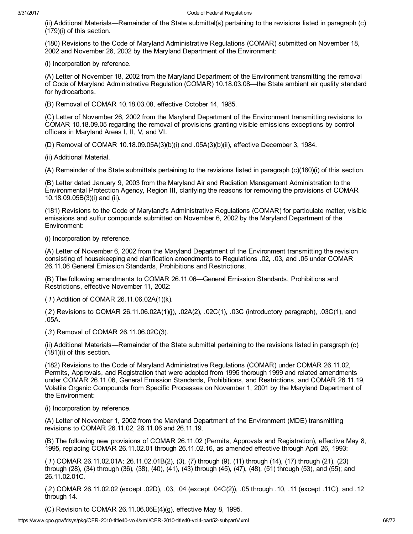(ii) Additional Materials—Remainder of the State submittal(s) pertaining to the revisions listed in paragraph (c) (179)(i) of this section.

(180) Revisions to the Code of Maryland Administrative Regulations (COMAR) submitted on November 18, 2002 and November 26, 2002 by the Maryland Department of the Environment:

(i) Incorporation by reference.

(A) Letter of November 18, 2002 from the Maryland Department of the Environment transmitting the removal of Code of Maryland Administrative Regulation (COMAR) 10.18.03.08—the State ambient air quality standard for hydrocarbons.

(B) Removal of COMAR 10.18.03.08, effective October 14, 1985.

(C) Letter of November 26, 2002 from the Maryland Department of the Environment transmitting revisions to COMAR 10.18.09.05 regarding the removal of provisions granting visible emissions exceptions by control officers in Maryland Areas I, II, V, and VI.

(D) Removal of COMAR 10.18.09.05A(3)(b)(i) and .05A(3)(b)(ii), effective December 3, 1984.

(ii) Additional Material.

(A) Remainder of the State submittals pertaining to the revisions listed in paragraph (c)(180)(i) of this section.

(B) Letter dated January 9, 2003 from the Maryland Air and Radiation Management Administration to the Environmental Protection Agency, Region III, clarifying the reasons for removing the provisions of COMAR 10.18.09.05B(3)(i) and (ii).

(181) Revisions to the Code of Maryland's Administrative Regulations (COMAR) for particulate matter, visible emissions and sulfur compounds submitted on November 6, 2002 by the Maryland Department of the Environment:

(i) Incorporation by reference.

(A) Letter of November 6, 2002 from the Maryland Department of the Environment transmitting the revision consisting of housekeeping and clarification amendments to Regulations .02, .03, and .05 under COMAR 26.11.06 General Emission Standards, Prohibitions and Restrictions.

(B) The following amendments to COMAR 26.11.06—General Emission Standards, Prohibitions and Restrictions, effective November 11, 2002:

(1) Addition of COMAR 26.11.06.02A(1)(k).

(2) Revisions to COMAR 26.11.06.02A(1)(j), .02A(2), .02C(1), .03C (introductory paragraph), .03C(1), and .05A.

(3) Removal of COMAR 26.11.06.02C(3).

(ii) Additional Materials—Remainder of the State submittal pertaining to the revisions listed in paragraph (c) (181)(i) of this section.

(182) Revisions to the Code of Maryland Administrative Regulations (COMAR) under COMAR 26.11.02, Permits, Approvals, and Registration that were adopted from 1995 thorough 1999 and related amendments under COMAR 26.11.06, General Emission Standards, Prohibitions, and Restrictions, and COMAR 26.11.19, Volatile Organic Compounds from Specific Processes on November 1, 2001 by the Maryland Department of the Environment:

(i) Incorporation by reference.

(A) Letter of November 1, 2002 from the Maryland Department of the Environment (MDE) transmitting revisions to COMAR 26.11.02, 26.11.06 and 26.11.19.

(B) The following new provisions of COMAR 26.11.02 (Permits, Approvals and Registration), effective May 8, 1995, replacing COMAR 26.11.02.01 through 26.11.02.16, as amended effective through April 26, 1993:

(1) COMAR 26.11.02.01A; 26.11.02.01B(2), (3), (7) through (9), (11) through (14), (17) through (21), (23) through (28), (34) through (36), (38), (40), (41), (43) through (45), (47), (48), (51) through (53), and (55); and 26.11.02.01C.

(2) COMAR 26.11.02.02 (except .02D), .03, .04 (except .04C(2)), .05 through .10, .11 (except .11C), and .12 through 14.

(C) Revision to COMAR 26.11.06.06E(4)(g), effective May 8, 1995.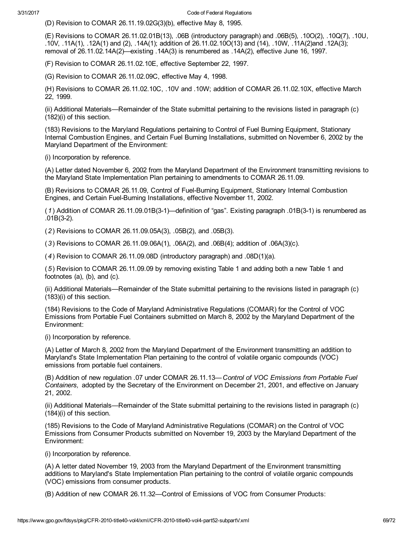(D) Revision to COMAR 26.11.19.02G(3)(b), effective May 8, 1995.

(E) Revisions to COMAR 26.11.02.01B(13), .06B (introductory paragraph) and .06B(5), .10O(2), .10Q(7), .10U, .10V, .11A(1), .12A(1) and (2), .14A(1); addition of 26.11.02.10O(13) and (14), .10W, .11A(2)and .12A(3); removal of 26.11.02.14A(2)—existing .14A(3) is renumbered as .14A(2), effective June 16, 1997.

(F) Revision to COMAR 26.11.02.10E, effective September 22, 1997.

(G) Revision to COMAR 26.11.02.09C, effective May 4, 1998.

(H) Revisions to COMAR 26.11.02.10C, .10V and .10W; addition of COMAR 26.11.02.10X, effective March 22, 1999.

(ii) Additional Materials—Remainder of the State submittal pertaining to the revisions listed in paragraph (c) (182)(i) of this section.

(183) Revisions to the Maryland Regulations pertaining to Control of Fuel Burning Equipment, Stationary Internal Combustion Engines, and Certain Fuel Burning Installations, submitted on November 6, 2002 by the Maryland Department of the Environment:

(i) Incorporation by reference.

(A) Letter dated November 6, 2002 from the Maryland Department of the Environment transmitting revisions to the Maryland State Implementation Plan pertaining to amendments to COMAR 26.11.09.

(B) Revisions to COMAR 26.11.09, Control of Fuel-Burning Equipment, Stationary Internal Combustion Engines, and Certain Fuel-Burning Installations, effective November 11, 2002.

(1) Addition of COMAR 26.11.09.01B(31)—definition of "gas". Existing paragraph .01B(31) is renumbered as  $.01B(3-2)$ .

(2) Revisions to COMAR 26.11.09.05A(3), .05B(2), and .05B(3).

(3) Revisions to COMAR 26.11.09.06A(1), .06A(2), and .06B(4); addition of .06A(3)(c).

(4) Revision to COMAR 26.11.09.08D (introductory paragraph) and .08D(1)(a).

(5) Revision to COMAR 26.11.09.09 by removing existing Table 1 and adding both a new Table 1 and footnotes (a), (b), and (c).

(ii) Additional Materials—Remainder of the State submittal pertaining to the revisions listed in paragraph (c) (183)(i) of this section.

(184) Revisions to the Code of Maryland Administrative Regulations (COMAR) for the Control of VOC Emissions from Portable Fuel Containers submitted on March 8, 2002 by the Maryland Department of the Environment:

(i) Incorporation by reference.

(A) Letter of March 8, 2002 from the Maryland Department of the Environment transmitting an addition to Maryland's State Implementation Plan pertaining to the control of volatile organic compounds (VOC) emissions from portable fuel containers.

(B) Addition of new regulation .07 under COMAR 26.11.13—Control of VOC Emissions from Portable Fuel Containers, adopted by the Secretary of the Environment on December 21, 2001, and effective on January 21, 2002.

(ii) Additional Materials—Remainder of the State submittal pertaining to the revisions listed in paragraph (c) (184)(i) of this section.

(185) Revisions to the Code of Maryland Administrative Regulations (COMAR) on the Control of VOC Emissions from Consumer Products submitted on November 19, 2003 by the Maryland Department of the Environment:

(i) Incorporation by reference.

(A) A letter dated November 19, 2003 from the Maryland Department of the Environment transmitting additions to Maryland's State Implementation Plan pertaining to the control of volatile organic compounds (VOC) emissions from consumer products.

(B) Addition of new COMAR 26.11.32—Control of Emissions of VOC from Consumer Products: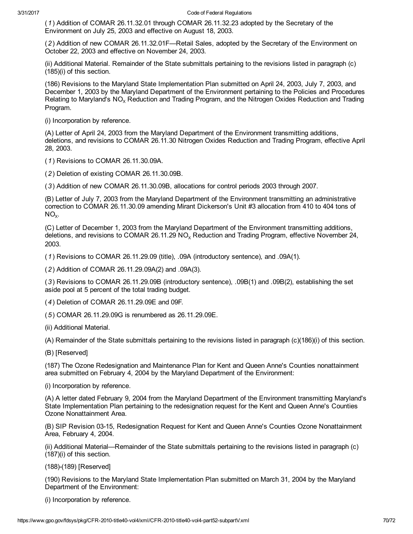(1) Addition of COMAR 26.11.32.01 through COMAR 26.11.32.23 adopted by the Secretary of the Environment on July 25, 2003 and effective on August 18, 2003.

(2) Addition of new COMAR 26.11.32.01F—Retail Sales, adopted by the Secretary of the Environment on October 22, 2003 and effective on November 24, 2003.

(ii) Additional Material. Remainder of the State submittals pertaining to the revisions listed in paragraph (c) (185)(i) of this section.

(186) Revisions to the Maryland State Implementation Plan submitted on April 24, 2003, July 7, 2003, and December 1, 2003 by the Maryland Department of the Environment pertaining to the Policies and Procedures Relating to Maryland's  $NO<sub>x</sub>$  Reduction and Trading Program, and the Nitrogen Oxides Reduction and Trading Program.

(i) Incorporation by reference.

(A) Letter of April 24, 2003 from the Maryland Department of the Environment transmitting additions, deletions, and revisions to COMAR 26.11.30 Nitrogen Oxides Reduction and Trading Program, effective April 28, 2003.

(1) Revisions to COMAR 26.11.30.09A.

(2) Deletion of existing COMAR 26.11.30.09B.

(3) Addition of new COMAR 26.11.30.09B, allocations for control periods 2003 through 2007.

(B) Letter of July 7, 2003 from the Maryland Department of the Environment transmitting an administrative correction to COMAR 26.11.30.09 amending Mirant Dickerson's Unit #3 allocation from 410 to 404 tons of  $NO_{X}$ .

(C) Letter of December 1, 2003 from the Maryland Department of the Environment transmitting additions, deletions, and revisions to COMAR 26.11.29 NO<sub>y</sub> Reduction and Trading Program, effective November 24, 2003.

(1) Revisions to COMAR 26.11.29.09 (title), .09A (introductory sentence), and .09A(1).

(2) Addition of COMAR 26.11.29.09A(2) and .09A(3).

(3) Revisions to COMAR 26.11.29.09B (introductory sentence), .09B(1) and .09B(2), establishing the set aside pool at 5 percent of the total trading budget.

(4) Deletion of COMAR 26.11.29.09E and 09F.

(5) COMAR 26.11.29.09G is renumbered as 26.11.29.09E.

(ii) Additional Material.

(A) Remainder of the State submittals pertaining to the revisions listed in paragraph (c)(186)(i) of this section.

(B) [Reserved]

(187) The Ozone Redesignation and Maintenance Plan for Kent and Queen Anne's Counties nonattainment area submitted on February 4, 2004 by the Maryland Department of the Environment:

(i) Incorporation by reference.

(A) A letter dated February 9, 2004 from the Maryland Department of the Environment transmitting Maryland's State Implementation Plan pertaining to the redesignation request for the Kent and Queen Anne's Counties Ozone Nonattainment Area.

(B) SIP Revision 03-15, Redesignation Request for Kent and Queen Anne's Counties Ozone Nonattainment Area, February 4, 2004.

(ii) Additional Material—Remainder of the State submittals pertaining to the revisions listed in paragraph (c) (187)(i) of this section.

(188)-(189) [Reserved]

(190) Revisions to the Maryland State Implementation Plan submitted on March 31, 2004 by the Maryland Department of the Environment:

(i) Incorporation by reference.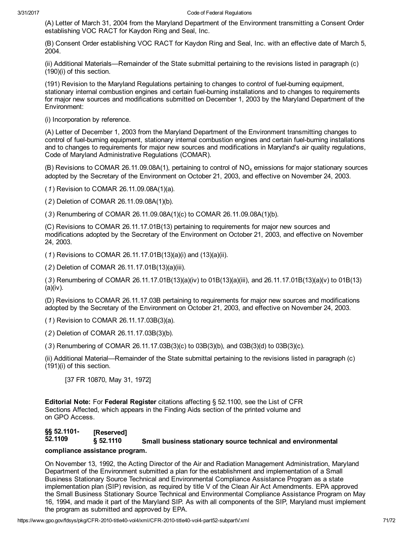### 3/31/2017 Code of Federal Regulations

(A) Letter of March 31, 2004 from the Maryland Department of the Environment transmitting a Consent Order establishing VOC RACT for Kaydon Ring and Seal, Inc.

(B) Consent Order establishing VOC RACT for Kaydon Ring and Seal, Inc. with an effective date of March 5, 2004.

(ii) Additional Materials—Remainder of the State submittal pertaining to the revisions listed in paragraph (c) (190)(i) of this section.

(191) Revision to the Maryland Regulations pertaining to changes to control of fuel-burning equipment, stationary internal combustion engines and certain fuel-burning installations and to changes to requirements for major new sources and modifications submitted on December 1, 2003 by the Maryland Department of the Environment:

(i) Incorporation by reference.

(A) Letter of December 1, 2003 from the Maryland Department of the Environment transmitting changes to control of fuel-burning equipment, stationary internal combustion engines and certain fuel-burning installations and to changes to requirements for major new sources and modifications in Maryland's air quality regulations, Code of Maryland Administrative Regulations (COMAR).

(B) Revisions to COMAR 26.11.09.08A(1), pertaining to control of  $NO<sub>x</sub>$  emissions for major stationary sources adopted by the Secretary of the Environment on October 21, 2003, and effective on November 24, 2003.

(1) Revision to COMAR 26.11.09.08A(1)(a).

(2) Deletion of COMAR 26.11.09.08A(1)(b).

(3) Renumbering of COMAR 26.11.09.08A(1)(c) to COMAR 26.11.09.08A(1)(b).

(C) Revisions to COMAR 26.11.17.01B(13) pertaining to requirements for major new sources and modifications adopted by the Secretary of the Environment on October 21, 2003, and effective on November 24, 2003.

(1) Revisions to COMAR 26.11.17.01B(13)(a)(i) and (13)(a)(ii).

(2) Deletion of COMAR 26.11.17.01B(13)(a)(iii).

(3) Renumbering of COMAR 26.11.17.01B(13)(a)(iv) to 01B(13)(a)(iii), and 26.11.17.01B(13)(a)(v) to 01B(13) (a)(iv).

(D) Revisions to COMAR 26.11.17.03B pertaining to requirements for major new sources and modifications adopted by the Secretary of the Environment on October 21, 2003, and effective on November 24, 2003.

(1) Revision to COMAR 26.11.17.03B(3)(a).

(2) Deletion of COMAR 26.11.17.03B(3)(b).

(3) Renumbering of COMAR 26.11.17.03B(3)(c) to 03B(3)(b), and 03B(3)(d) to 03B(3)(c).

(ii) Additional Material—Remainder of the State submittal pertaining to the revisions listed in paragraph (c) (191)(i) of this section.

[37 FR 10870, May 31, 1972]

**Editorial Note:** For Federal Register citations affecting § 52.1100, see the List of CFR Sections Affected, which appears in the Finding Aids section of the printed volume and on GPO Access.

#### §§ 52.1101 § 52.1110 [Reserved] Small business stationary source technical and environmental

## compliance assistance program.

On November 13, 1992, the Acting Director of the Air and Radiation Management Administration, Maryland Department of the Environment submitted a plan for the establishment and implementation of a Small Business Stationary Source Technical and Environmental Compliance Assistance Program as a state implementation plan (SIP) revision, as required by title V of the Clean Air Act Amendments. EPA approved the Small Business Stationary Source Technical and Environmental Compliance Assistance Program on May 16, 1994, and made it part of the Maryland SIP. As with all components of the SIP, Maryland must implement the program as submitted and approved by EPA.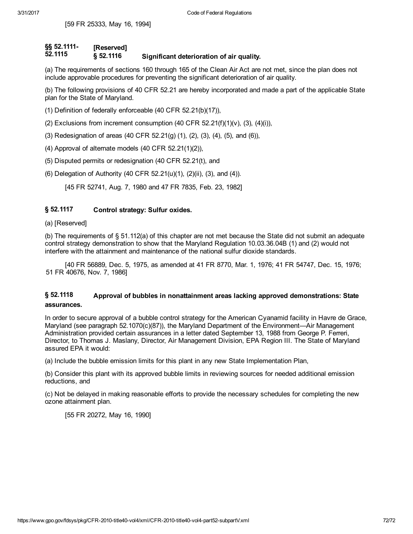[59 FR 25333, May 16, 1994]

### §§ 52.1111 [Reserved]

 $52.1115$   $\frac{1}{\sqrt{2}}$  52.1116 Significant deterioration of air quality.

(a) The requirements of sections 160 through 165 of the Clean Air Act are not met, since the plan does not include approvable procedures for preventing the significant deterioration of air quality.

(b) The following provisions of 40 CFR 52.21 are hereby incorporated and made a part of the applicable State plan for the State of Maryland.

- (1) Definition of federally enforceable (40 CFR 52.21(b)(17)),
- (2) Exclusions from increment consumption (40 CFR  $52.21(f)(1)(v)$ , (3), (4)(i)),
- (3) Redesignation of areas (40 CFR 52.21(g) (1), (2), (3), (4), (5), and (6)),
- (4) Approval of alternate models (40 CFR 52.21(1)(2)),
- (5) Disputed permits or redesignation (40 CFR 52.21(t), and
- (6) Delegation of Authority (40 CFR 52.21(u)(1), (2)(ii), (3), and (4)).

[45 FR 52741, Aug. 7, 1980 and 47 FR 7835, Feb. 23, 1982]

#### § 52.1117 Control strategy: Sulfur oxides.

## (a) [Reserved]

(b) The requirements of § 51.112(a) of this chapter are not met because the State did not submit an adequate control strategy demonstration to show that the Maryland Regulation 10.03.36.04B (1) and (2) would not interfere with the attainment and maintenance of the national sulfur dioxide standards.

[40 FR 56889, Dec. 5, 1975, as amended at 41 FR 8770, Mar. 1, 1976; 41 FR 54747, Dec. 15, 1976; 51 FR 40676, Nov. 7, 1986]

### § 52.1118 Approval of bubbles in nonattainment areas lacking approved demonstrations: State assurances.

In order to secure approval of a bubble control strategy for the American Cyanamid facility in Havre de Grace, Maryland (see paragraph 52.1070(c)(87)), the Maryland Department of the Environment—Air Management Administration provided certain assurances in a letter dated September 13, 1988 from George P. Ferreri, Director, to Thomas J. Maslany, Director, Air Management Division, EPA Region III. The State of Maryland assured EPA it would:

(a) Include the bubble emission limits for this plant in any new State Implementation Plan,

(b) Consider this plant with its approved bubble limits in reviewing sources for needed additional emission reductions, and

(c) Not be delayed in making reasonable efforts to provide the necessary schedules for completing the new ozone attainment plan.

[55 FR 20272, May 16, 1990]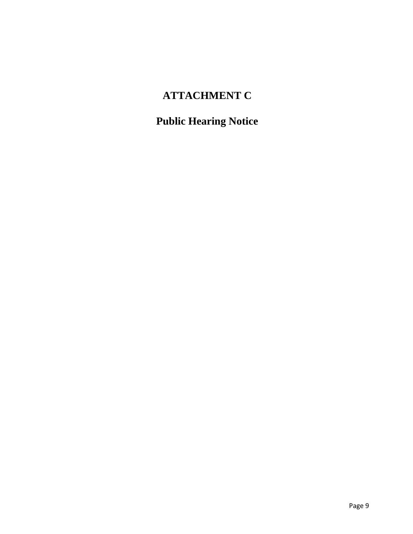# **ATTACHMENT C**

# **Public Hearing Notice**